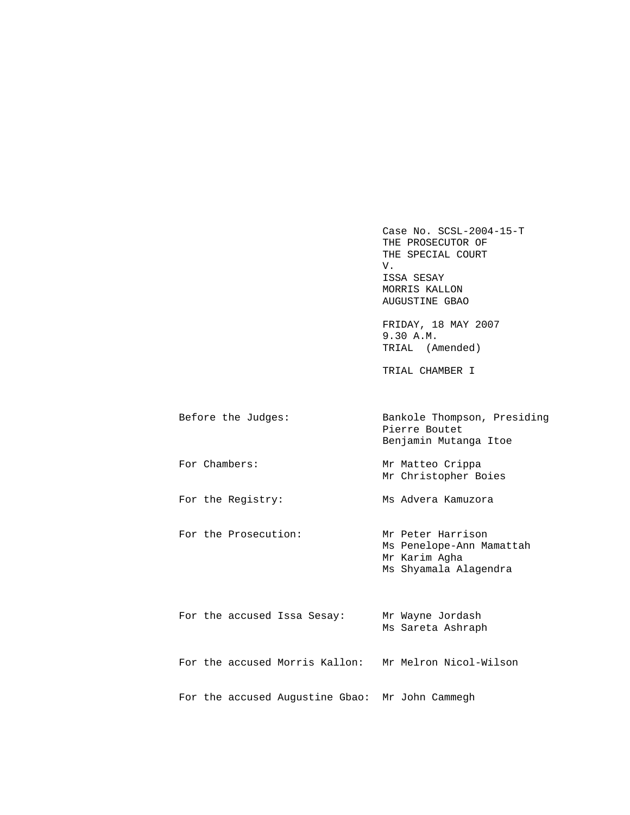Case No. SCSL-2004-15-T THE PROSECUTOR OF THE SPECIAL COURT<br>V. V. ISSA SESAY MORRIS KALLON AUGUSTINE GBAO

> FRIDAY, 18 MAY 2007 9.30 A.M. TRIAL (Amended)

TRIAL CHAMBER I

| Before the Judges: | Bankole Thompson, Presiding<br>Pierre Boutet<br>Benjamin Mutanga Itoe |
|--------------------|-----------------------------------------------------------------------|
| For Chambers:      | Mr Matteo Crippa                                                      |

Mr Christopher Boies

For the Registry: Ms Advera Kamuzora

For the Prosecution: Mr Peter Harrison Ms Penelope-Ann Mamattah Mr Karim Agha Ms Shyamala Alagendra

|  |  | For the accused Issa Sesay:                     | Mr Wayne Jordash<br>Ms Sareta Ashraph |
|--|--|-------------------------------------------------|---------------------------------------|
|  |  | For the accused Morris Kallon:                  | Mr Melron Nicol-Wilson                |
|  |  | For the accused Augustine Gbao: Mr John Cammegh |                                       |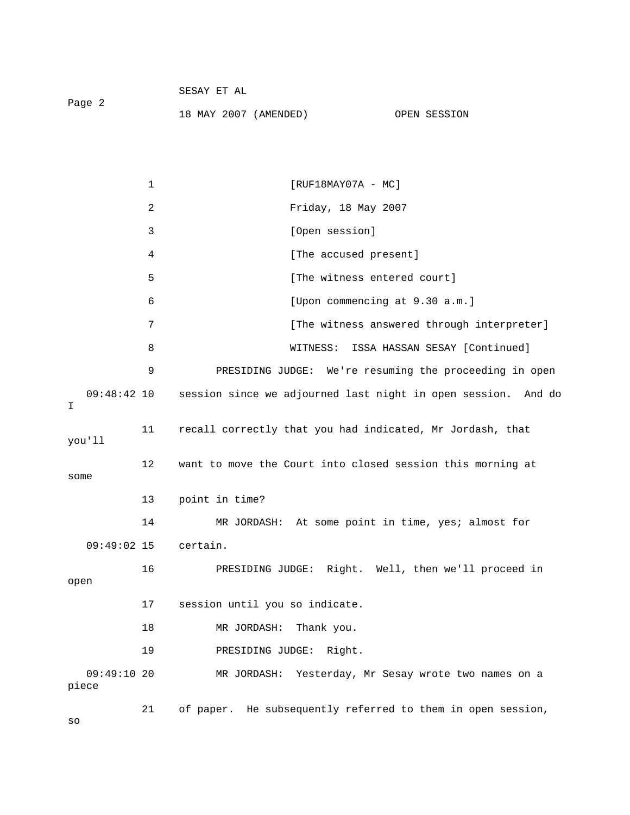|        | SESAY ET AL           |              |
|--------|-----------------------|--------------|
| Page 2 |                       |              |
|        | 18 MAY 2007 (AMENDED) | OPEN SESSION |

|                     | $\mathbf 1$ | $[RUF18MAY07A - MC]$                                          |
|---------------------|-------------|---------------------------------------------------------------|
|                     | 2           | Friday, 18 May 2007                                           |
|                     | 3           | [Open session]                                                |
|                     | 4           | [The accused present]                                         |
|                     | 5           | [The witness entered court]                                   |
|                     | 6           | [Upon commencing at 9.30 a.m.]                                |
|                     | 7           | [The witness answered through interpreter]                    |
|                     | 8           | ISSA HASSAN SESAY [Continued]<br>WITNESS:                     |
|                     | 9           | PRESIDING JUDGE: We're resuming the proceeding in open        |
| $09:48:42$ 10<br>I. |             | session since we adjourned last night in open session. And do |
| you'll              | 11          | recall correctly that you had indicated, Mr Jordash, that     |
| some                | 12          | want to move the Court into closed session this morning at    |
|                     | 13          | point in time?                                                |
|                     | 14          | MR JORDASH: At some point in time, yes; almost for            |
| $09:49:02$ 15       |             | certain.                                                      |
| open                | 16          | PRESIDING JUDGE: Right. Well, then we'll proceed in           |
|                     | 17          | session until you so indicate.                                |
|                     | 18          | MR JORDASH:<br>Thank you.                                     |
|                     | 19          | PRESIDING JUDGE: Right.                                       |
| 09:49:1020<br>piece |             | Yesterday, Mr Sesay wrote two names on a<br>MR JORDASH:       |
|                     | 21          | of paper. He subsequently referred to them in open session,   |

so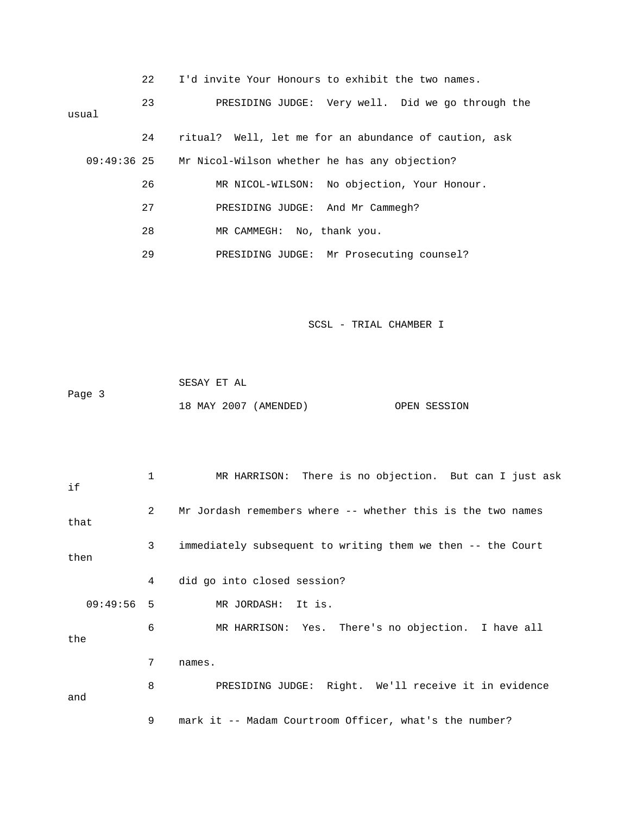|       | 22            | I'd invite Your Honours to exhibit the two names.     |
|-------|---------------|-------------------------------------------------------|
| usual | 23            | PRESIDING JUDGE: Very well. Did we go through the     |
|       | 24            | ritual? Well, let me for an abundance of caution, ask |
|       | $09:49:36$ 25 | Mr Nicol-Wilson whether he has any objection?         |
|       | 26            | MR NICOL-WILSON: No objection, Your Honour.           |
|       | 27            | PRESIDING JUDGE: And Mr Cammegh?                      |
|       | 28            | MR CAMMEGH: No, thank you.                            |
|       | 29            | PRESIDING JUDGE: Mr Prosecuting counsel?              |

|        | SESAY ET AL |                       |              |
|--------|-------------|-----------------------|--------------|
| Page 3 |             |                       |              |
|        |             | 18 MAY 2007 (AMENDED) | OPEN SESSION |

| if           | $\mathbf{1}$   | MR HARRISON: There is no objection. But can I just ask      |
|--------------|----------------|-------------------------------------------------------------|
| that         | $\overline{2}$ | Mr Jordash remembers where -- whether this is the two names |
| then         | 3              | immediately subsequent to writing them we then -- the Court |
|              | 4              | did go into closed session?                                 |
| $09:49:56$ 5 |                | MR JORDASH: It is.                                          |
| the          | 6              | MR HARRISON: Yes. There's no objection. I have all          |
|              | 7              | names.                                                      |
| and          | 8              | PRESIDING JUDGE: Right. We'll receive it in evidence        |
|              | 9              | mark it -- Madam Courtroom Officer, what's the number?      |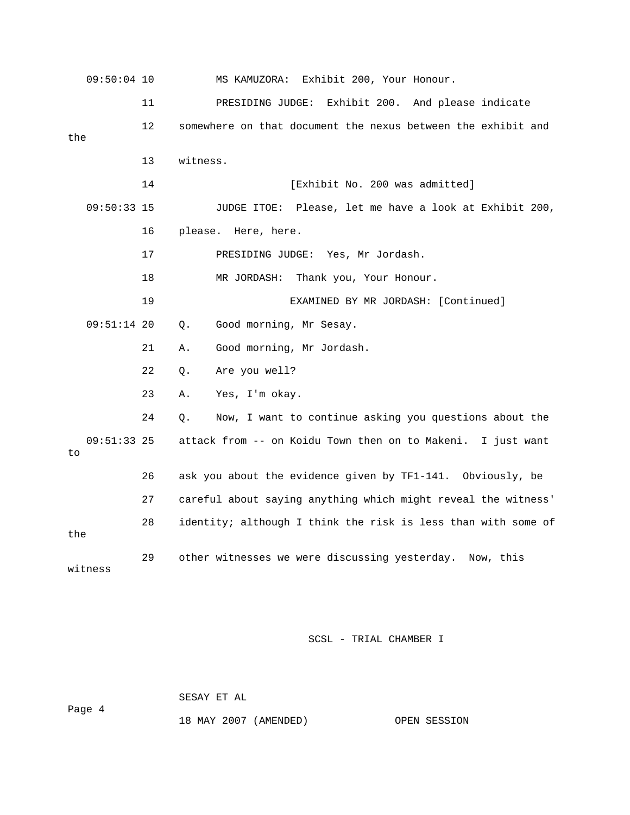09:50:04 10 MS KAMUZORA: Exhibit 200, Your Honour. 11 PRESIDING JUDGE: Exhibit 200. And please indicate 12 somewhere on that document the nexus between the exhibit and the 13 witness. 14 **Interval Exhibit No. 200 was admitted**] 09:50:33 15 JUDGE ITOE: Please, let me have a look at Exhibit 200, 16 please. Here, here. 17 PRESIDING JUDGE: Yes, Mr Jordash. 18 MR JORDASH: Thank you, Your Honour. 19 EXAMINED BY MR JORDASH: [Continued] 09:51:14 20 Q. Good morning, Mr Sesay. 21 A. Good morning, Mr Jordash. 22 Q. Are you well? 23 A. Yes, I'm okay. 24 Q. Now, I want to continue asking you questions about the 09:51:33 25 attack from -- on Koidu Town then on to Makeni. I just want to 26 ask you about the evidence given by TF1-141. Obviously, be 27 careful about saying anything which might reveal the witness' 28 identity; although I think the risk is less than with some of the 29 other witnesses we were discussing yesterday. Now, this witness

SCSL - TRIAL CHAMBER I

Page 4

SESAY ET AL

18 MAY 2007 (AMENDED) OPEN SESSION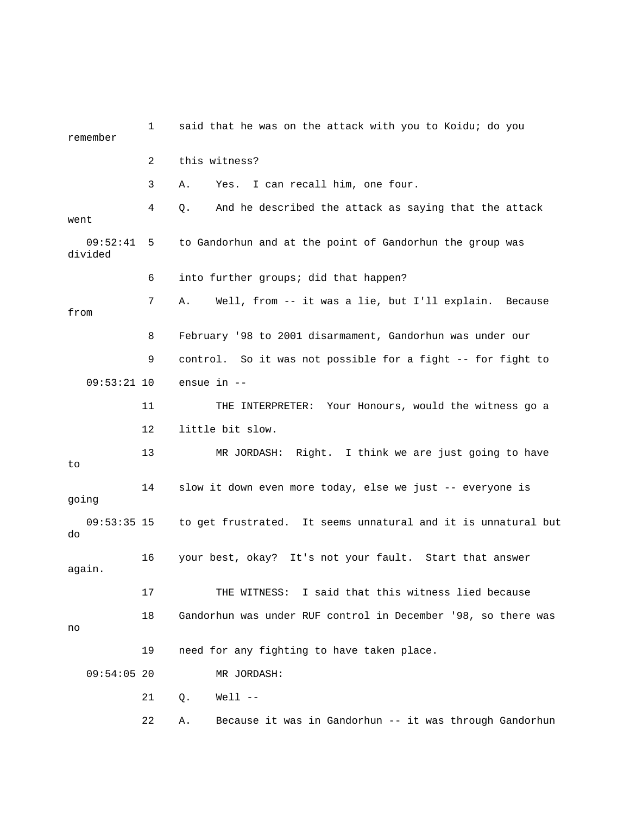1 said that he was on the attack with you to Koidu; do you remember 2 this witness? 3 A. Yes. I can recall him, one four. 4 Q. And he described the attack as saying that the attack went 09:52:41 5 to Gandorhun and at the point of Gandorhun the group was divided 6 into further groups; did that happen? 7 A. Well, from -- it was a lie, but I'll explain. Because from 8 February '98 to 2001 disarmament, Gandorhun was under our 9 control. So it was not possible for a fight -- for fight to 09:53:21 10 ensue in -- 11 THE INTERPRETER: Your Honours, would the witness go a 12 little bit slow. 13 MR JORDASH: Right. I think we are just going to have to 14 slow it down even more today, else we just -- everyone is going 09:53:35 15 to get frustrated. It seems unnatural and it is unnatural but do 16 your best, okay? It's not your fault. Start that answer again. 17 THE WITNESS: I said that this witness lied because 18 Gandorhun was under RUF control in December '98, so there was no 19 need for any fighting to have taken place. 09:54:05 20 MR JORDASH: 21 Q. Well -- 22 A. Because it was in Gandorhun -- it was through Gandorhun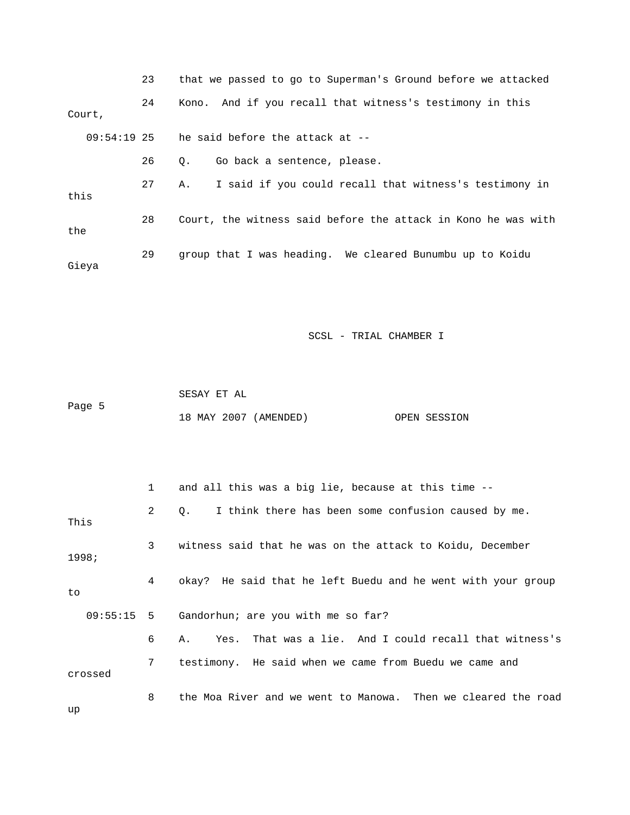|               | 23 | that we passed to go to Superman's Ground before we attacked  |
|---------------|----|---------------------------------------------------------------|
| Court,        | 24 | Kono. And if you recall that witness's testimony in this      |
| $09:54:19$ 25 |    | he said before the attack at --                               |
|               | 26 | Go back a sentence, please.<br>О.                             |
| this          | 27 | I said if you could recall that witness's testimony in<br>Α.  |
| the           | 28 | Court, the witness said before the attack in Kono he was with |
| Gieya         | 29 | group that I was heading. We cleared Bunumbu up to Koidu      |

|        | SESAY ET AL |                       |              |
|--------|-------------|-----------------------|--------------|
| Page 5 |             |                       |              |
|        |             | 18 MAY 2007 (AMENDED) | OPEN SESSION |

|         |              | and all this was a big lie, because at this time --                |
|---------|--------------|--------------------------------------------------------------------|
| This    | $\mathbf{2}$ | I think there has been some confusion caused by me.<br>$Q_{\star}$ |
| 1998;   | 3            | witness said that he was on the attack to Koidu, December          |
| to      | 4            | okay? He said that he left Buedu and he went with your group       |
|         |              | $09:55:15$ 5 Gandorhun; are you with me so far?                    |
|         | 6            | Yes. That was a lie. And I could recall that witness's<br>A.,      |
| crossed | 7            | testimony. He said when we came from Buedu we came and             |
|         | 8            | the Moa River and we went to Manowa. Then we cleared the road      |

up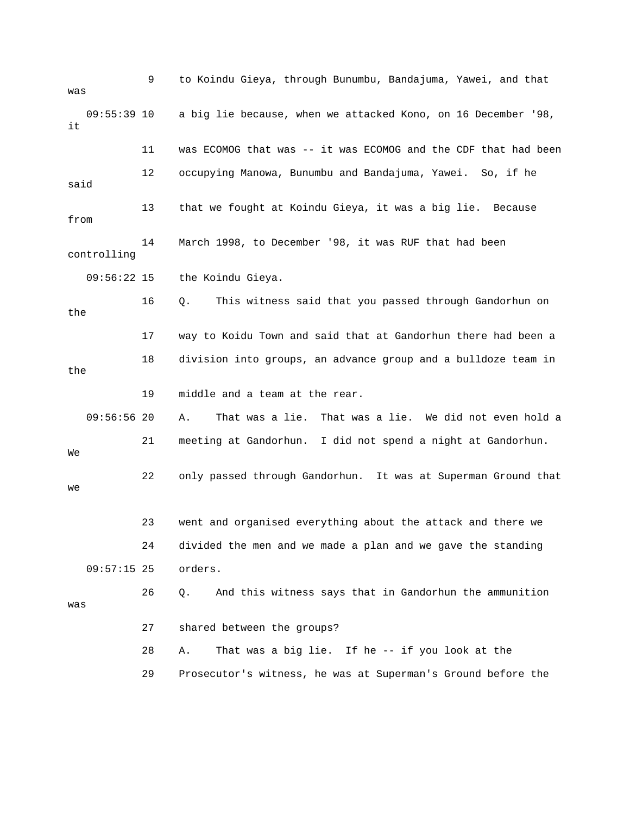9 to Koindu Gieya, through Bunumbu, Bandajuma, Yawei, and that was 09:55:39 10 a big lie because, when we attacked Kono, on 16 December '98, it 11 was ECOMOG that was -- it was ECOMOG and the CDF that had been 12 occupying Manowa, Bunumbu and Bandajuma, Yawei. So, if he said 13 that we fought at Koindu Gieya, it was a big lie. Because from 14 March 1998, to December '98, it was RUF that had been controlling 09:56:22 15 the Koindu Gieya. 16 Q. This witness said that you passed through Gandorhun on the 17 way to Koidu Town and said that at Gandorhun there had been a 18 division into groups, an advance group and a bulldoze team in the 19 middle and a team at the rear. 09:56:56 20 A. That was a lie. That was a lie. We did not even hold a 21 meeting at Gandorhun. I did not spend a night at Gandorhun. We 22 only passed through Gandorhun. It was at Superman Ground that we 23 went and organised everything about the attack and there we 09:57:15 25 orders. 26 Q. And this witness says that in Gandorhun the ammunition 27 shared between the groups? 28 A. That was a big lie. If he -- if you look at the 29 Prosecutor's witness, he was at Superman's Ground before the 24 divided the men and we made a plan and we gave the standing was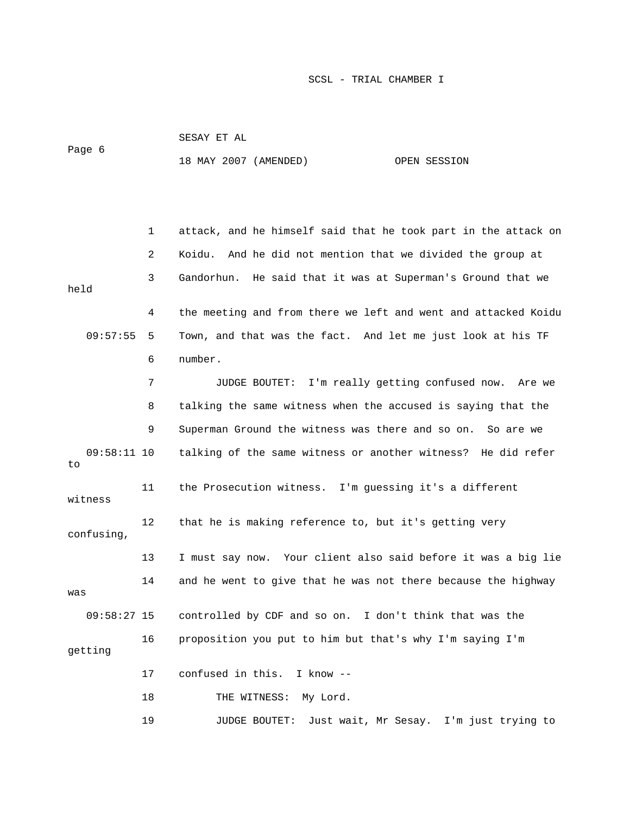| Page 6              |    | SESAY ET AL                                                    |
|---------------------|----|----------------------------------------------------------------|
|                     |    | 18 MAY 2007 (AMENDED)<br>OPEN SESSION                          |
|                     |    |                                                                |
|                     |    |                                                                |
|                     | 1  | attack, and he himself said that he took part in the attack on |
|                     | 2  | Koidu. And he did not mention that we divided the group at     |
| held                | 3  | Gandorhun. He said that it was at Superman's Ground that we    |
|                     | 4  | the meeting and from there we left and went and attacked Koidu |
| 09:57:55            | 5  | Town, and that was the fact. And let me just look at his TF    |
|                     | 6  | number.                                                        |
|                     | 7  | JUDGE BOUTET: I'm really getting confused now.<br>Are we       |
|                     | 8  | talking the same witness when the accused is saying that the   |
|                     | 9  | Superman Ground the witness was there and so on. So are we     |
| $09:58:11$ 10<br>to |    | talking of the same witness or another witness? He did refer   |
| witness             | 11 | the Prosecution witness. I'm guessing it's a different         |
| confusing,          | 12 | that he is making reference to, but it's getting very          |
|                     | 13 | I must say now. Your client also said before it was a big lie  |
| was                 | 14 | and he went to give that he was not there because the highway  |
| $09:58:27$ 15       |    | controlled by CDF and so on. I don't think that was the        |
| getting             | 16 | proposition you put to him but that's why I'm saying I'm       |
|                     | 17 | confused in this. I know --                                    |
|                     | 18 | THE WITNESS: My Lord.                                          |
|                     | 19 | Just wait, Mr Sesay. I'm just trying to<br>JUDGE BOUTET:       |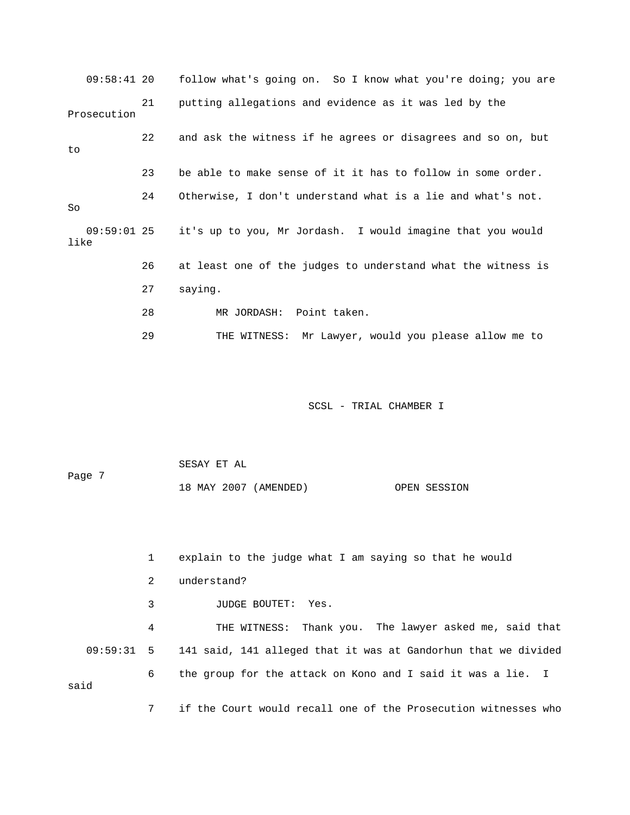09:58:41 20 follow what's going on. So I know what you're doing; you are 21 putting allegations and evidence as it was led by the 22 and ask the witness if he agrees or disagrees and so on, but 23 be able to make sense of it it has to follow in some order. 27 saying. 28 MR JORDASH: Point taken. uld you please allow me to 29 THE WITNESS: Mr Lawyer, wo Prosecution to 24 Otherwise, I don't understand what is a lie and what's not. So 09:59:01 25 it's up to you, Mr Jordash. I would imagine that you would like 26 at least one of the judges to understand what the witness is

SCSL - TRIAL CHAMBER I

 SESAY ET AL Page 7 18 MAY 2007 (AMENDED) OPEN SESSION

1 explain to the judge what I am saying so that he would

2 understand?

3 JUDGE BOUTET: Yes.

4 THE WITNESS: Thank you. The lawyer asked me, said that 09:59:31 5 141 said, 141 alleged that it was at Gandorhun that we divided 6 the group for the attack on Kono and I said it was a lie. I said

7 if the Court would recall one of the Prosecution witnesses who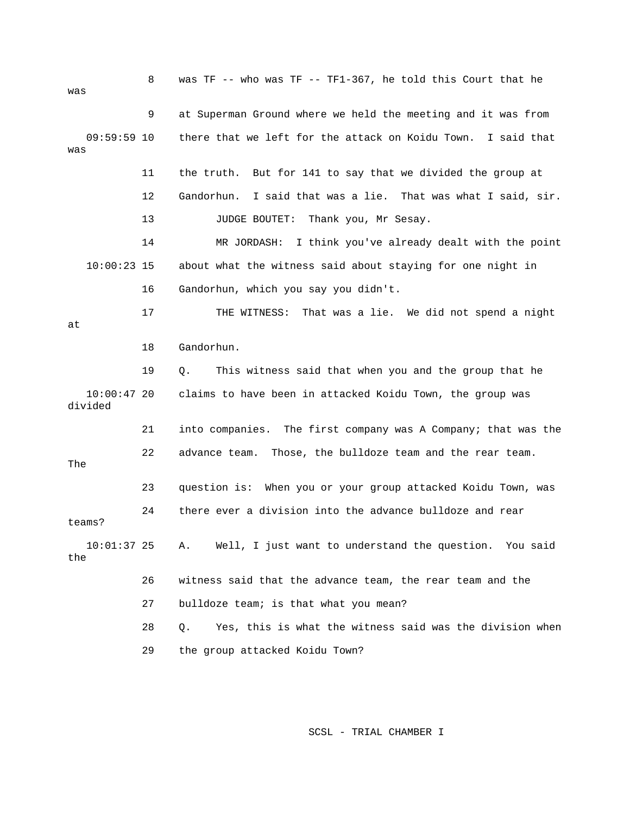| was |                          | 8  | was TF -- who was TF -- TF1-367, he told this Court that he     |
|-----|--------------------------|----|-----------------------------------------------------------------|
|     |                          | 9  | at Superman Ground where we held the meeting and it was from    |
| was | $09:59:59$ 10            |    | there that we left for the attack on Koidu Town. I said that    |
|     |                          | 11 | the truth. But for 141 to say that we divided the group at      |
|     |                          | 12 | I said that was a lie. That was what I said, sir.<br>Gandorhun. |
|     |                          | 13 | JUDGE BOUTET:<br>Thank you, Mr Sesay.                           |
|     |                          | 14 | I think you've already dealt with the point<br>MR JORDASH:      |
|     | $10:00:23$ 15            |    | about what the witness said about staying for one night in      |
|     |                          | 16 | Gandorhun, which you say you didn't.                            |
| at  |                          | 17 | THE WITNESS:<br>That was a lie. We did not spend a night        |
|     |                          | 18 | Gandorhun.                                                      |
|     |                          | 19 | This witness said that when you and the group that he<br>Q.     |
|     | $10:00:47$ 20<br>divided |    | claims to have been in attacked Koidu Town, the group was       |
|     |                          | 21 | into companies. The first company was A Company; that was the   |
| The |                          | 22 | advance team.<br>Those, the bulldoze team and the rear team.    |
|     |                          | 23 | question is: When you or your group attacked Koidu Town, was    |
|     | teams?                   | 24 | there ever a division into the advance bulldoze and rear        |
| the | $10:01:37$ 25            |    | Well, I just want to understand the question. You said<br>Α.    |
|     |                          | 26 | witness said that the advance team, the rear team and the       |
|     |                          | 27 | bulldoze team; is that what you mean?                           |
|     |                          | 28 | Yes, this is what the witness said was the division when<br>Q.  |
|     |                          | 29 | the group attacked Koidu Town?                                  |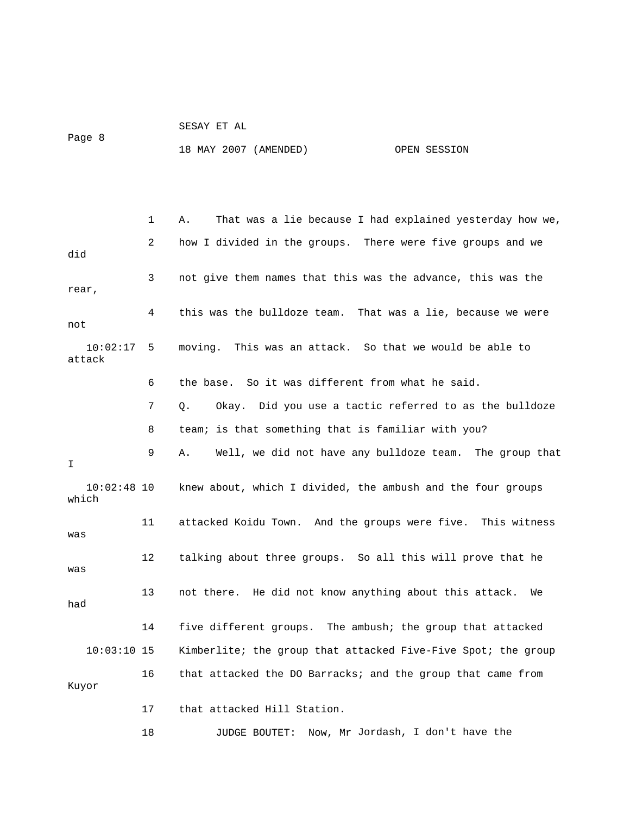|        |  |  | SESAY ET AL |  |
|--------|--|--|-------------|--|
| Page 8 |  |  |             |  |

18 MAY 2007 (AMENDED) OPEN SESSION

 1 A. That was a lie because I had explained yesterday how we, did 3 not give them names that this was the advance, this was the rear, 4 this was the bulldoze team. That was a lie, because we were not moving. This was an attack. So that we would be able to attack 6 the base. So it was different from what he said. 7 Q. Okay. Did you use a tactic referred to as the bulldoze 9 A. Well, we did not have any bulldoze team. The group that 10:02:48 10 knew about, which I divided, the ambush and the four groups which 11 attacked Koidu Town. And the groups were five. This witness was 12 talking about three groups. So all this will prove that he was 13 not there. He did not know anything about this attack. We had 14 five different groups. The ambush; the group that attacked 17 that attacked Hill Station. 18 JUDGE BOUTET: Now, Mr Jordash, I don't have the 2 how I divided in the groups. There were five groups and we  $10:02:17$  5 8 team; is that something that is familiar with you? I 10:03:10 15 Kimberlite; the group that attacked Five-Five Spot; the group 16 that attacked the DO Barracks; and the group that came from Kuyor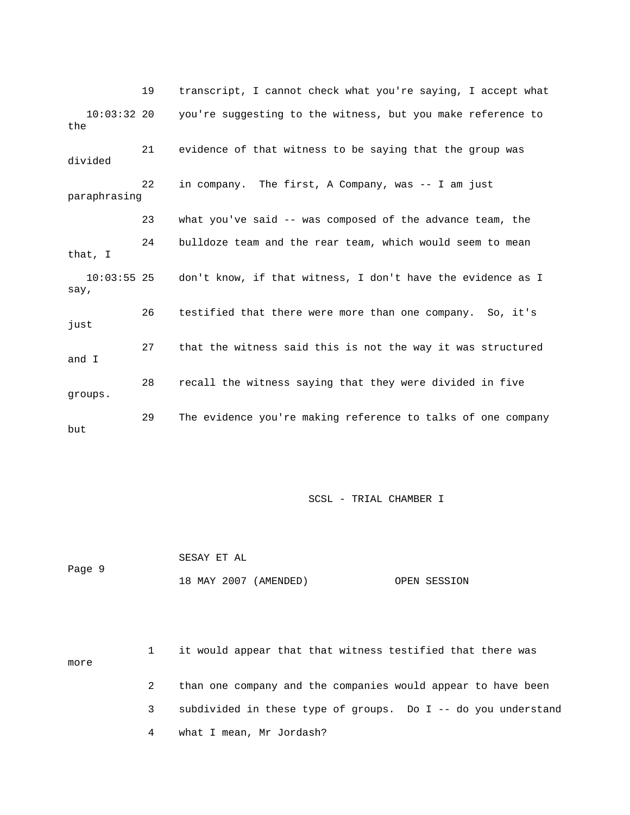19 transcript, I cannot check what you're saying, I accept what 21 evidence of that witness to be saying that the group was 22 in company. The first, A Company, was -- I am just what you've said -- was composed of the advance team, the that, I 55 25 don't know, if that witness, I don't have the evidence as I  $\mathop{\rm say}\nolimits$  , 26 testified that there were more than one company. So, it's just 27 that the witness said this is not the way it was structured and I 28 recall the witness saying that they were divided in five groups. 29 The evidence you're making reference to talks of one company but 10:03:32 20 you're suggesting to the witness, but you make reference to the divided paraphrasing 23 24 bulldoze team and the rear team, which would seem to mean 10:03:

SCSL - TRIAL CHAMBER I

|        | SESAY ET AL           |              |
|--------|-----------------------|--------------|
| Page 9 |                       |              |
|        | 18 MAY 2007 (AMENDED) | OPEN SESSION |

 1 it would appear that that witness testified that there was more 2 than one company and the companies would appear to have been 3 subdivided in these type of groups. Do I -- do you understand 4 what I mean, Mr Jordash?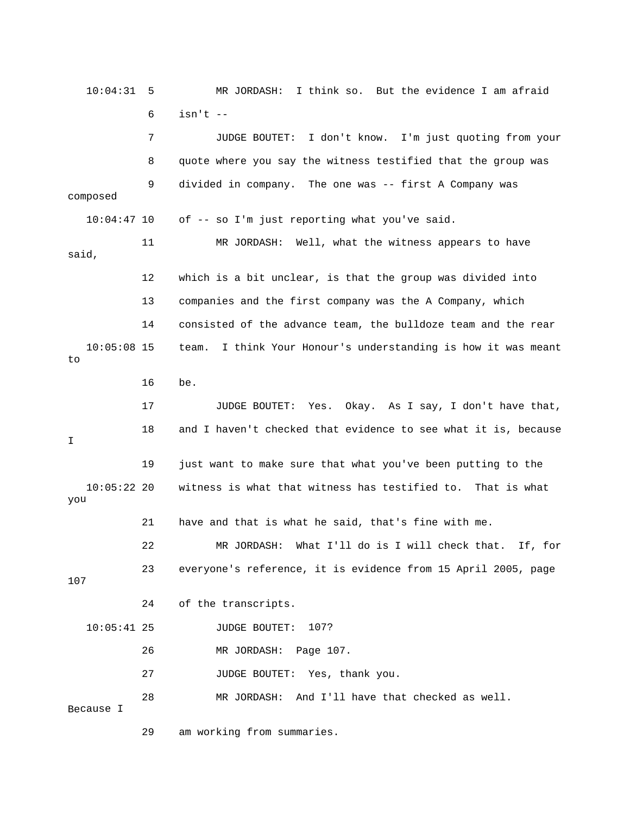10:04:31 5 MR JORDASH: I think so. But the evidence I am afraid 7 JUDGE BOUTET: I don't know. I'm just quoting from your of -- so I'm just reporting what you've said. 11 MR JORDASH: Well, what the witness appears to have said, 12 which is a bit unclear, is that the group was divided into 14 consisted of the advance team, the bulldoze team and the rear 16 be. JUDGE BOUTET: Yes. Okay. As I say, I don't have that, 19 just want to make sure that what you've been putting to the you 21 have and that is what he said, that's fine with me. 22 MR JORDASH: What I'll do is I will check that. If, for 24 of the transcripts. 10:05:41 25 JUDGE BOUTET: 107? 26 MR JORDASH: Page 107. 27 JUDGE BOUTET: Yes, thank you. 28 MR JORDASH: And I'll have that checked as well. Because I 29 am working from summaries. 6 isn't -- 8 quote where you say the witness testified that the group was 9 divided in company. The one was -- first A Company was composed 10:04:4 13 companies and the first company was the A Company, which 10:05:08 15 team. I think Your Honour's understanding is how it was meant to 17 18 and I haven't checked that evidence to see what it is, because I 10:05:22 20 witness is what that witness has testified to. That is what 23 everyone's reference, it is evidence from 15 April 2005, page 107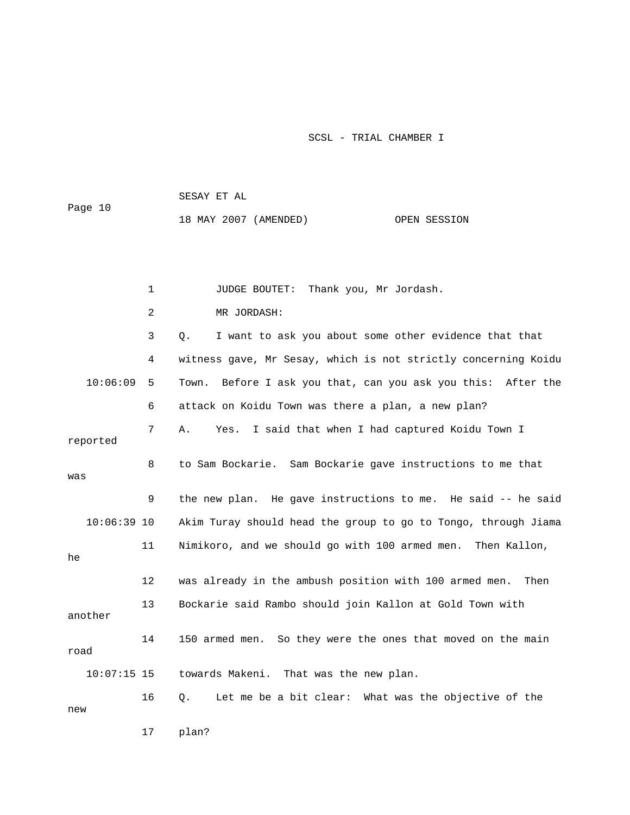1 JUDGE BOUTET: Thank you, Mr Jordash. 3 Q. I want to ask you about some other evidence that that 4 witness gave, Mr Sesay, which is not strictly concerning Koidu 7 A. Yes. I said that when I had captured Koidu Town I 8 to Sam Bockarie. Sam Bockarie gave instructions to me that 9 the new plan. He gave instructions to me. He said -- he said 14 150 armed men. So they were the ones that moved on the main towards Makeni. That was the new plan. 16 Q. Let me be a bit clear: What was the objective of the new 17 plan? 18 MAY 2007 (AMENDED) OPEN SESSION 2 MR JORDASH: 10:06:09 5 Town. Before I ask you that, can you ask you this: After the 6 attack on Koidu Town was there a plan, a new plan? reported was 10:06:39 10 Akim Turay should head the group to go to Tongo, through Jiama 11 Nimikoro, and we should go with 100 armed men. Then Kallon, he 12 was already in the ambush position with 100 armed men. Then 13 Bockarie said Rambo should join Kallon at Gold Town with another road  $10:07:15$  15

Page 10

SESAY ET AL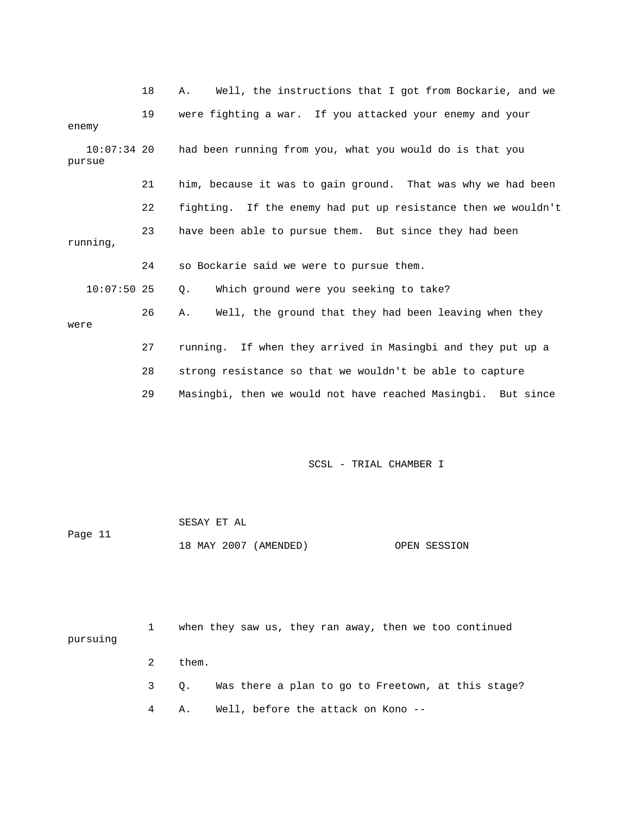|                         | 18 | Well, the instructions that I got from Bockarie, and we<br>Α. |
|-------------------------|----|---------------------------------------------------------------|
| enemy                   | 19 | were fighting a war. If you attacked your enemy and your      |
| $10:07:34$ 20<br>pursue |    | had been running from you, what you would do is that you      |
|                         | 21 | him, because it was to gain ground. That was why we had been  |
|                         | 22 | fighting. If the enemy had put up resistance then we wouldn't |
| running,                | 23 | have been able to pursue them. But since they had been        |
|                         | 24 | so Bockarie said we were to pursue them.                      |
| $10:07:50$ 25           |    | Which ground were you seeking to take?<br>Q.                  |
| were                    | 26 | Well, the ground that they had been leaving when they<br>Α.   |
|                         | 27 | running. If when they arrived in Masingbi and they put up a   |
|                         | 28 | strong resistance so that we wouldn't be able to capture      |
|                         | 29 | Masingbi, then we would not have reached Masingbi. But since  |
|                         |    |                                                               |

|         | SESAY ET AL           |              |
|---------|-----------------------|--------------|
| Page 11 |                       |              |
|         | 18 MAY 2007 (AMENDED) | OPEN SESSION |

| pursuing |   |       |  |  |  | when they saw us, they ran away, then we too continued |  |                                                         |  |
|----------|---|-------|--|--|--|--------------------------------------------------------|--|---------------------------------------------------------|--|
|          | 2 | them. |  |  |  |                                                        |  |                                                         |  |
|          |   |       |  |  |  |                                                        |  | 3 Q. Was there a plan to go to Freetown, at this stage? |  |
|          |   | А.    |  |  |  | Well, before the attack on Kono --                     |  |                                                         |  |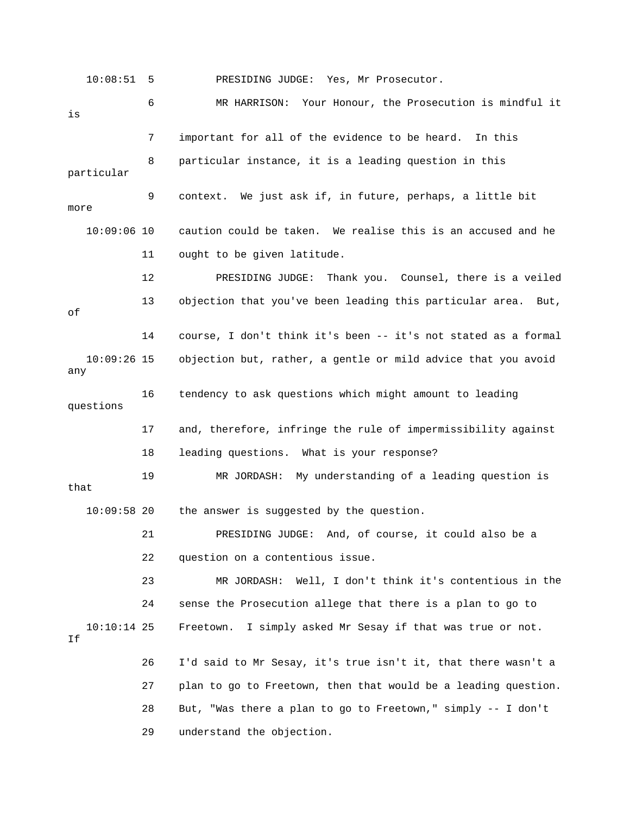10:08:51 5 PRESIDING JUDGE: Yes, Mr Prosecutor.

 6 MR HARRISON: Your Honour, the Prosecution is mindful it 9 context. We just ask if, in future, perhaps, a little bit 10:09:06 10 caution could be taken. We realise this is an accused and he 11 ought to be given latitude. 12 PRESIDING JUDGE: Thank you. Counsel, there is a veiled 10:09:26 15 objection but, rather, a gentle or mild advice that you avoid 17 and, therefore, infringe the rule of impermissibility against 18 leading questions. What is your response? 21 PRESIDING JUDGE: And, of course, it could also be a 22 question on a contentious issue. 23 MR JORDASH: Well, I don't think it's contentious in the 24 sense the Prosecution allege that there is a plan to go to 10:10:14 25 Freetown. I simply asked Mr Sesay if that was true or not. 27 plan to go to Freetown, then that would be a leading question. 28 But, "Was there a plan to go to Freetown," simply -- I don't 29 understand the objection. is 7 important for all of the evidence to be heard. In this 8 particular instance, it is a leading question in this particular more 13 objection that you've been leading this particular area. But, of 14 course, I don't think it's been -- it's not stated as a formal any 16 tendency to ask questions which might amount to leading questions 19 MR JORDASH: My understanding of a leading question is that 10:09:58 20 the answer is suggested by the question. If 26 I'd said to Mr Sesay, it's true isn't it, that there wasn't a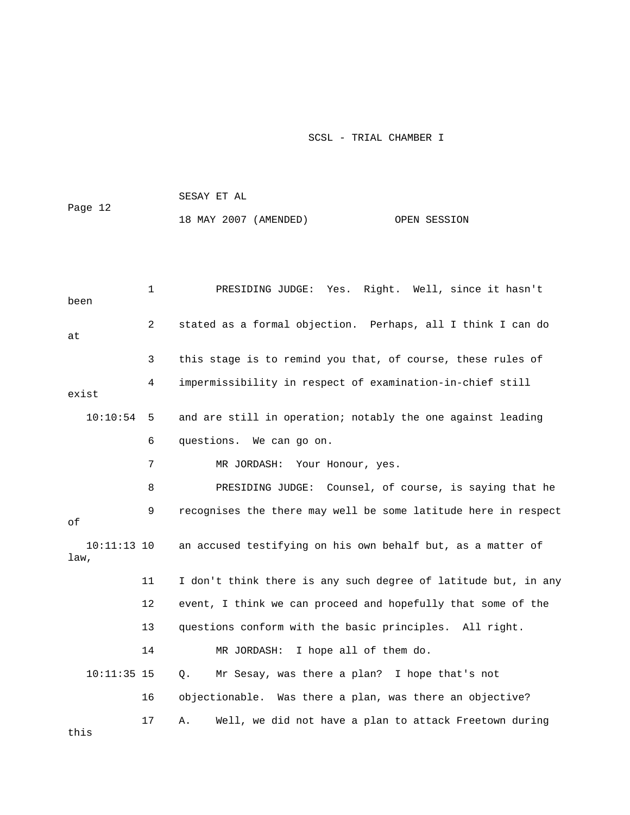|                       |              | 18 MAY 2007 (AMENDED)<br>OPEN SESSION                          |
|-----------------------|--------------|----------------------------------------------------------------|
|                       |              |                                                                |
| been                  | $\mathbf{1}$ | Yes. Right. Well, since it hasn't<br>PRESIDING JUDGE:          |
| at                    | 2            | stated as a formal objection. Perhaps, all I think I can do    |
|                       | 3            | this stage is to remind you that, of course, these rules of    |
| exist                 | 4            | impermissibility in respect of examination-in-chief still      |
| 10:10:54              | 5            | and are still in operation; notably the one against leading    |
|                       | 6            | questions. We can go on.                                       |
|                       | 7            | MR JORDASH:<br>Your Honour, yes.                               |
|                       | 8            | PRESIDING JUDGE: Counsel, of course, is saying that he         |
| оf                    | 9            | recognises the there may well be some latitude here in respect |
| $10:11:13$ 10<br>law, |              | an accused testifying on his own behalf but, as a matter of    |
|                       | 11           | I don't think there is any such degree of latitude but, in any |
|                       | 12           | event, I think we can proceed and hopefully that some of the   |
|                       | 13           | questions conform with the basic principles. All right.        |
|                       | 14           | MR JORDASH:<br>I hope all of them do.                          |
| $10:11:35$ 15         |              | Mr Sesay, was there a plan? I hope that's not<br>Q.            |
|                       | 16           | objectionable. Was there a plan, was there an objective?       |
| this                  | 17           | Well, we did not have a plan to attack Freetown during<br>Α.   |

SESAY ET AL

ge 12

Pa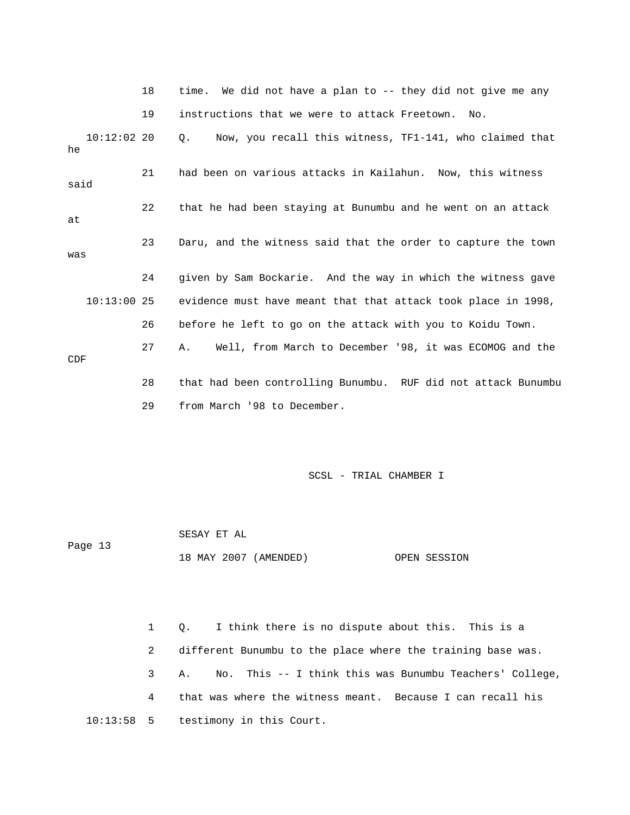18 time. We did not have a plan to -- they did not give me any 19 instructions that we were to attack Freetown. No.

 10:12:02 20 Q. Now, you recall this witness, TF1-141, who claimed that 26 before he left to go on the attack with you to Koidu Town. 27 A. Well, from March to December '98, it was ECOMOG and the 29 from March '98 to December. he 21 had been on various attacks in Kailahun. Now, this witness said 22 that he had been staying at Bunumbu and he went on an attack at 23 Daru, and the witness said that the order to capture the town was 24 given by Sam Bockarie. And the way in which the witness gave 10:13:00 25 evidence must have meant that that attack took place in 1998, CDF 28 that had been controlling Bunumbu. RUF did not attack Bunumbu

SCSL - TRIAL CHAMBER I

 SESAY ET AL Page 13 18 MAY 2007 (AMENDED) OPEN SESSION

 1 Q. I think there is no dispute about this. This is a 2 different Bunumbu to the place where the training base was. 3 A. No. This -- I think this was Bunumbu Teachers' College, 4 that was where the witness meant. Because I can recall his 10:13:58 5 testimony in this Court.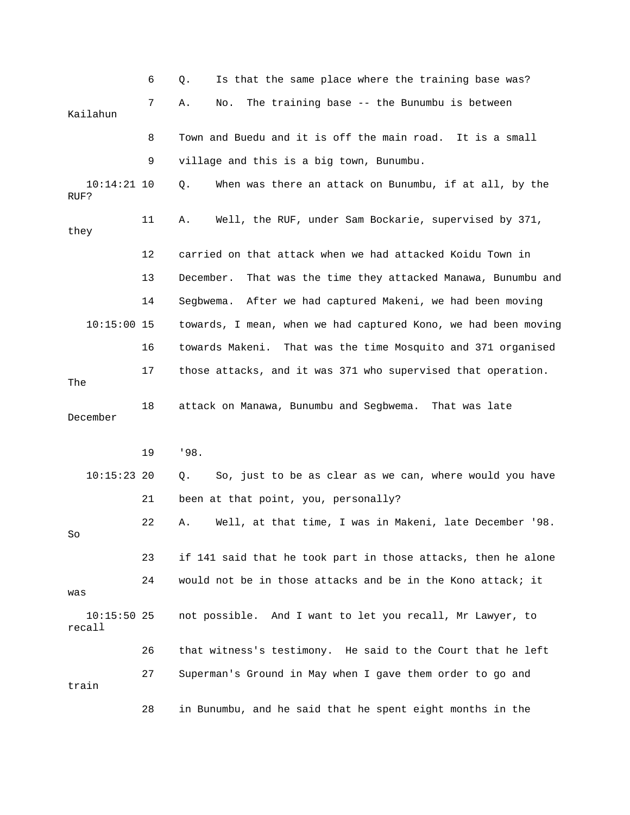|                         | 6  | Is that the same place where the training base was?<br>Q.        |
|-------------------------|----|------------------------------------------------------------------|
| Kailahun                | 7  | The training base -- the Bunumbu is between<br>Α.<br>No.         |
|                         | 8  | Town and Buedu and it is off the main road. It is a small        |
|                         | 9  | village and this is a big town, Bunumbu.                         |
| 10:14:21 10<br>RUF?     |    | When was there an attack on Bunumbu, if at all, by the<br>Q.     |
| they                    | 11 | Well, the RUF, under Sam Bockarie, supervised by 371,<br>Α.      |
|                         | 12 | carried on that attack when we had attacked Koidu Town in        |
|                         | 13 | December.<br>That was the time they attacked Manawa, Bunumbu and |
|                         | 14 | After we had captured Makeni, we had been moving<br>Segbwema.    |
| $10:15:00$ 15           |    | towards, I mean, when we had captured Kono, we had been moving   |
|                         | 16 | towards Makeni.<br>That was the time Mosquito and 371 organised  |
| The                     | 17 | those attacks, and it was 371 who supervised that operation.     |
| December                | 18 | attack on Manawa, Bunumbu and Segbwema. That was late            |
|                         | 19 | '98.                                                             |
| $10:15:23$ 20           |    | So, just to be as clear as we can, where would you have<br>Q.    |
|                         | 21 | been at that point, you, personally?                             |
| So                      | 22 | Well, at that time, I was in Makeni, late December '98.<br>Α.    |
|                         | 23 | if 141 said that he took part in those attacks, then he alone    |
| was                     | 24 | would not be in those attacks and be in the Kono attack; it      |
| $10:15:50$ 25<br>recall |    | not possible. And I want to let you recall, Mr Lawyer, to        |
|                         | 26 | that witness's testimony. He said to the Court that he left      |
| train                   | 27 | Superman's Ground in May when I gave them order to go and        |
|                         | 28 | in Bunumbu, and he said that he spent eight months in the        |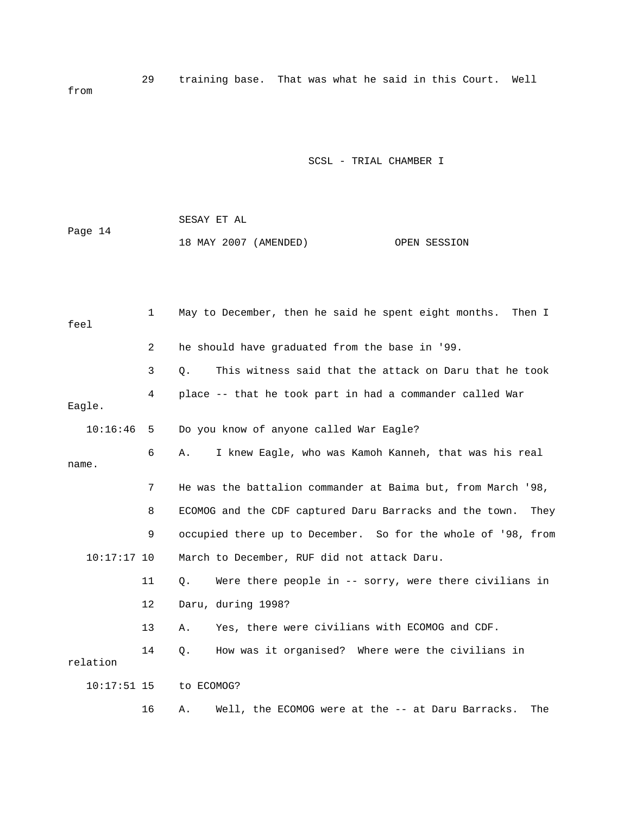29 training base. That was what he said in this Court. Well from

|         | SESAY ET AL |                       |              |
|---------|-------------|-----------------------|--------------|
| Page 14 |             |                       |              |
|         |             | 18 MAY 2007 (AMENDED) | OPEN SESSION |

| feel          | 1              | May to December, then he said he spent eight months. Then I     |
|---------------|----------------|-----------------------------------------------------------------|
|               | $\overline{2}$ | he should have graduated from the base in '99.                  |
|               | 3              | This witness said that the attack on Daru that he took<br>Q.    |
| Eagle.        | 4              | place -- that he took part in had a commander called War        |
| 10:16:46      | 5              | Do you know of anyone called War Eagle?                         |
| name.         | 6              | I knew Eagle, who was Kamoh Kanneh, that was his real<br>Α.     |
|               | 7              | He was the battalion commander at Baima but, from March '98,    |
|               | 8              | ECOMOG and the CDF captured Daru Barracks and the town.<br>They |
|               | 9              | occupied there up to December. So for the whole of '98, from    |
| $10:17:17$ 10 |                | March to December, RUF did not attack Daru.                     |
|               | 11             | Were there people in $-$ sorry, were there civilians in<br>О.   |
|               | $12 \,$        | Daru, during 1998?                                              |
|               | 13             | Yes, there were civilians with ECOMOG and CDF.<br>Α.            |
| relation      | 14             | How was it organised? Where were the civilians in<br>Q.         |
| $10:17:51$ 15 |                | to ECOMOG?                                                      |
|               | 16             | Well, the ECOMOG were at the -- at Daru Barracks.<br>The<br>Α.  |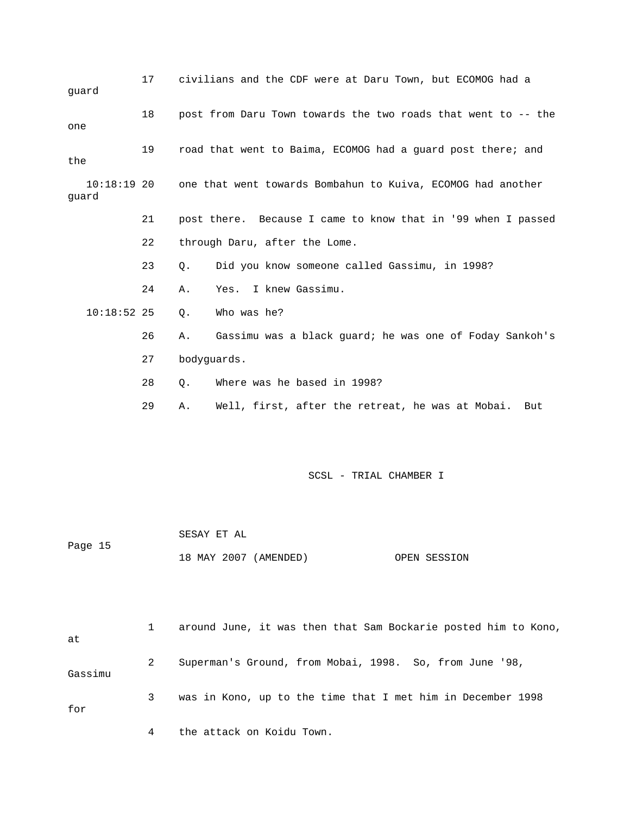| quard |               | 17          |                             | civilians and the CDF were at Daru Town, but ECOMOG had a     |
|-------|---------------|-------------|-----------------------------|---------------------------------------------------------------|
| one   |               | 18          |                             | post from Daru Town towards the two roads that went to -- the |
| the   |               | 19          |                             | road that went to Baima, ECOMOG had a guard post there; and   |
| quard | $10:18:19$ 20 |             |                             | one that went towards Bombahun to Kuiva, ECOMOG had another   |
|       |               | 21          |                             | post there. Because I came to know that in '99 when I passed  |
|       |               | 22          |                             | through Daru, after the Lome.                                 |
|       |               | 23          | $Q$ .                       | Did you know someone called Gassimu, in 1998?                 |
|       |               | 24          | Α.                          | Yes. I knew Gassimu.                                          |
|       | $10:18:52$ 25 |             | $Q$ .                       | Who was he?                                                   |
|       |               | 26          | Α.                          | Gassimu was a black guard; he was one of Foday Sankoh's       |
|       | 27            | bodyguards. |                             |                                                               |
|       | 28            | $Q$ .       | Where was he based in 1998? |                                                               |
|       |               | 29          | Α.                          | Well, first, after the retreat, he was at Mobai. But          |
|       |               |             |                             |                                                               |

|         | SESAY ET AL           |              |
|---------|-----------------------|--------------|
| Page 15 |                       |              |
|         | 18 MAY 2007 (AMENDED) | OPEN SESSION |

| at      |   | around June, it was then that Sam Bockarie posted him to Kono, |
|---------|---|----------------------------------------------------------------|
| Gassimu | 2 | Superman's Ground, from Mobai, 1998. So, from June '98,        |
| for     | 3 | was in Kono, up to the time that I met him in December 1998    |
|         | 4 | the attack on Koidu Town.                                      |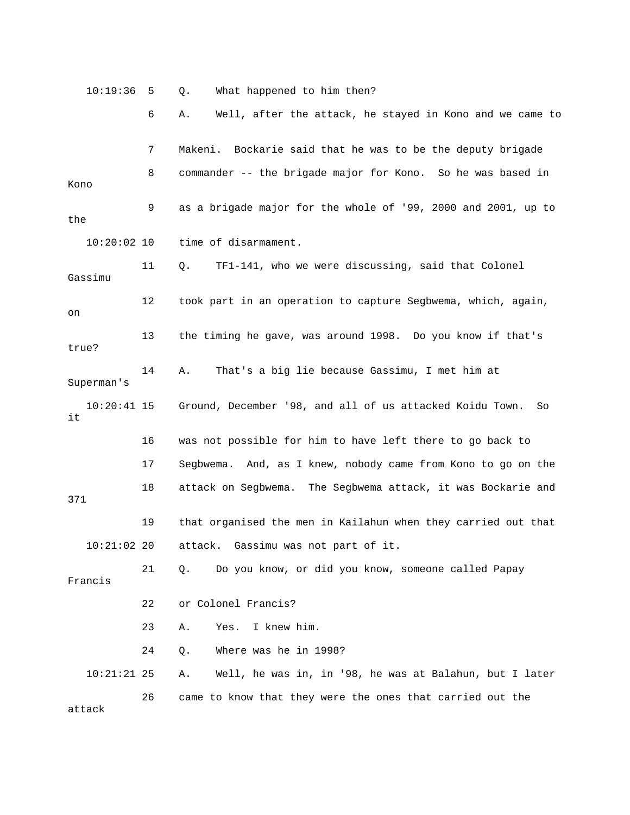10:19:36 5 Q. What happened to him then? 6 A. Well, after the attack, he stayed in Kono and we came to 7 Makeni. Bockarie said that he was to be the deputy brigade 8 commander -- the brigade major for Kono. So he was based in 9 as a brigade major for the whole of '99, 2000 and 2001, up to 10:20:02 10 time of disarmament. 15 Ground, December '98, and all of us attacked Koidu Town. So 16 was not possible for him to have left there to go back to 17 Segbwema. And, as I knew, nobody came from Kono to go on the 18 attack on Segbwema. The Segbwema attack, it was Bockarie and 19 that organised the men in Kailahun when they carried out that 21 Q. Do you know, or did you know, someone called Papay 22 or Colonel Francis? 23 A. Yes. I knew him. 24 Q. Where was he in 1998? 10:21:21 25 A. Well, he was in, in '98, he was at Balahun, but I later Kono the 11 Q. TF1-141, who we were discussing, said that Colonel Gassimu 12 took part in an operation to capture Segbwema, which, again, on 13 the timing he gave, was around 1998. Do you know if that's true? 14 A. That's a big lie because Gassimu, I met him at Superman's 10:20:41 it 371 10:21:02 20 attack. Gassimu was not part of it. Francis 26 came to know that they were the ones that carried out the attack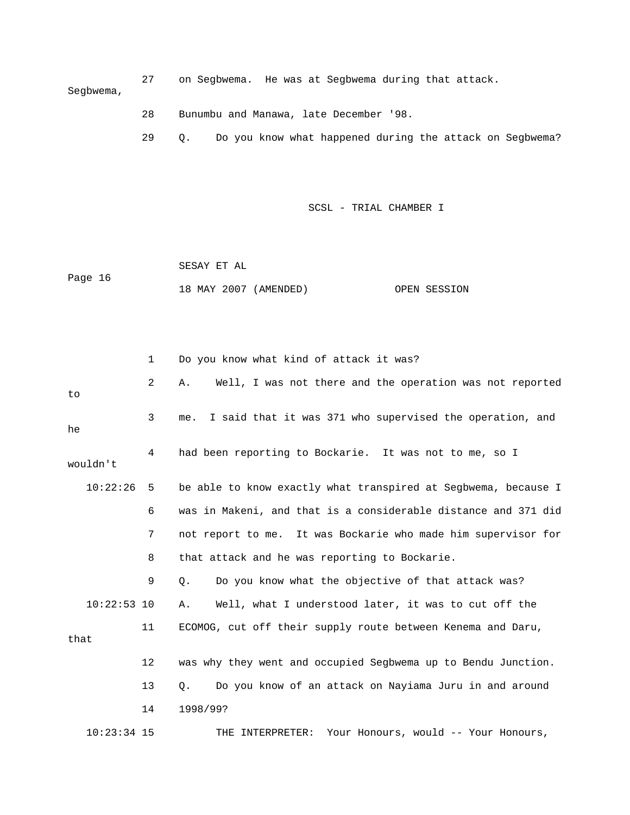27 on Segbwema. He was at Segbwema during that attack. Segbwema,

- 28 Bunumbu and Manawa, late December '98.
- 29 Q. Do you know what happened during the attack on Segbwema?

SCSL - TRIAL CHAMBER I

 SESAY ET AL Page 16 18 MAY 2007 (AMENDED) OPEN SESSION

 1 Do you know what kind of attack it was? 2 A. Well, I was not there and the operation was not reported 3 me. I said that it was 371 who supervised the operation, and 4 had been reporting to Bockarie. It was not to me, so I 10:22:26 5 be able to know exactly what transpired at Segbwema, because I 7 not report to me. It was Bockarie who made him supervisor for 8 that attack and he was reporting to Bockarie. 9 Q. Do you know what the objective of that attack was? 10:22:53 10 A. Well, what I understood later, it was to cut off the 11 ECOMOG, cut off their supply route between Kenema and Daru, 12 was why they went and occupied Segbwema up to Bendu Junction. 14 1998/99? 10:23:34 15 THE INTERPRETER: Your Honours, would -- Your Honours, to he wouldn't 6 was in Makeni, and that is a considerable distance and 371 did that 13 Q. Do you know of an attack on Nayiama Juru in and around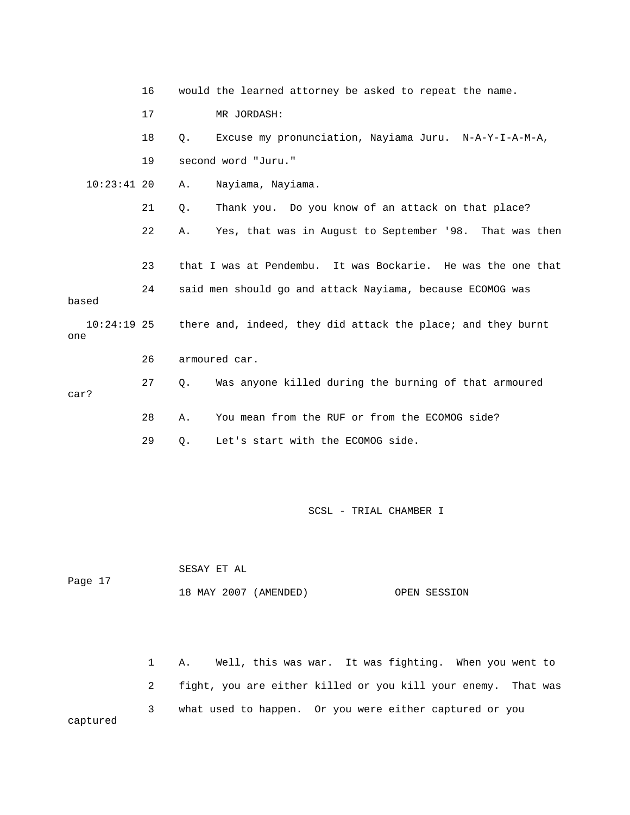|                      | 16 |       | would the learned attorney be asked to repeat the name.      |
|----------------------|----|-------|--------------------------------------------------------------|
|                      | 17 |       | MR JORDASH:                                                  |
|                      | 18 | Q.    | Excuse my pronunciation, Nayiama Juru. N-A-Y-I-A-M-A,        |
|                      | 19 |       | second word "Juru."                                          |
| $10:23:41$ 20        |    | Α.    | Nayiama, Nayiama.                                            |
|                      | 21 | $Q$ . | Thank you. Do you know of an attack on that place?           |
|                      | 22 | Α.    | Yes, that was in August to September '98. That was then      |
|                      | 23 |       | that I was at Pendembu. It was Bockarie. He was the one that |
| based                | 24 |       | said men should go and attack Nayiama, because ECOMOG was    |
| $10:24:19$ 25<br>one |    |       | there and, indeed, they did attack the place; and they burnt |
|                      | 26 |       | armoured car.                                                |
| car?                 | 27 | Q.    | Was anyone killed during the burning of that armoured        |
|                      | 28 | Α.    | You mean from the RUF or from the ECOMOG side?               |
|                      | 29 | Q.    | Let's start with the ECOMOG side.                            |

|         | SESAY ET AL           |              |
|---------|-----------------------|--------------|
| Page 17 |                       |              |
|         | 18 MAY 2007 (AMENDED) | OPEN SESSION |

 1 A. Well, this was war. It was fighting. When you went to 2 fight, you are either killed or you kill your enemy. That was 3 what used to happen. Or you were either captured or you captured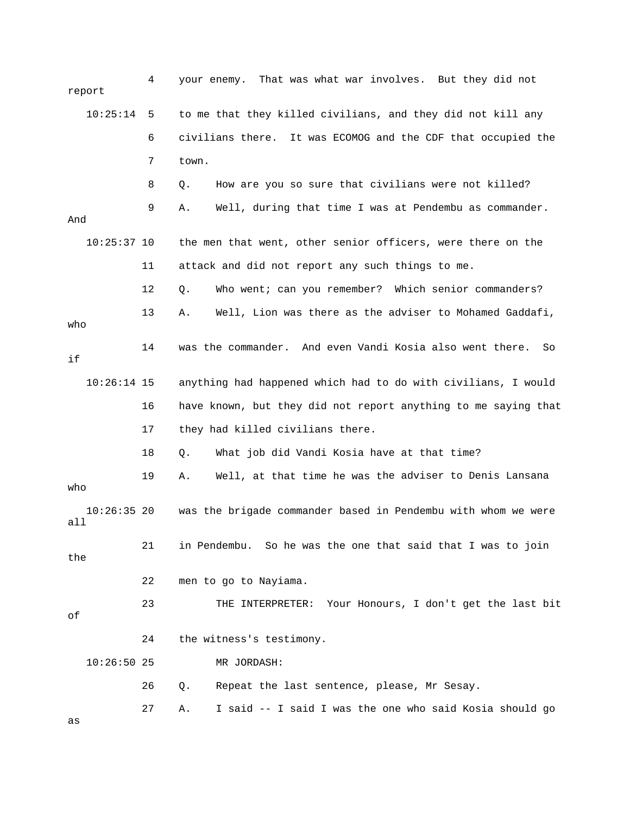|     | report        | 4  | your enemy. That was what war involves. But they did not       |
|-----|---------------|----|----------------------------------------------------------------|
|     | 10:25:14      | 5  | to me that they killed civilians, and they did not kill any    |
|     |               | 6  | civilians there. It was ECOMOG and the CDF that occupied the   |
|     |               | 7  | town.                                                          |
|     |               | 8  | How are you so sure that civilians were not killed?<br>Q.      |
| And |               | 9  | Well, during that time I was at Pendembu as commander.<br>Α.   |
|     | $10:25:37$ 10 |    | the men that went, other senior officers, were there on the    |
|     |               | 11 | attack and did not report any such things to me.               |
|     |               | 12 | Who went; can you remember? Which senior commanders?<br>Q.     |
| who |               | 13 | Well, Lion was there as the adviser to Mohamed Gaddafi,<br>Α.  |
| if  |               | 14 | was the commander. And even Vandi Kosia also went there.<br>So |
|     | $10:26:14$ 15 |    | anything had happened which had to do with civilians, I would  |
|     |               | 16 | have known, but they did not report anything to me saying that |
|     |               | 17 | they had killed civilians there.                               |
|     |               | 18 | What job did Vandi Kosia have at that time?<br>Q.              |
| who |               | 19 | Well, at that time he was the adviser to Denis Lansana<br>Α.   |
| all | $10:26:35$ 20 |    | was the brigade commander based in Pendembu with whom we were  |
| the |               | 21 | in Pendembu. So he was the one that said that I was to join    |
|     |               | 22 | men to go to Nayiama.                                          |
| оf  |               | 23 | THE INTERPRETER: Your Honours, I don't get the last bit        |
|     |               | 24 | the witness's testimony.                                       |
|     | $10:26:50$ 25 |    | MR JORDASH:                                                    |
|     |               | 26 | Repeat the last sentence, please, Mr Sesay.<br>Q.              |
|     |               | 27 | I said -- I said I was the one who said Kosia should go<br>Α.  |
| as  |               |    |                                                                |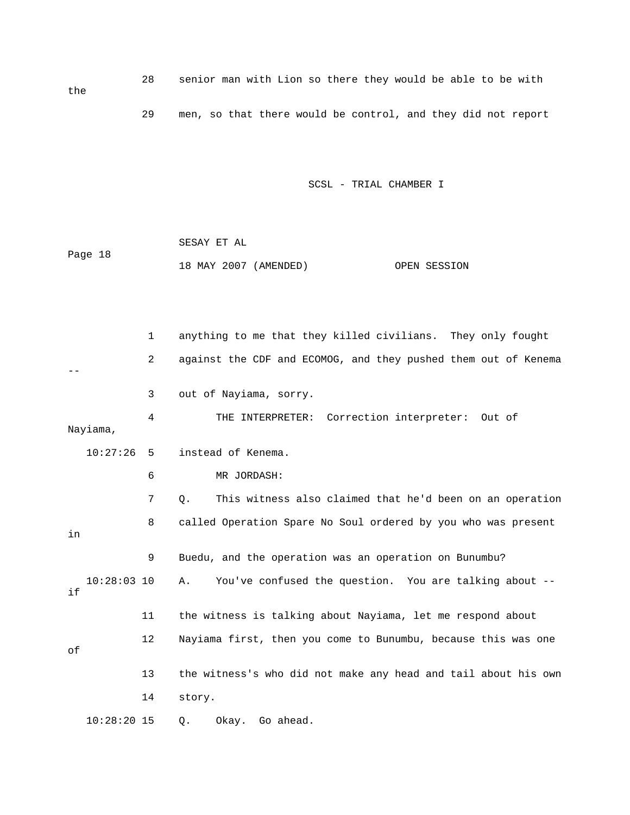28 senior man with Lion so there they would be able to be with 29 men, so that there would be control, and they did not report

SCSL - TRIAL CHAMBER I

 SESAY ET AL Page 18 18 MAY 2007 (AMENDED) OPEN SESSION

the

 1 anything to me that they killed civilians. They only fought 2 against the CDF and ECOMOG, and they pushed them out of Kenema 4 THE INTERPRETER: Correction interpreter: Out of 6 MR JORDASH: 7 Q. This witness also claimed that he'd been on an operation 8 called Operation Spare No Soul ordered by you who was present 10:28:03 10 A. You've confused the question. You are talking about -- 12 Nayiama first, then you come to Bunumbu, because this was one -- 3 out of Nayiama, sorry. Nayiama, 10:27:26 5 instead of Kenema. in 9 Buedu, and the operation was an operation on Bunumbu? if 11 the witness is talking about Nayiama, let me respond about of 13 the witness's who did not make any head and tail about his own 14 story. 10:28:20 15 Q. Okay. Go ahead.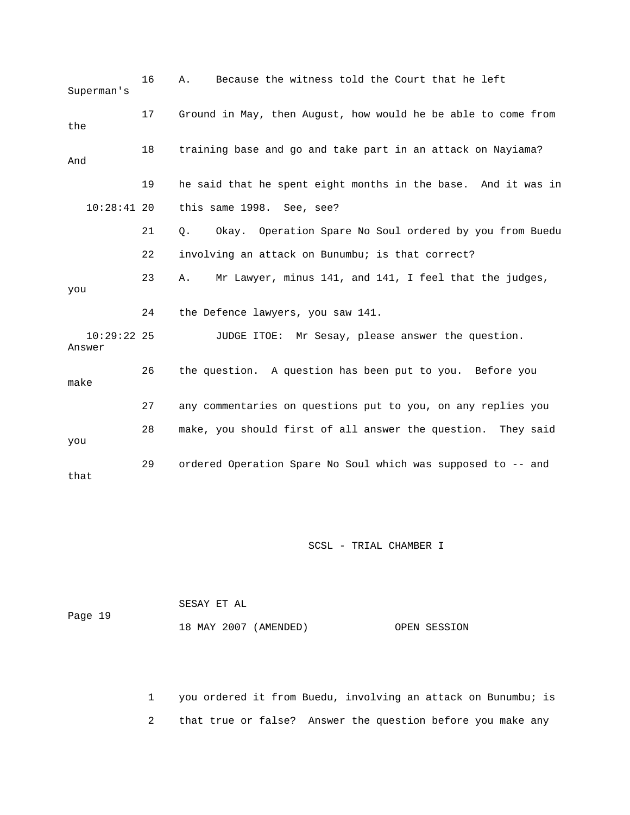| Superman's              | 16 | Because the witness told the Court that he left<br>Α.         |
|-------------------------|----|---------------------------------------------------------------|
| the                     | 17 | Ground in May, then August, how would he be able to come from |
| And                     | 18 | training base and go and take part in an attack on Nayiama?   |
|                         | 19 | he said that he spent eight months in the base. And it was in |
| $10:28:41$ 20           |    | this same 1998. See, see?                                     |
|                         | 21 | Okay. Operation Spare No Soul ordered by you from Buedu<br>Q. |
|                         | 22 | involving an attack on Bunumbu; is that correct?              |
| you                     | 23 | Mr Lawyer, minus 141, and 141, I feel that the judges,<br>Α.  |
|                         | 24 | the Defence lawyers, you saw 141.                             |
| $10:29:22$ 25<br>Answer |    | JUDGE ITOE: Mr Sesay, please answer the question.             |
| make                    | 26 | the question. A question has been put to you. Before you      |
|                         | 27 | any commentaries on questions put to you, on any replies you  |
| you                     | 28 | make, you should first of all answer the question. They said  |
| that                    | 29 | ordered Operation Spare No Soul which was supposed to -- and  |

|         | SESAY ET AL           |              |
|---------|-----------------------|--------------|
| Page 19 |                       |              |
|         | 18 MAY 2007 (AMENDED) | OPEN SESSION |

 1 you ordered it from Buedu, involving an attack on Bunumbu; is 2 that true or false? Answer the question before you make any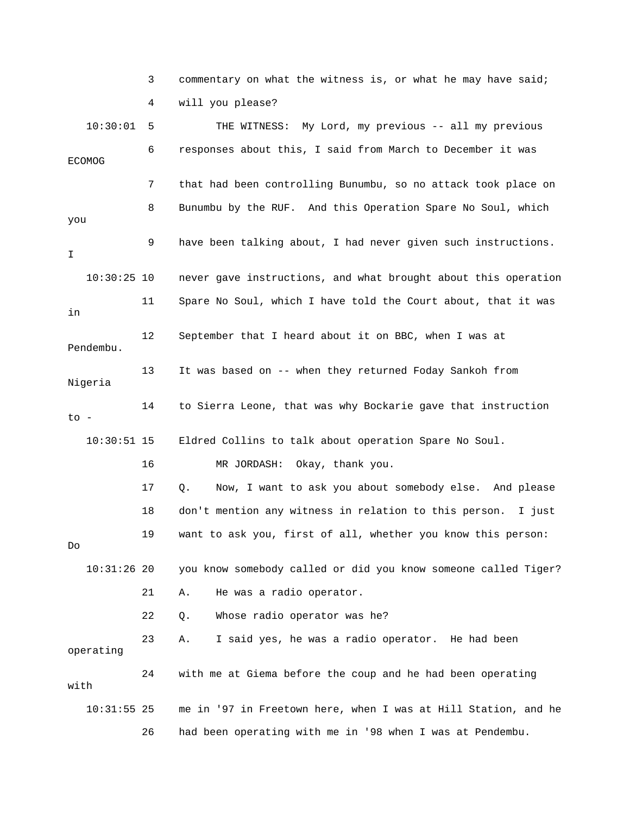|               | 3  | commentary on what the witness is, or what he may have said;   |
|---------------|----|----------------------------------------------------------------|
|               | 4  | will you please?                                               |
| 10:30:01      | 5  | THE WITNESS: My Lord, my previous -- all my previous           |
| <b>ECOMOG</b> | 6  | responses about this, I said from March to December it was     |
|               | 7  | that had been controlling Bunumbu, so no attack took place on  |
| you           | 8  | Bunumbu by the RUF. And this Operation Spare No Soul, which    |
| I.            | 9  | have been talking about, I had never given such instructions.  |
| $10:30:25$ 10 |    | never gave instructions, and what brought about this operation |
| in            | 11 | Spare No Soul, which I have told the Court about, that it was  |
| Pendembu.     | 12 | September that I heard about it on BBC, when I was at          |
| Nigeria       | 13 | It was based on -- when they returned Foday Sankoh from        |
| to -          | 14 | to Sierra Leone, that was why Bockarie gave that instruction   |
| $10:30:51$ 15 |    | Eldred Collins to talk about operation Spare No Soul.          |
|               | 16 | MR JORDASH: Okay, thank you.                                   |
|               | 17 | Now, I want to ask you about somebody else. And please<br>Q.   |
|               | 18 | don't mention any witness in relation to this person. I just   |
| Do            | 19 | want to ask you, first of all, whether you know this person:   |
| $10:31:26$ 20 |    | you know somebody called or did you know someone called Tiger? |
|               | 21 | He was a radio operator.<br>Α.                                 |
|               | 22 | Whose radio operator was he?<br>Q.                             |
| operating     | 23 | I said yes, he was a radio operator. He had been<br>Α.         |
| with          | 24 | with me at Giema before the coup and he had been operating     |
| $10:31:55$ 25 |    | me in '97 in Freetown here, when I was at Hill Station, and he |
|               | 26 | had been operating with me in '98 when I was at Pendembu.      |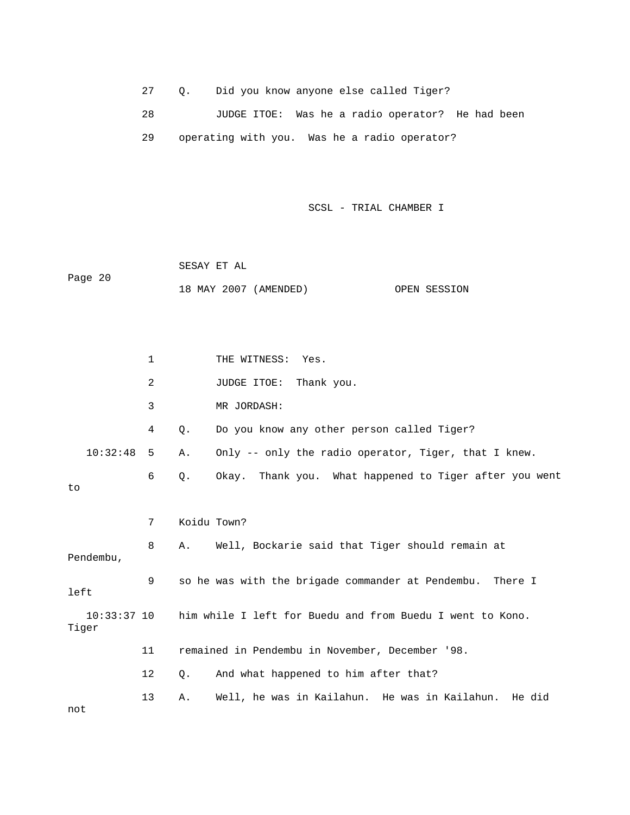27 Q. Did you know anyone else called Tiger?

 28 JUDGE ITOE: Was he a radio operator? He had been 29 operating with you. Was he a radio operator?

SCSL - TRIAL CHAMBER I

 SESAY ET AL Page 20 18 MAY 2007 (AMENDED) OPEN SESSION

1 THE WITNESS: Yes. 2 JUDGE ITOE: Thank you. 4 Q. Do you know any other person called Tiger? 10:32:48 5 A. Only -- only the radio operator, Tiger, that I knew. 6 Q. Okay. Thank you. What happened to Tiger after you went 8 A. Well, Bockarie said that Tiger should remain at Pendembu, 9 so he was with the brigade commander at Pendembu. There I him while I left for Buedu and from Buedu I went to Kono. 11 remained in Pendembu in November, December '98. 12 Q. And what happened to him after that? 13 A. Well, he was in Kailahun. He was in Kailahun. He did not 3 MR JORDASH: to 7 Koidu Town? left 10:33:3 Tiger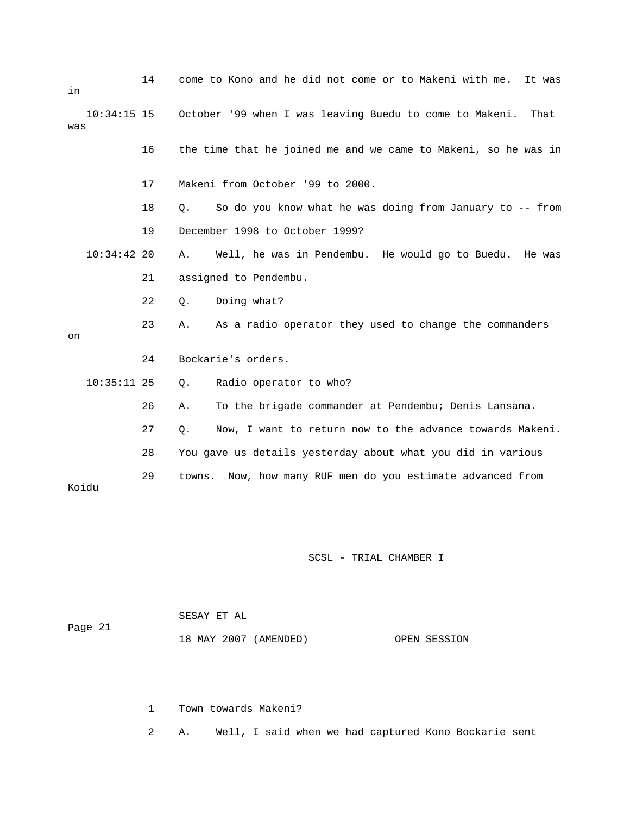| in    |               | 14 |                | come to Kono and he did not come or to Makeni with me.<br>It was |
|-------|---------------|----|----------------|------------------------------------------------------------------|
| was   | $10:34:15$ 15 |    |                | October '99 when I was leaving Buedu to come to Makeni.<br>That  |
|       |               | 16 |                | the time that he joined me and we came to Makeni, so he was in   |
|       |               | 17 |                | Makeni from October '99 to 2000.                                 |
|       |               | 18 | Q <sub>z</sub> | So do you know what he was doing from January to -- from         |
|       |               | 19 |                | December 1998 to October 1999?                                   |
|       | $10:34:42$ 20 |    | Α.             | Well, he was in Pendembu. He would go to Buedu. He was           |
|       |               | 21 |                | assigned to Pendembu.                                            |
|       |               | 22 | Q.             | Doing what?                                                      |
| on    |               | 23 | Α.             | As a radio operator they used to change the commanders           |
|       |               | 24 |                | Bockarie's orders.                                               |
|       | $10:35:11$ 25 |    | Q.             | Radio operator to who?                                           |
|       |               | 26 | Α.             | To the brigade commander at Pendembu; Denis Lansana.             |
|       |               | 27 | Q.             | Now, I want to return now to the advance towards Makeni.         |
|       |               | 28 |                | You gave us details yesterday about what you did in various      |
| Koidu |               | 29 | towns.         | Now, how many RUF men do you estimate advanced from              |

|         | SESAY ET AL |                       |              |
|---------|-------------|-----------------------|--------------|
| Page 21 |             |                       |              |
|         |             | 18 MAY 2007 (AMENDED) | OPEN SESSION |

1 Town towards Makeni?

2 A. Well, I said when we had captured Kono Bockarie sent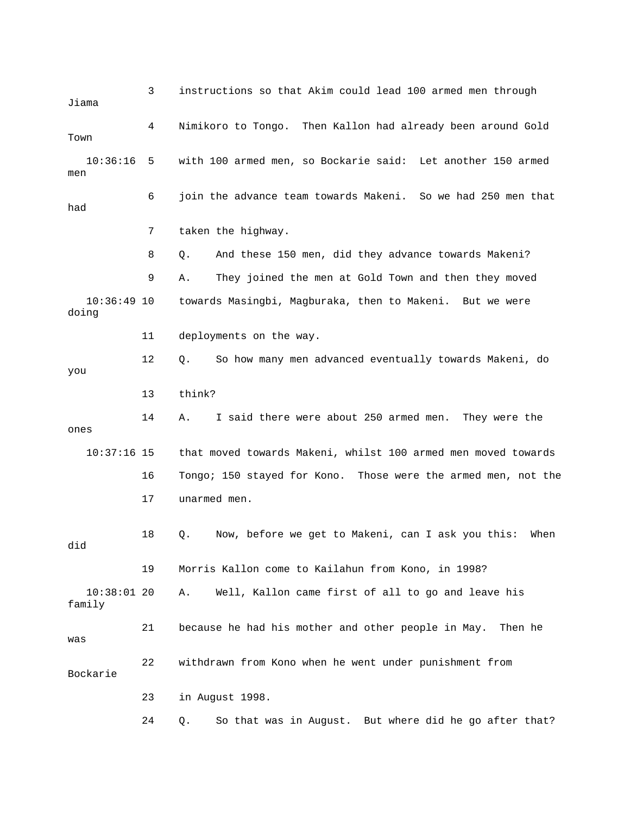3 instructions so that Akim could lead 100 armed men through Jiama 4 Nimikoro to Tongo. Then Kallon had already been around Gold Town 8 Q. And these 150 men, did they advance towards Makeni? 9 A. They joined the men at Gold Town and then they moved 12 Q. So how many men advanced eventually towards Makeni, do 14 A. I said there were about 250 armed men. They were the 16 Tongo; 150 stayed for Kono. Those were the armed men, not the 17 unarmed men. 18 Q. Now, before we get to Makeni, can I ask you this: When 10:38:01 20 A. Well, Kallon came first of all to go and leave his e 21 because he had his mother and other people in May. Then h Bockarie 24 Q. So that was in August. But where did he go after that? 10:36:16 5 with 100 armed men, so Bockarie said: Let another 150 armed men 6 join the advance team towards Makeni. So we had 250 men that had 7 taken the highway. 10:36:49 10 towards Masingbi, Magburaka, then to Makeni. But we were doing 11 deployments on the way. you 13 think? ones 10:37:16 15 that moved towards Makeni, whilst 100 armed men moved towards did 19 Morris Kallon come to Kailahun from Kono, in 1998? family was 22 withdrawn from Kono when he went under punishment from 23 in August 1998.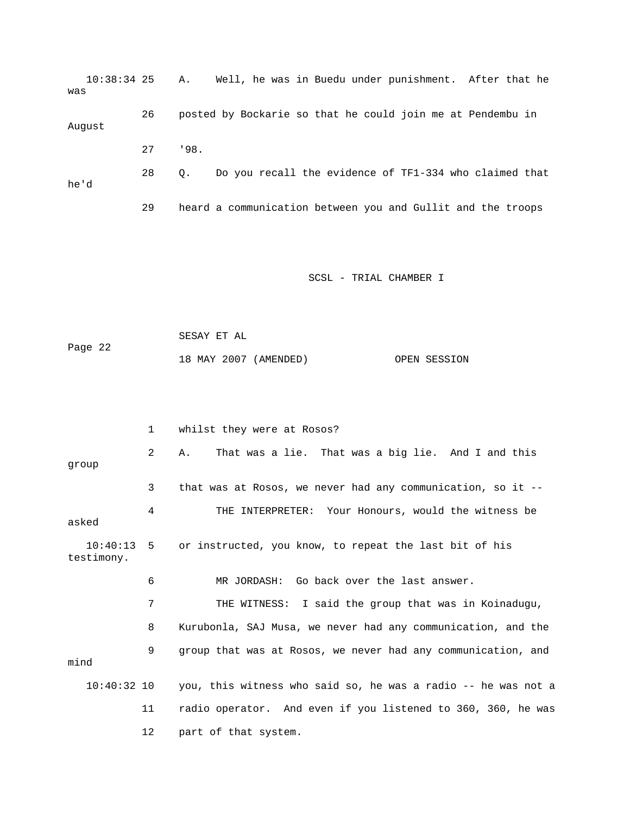|      | $10:38:34$ 25 A. |     |           | Well, he was in Buedu under punishment. After that he       |  |  |
|------|------------------|-----|-----------|-------------------------------------------------------------|--|--|
| was  |                  |     |           |                                                             |  |  |
|      |                  | 26  |           | posted by Bockarie so that he could join me at Pendembu in  |  |  |
|      | August           |     |           |                                                             |  |  |
|      |                  | 2.7 | .198.     |                                                             |  |  |
|      |                  | 28  | $\circ$ . | Do you recall the evidence of TF1-334 who claimed that      |  |  |
| he'd |                  |     |           |                                                             |  |  |
|      |                  | 29  |           | heard a communication between you and Gullit and the troops |  |  |

```
 SESAY ET AL 
 ge 22 
                18 MAY 2007 (AMENDED) OPEN SESSION 
Pa
```

|                            | $\mathbf{1}$ | whilst they were at Rosos?                                    |
|----------------------------|--------------|---------------------------------------------------------------|
| qroup                      | 2            | That was a lie. That was a big lie. And I and this<br>Α.      |
|                            | 3            | that was at Rosos, we never had any communication, so it --   |
| asked                      | 4            | THE INTERPRETER: Your Honours, would the witness be           |
| $10:40:13$ 5<br>testimony. |              | or instructed, you know, to repeat the last bit of his        |
|                            | 6            | MR JORDASH: Go back over the last answer.                     |
|                            | 7            | THE WITNESS: I said the group that was in Koinadugu,          |
|                            | 8            | Kurubonla, SAJ Musa, we never had any communication, and the  |
| mind                       | 9            | group that was at Rosos, we never had any communication, and  |
| $10:40:32$ 10              |              | you, this witness who said so, he was a radio -- he was not a |
|                            | 11           | radio operator. And even if you listened to 360, 360, he was  |
|                            | 12           | part of that system.                                          |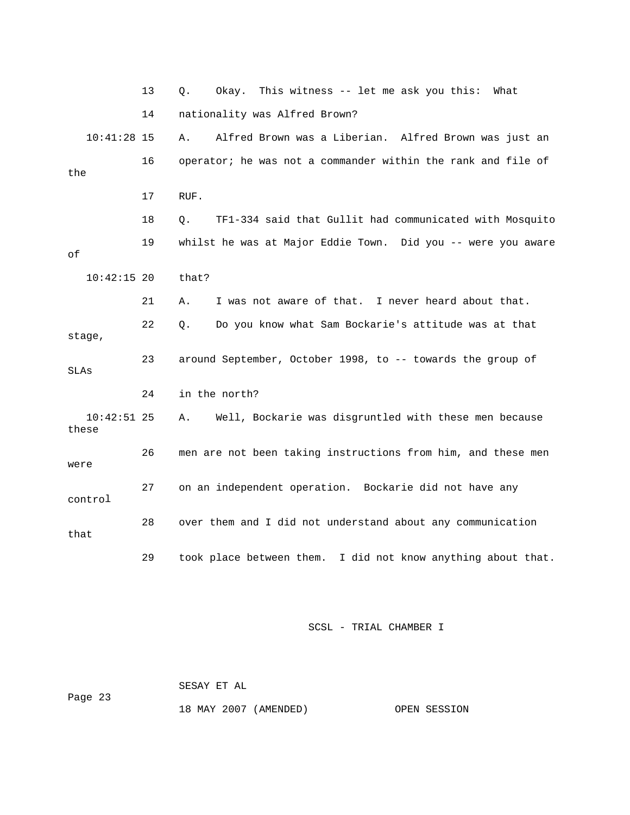|                        | 13 | Okay. This witness -- let me ask you this: What<br>Q.         |
|------------------------|----|---------------------------------------------------------------|
|                        | 14 | nationality was Alfred Brown?                                 |
| $10:41:28$ 15          |    | Alfred Brown was a Liberian. Alfred Brown was just an<br>Α.   |
| the                    | 16 | operator; he was not a commander within the rank and file of  |
|                        | 17 | RUF.                                                          |
|                        | 18 | TF1-334 said that Gullit had communicated with Mosquito<br>О. |
| оf                     | 19 | whilst he was at Major Eddie Town. Did you -- were you aware  |
| $10:42:15$ 20          |    | that?                                                         |
|                        | 21 | I was not aware of that. I never heard about that.<br>Α.      |
| stage,                 | 22 | Do you know what Sam Bockarie's attitude was at that<br>О.    |
| SLAs                   | 23 | around September, October 1998, to -- towards the group of    |
|                        | 24 | in the north?                                                 |
| $10:42:51$ 25<br>these |    | Well, Bockarie was disgruntled with these men because<br>Α.   |
| were                   | 26 | men are not been taking instructions from him, and these men  |
| control                | 27 | on an independent operation. Bockarie did not have any        |
| that                   | 28 | over them and I did not understand about any communication    |
|                        | 29 | took place between them. I did not know anything about that.  |

 SESAY ET AL ge 23 18 MAY 2007 (AMENDED) OPEN SESSION Pa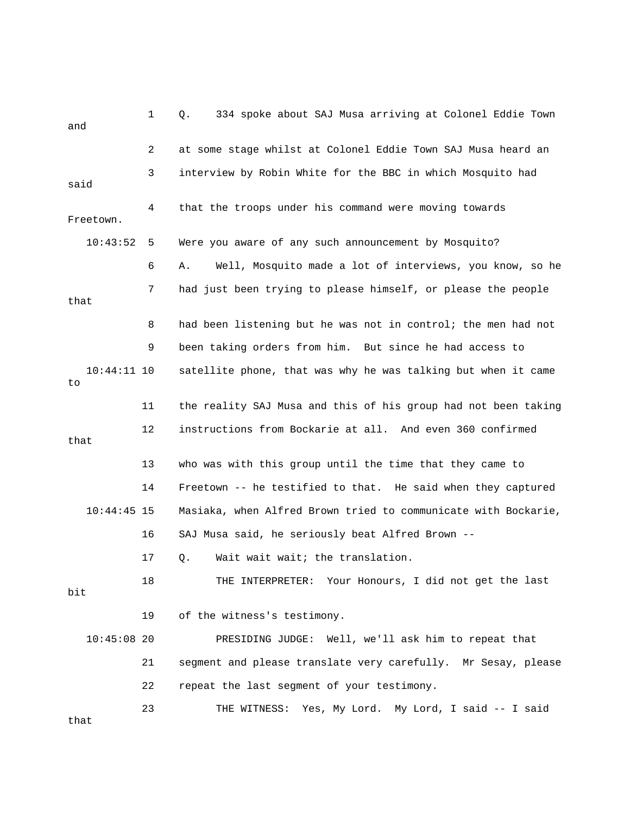1 Q. 334 spoke about SAJ Musa arriving at Colonel Eddie Town and 3 interview by Robin White for the BBC in which Mosquito had Freetown. 6 A. Well, Mosquito made a lot of interviews, you know, so he 7 had just been trying to please himself, or please the people 9 been taking orders from him. But since he had access to 10:44:11 10 satellite phone, that was why he was talking but when it came 12 instructions from Bockarie at all. And even 360 confirmed 14 Freetown -- he testified to that. He said when they captured 10:44:45 15 Masiaka, when Alfred Brown tried to communicate with Bockarie, 16 SAJ Musa said, he seriously beat Alfred Brown -- 17 Q. Wait wait wait; the translation. 18 THE INTERPRETER: Your Honours, I did not get the last 10:45:08 20 PRESIDING JUDGE: Well, we'll ask him to repeat that 21 segment and please translate very carefully. Mr Sesay, please 23 THE WITNESS: Yes, My Lord. My Lord, I said -- I said 2 at some stage whilst at Colonel Eddie Town SAJ Musa heard an said 4 that the troops under his command were moving towards 10:43:52 5 Were you aware of any such announcement by Mosquito? that 8 had been listening but he was not in control; the men had not to 11 the reality SAJ Musa and this of his group had not been taking that 13 who was with this group until the time that they came to bit 19 of the witness's testimony. 22 repeat the last segment of your testimony. that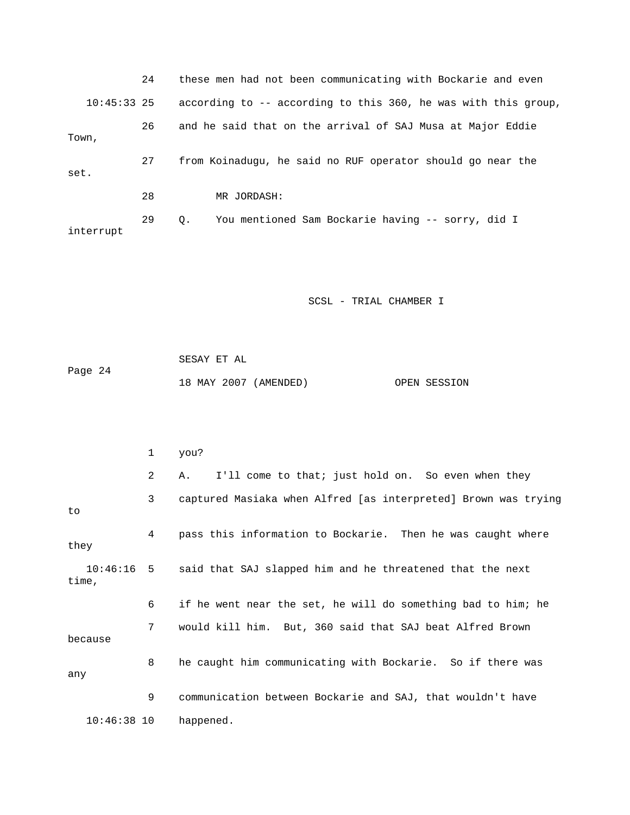24 these men had not been communicating with Bockarie and even 10:45:33 25 according to -- according to this 360, he was with this group, 29 Q. You mentioned Sam Bockarie having -- sorry, did I 26 and he said that on the arrival of SAJ Musa at Major Eddie Town, 27 from Koinadugu, he said no RUF operator should go near the set. 28 MR JORDASH: interrupt

SCSL - TRIAL CHAMBER I

 SESAY ET AL Page 24 18 MAY 2007 (AMENDED) OPEN SESSION

|               | 1 | you?                                                                 |
|---------------|---|----------------------------------------------------------------------|
|               | 2 | I'll come to that; just hold on. So even when they<br>Α.             |
| to            | 3 | captured Masiaka when Alfred [as interpreted] Brown was trying       |
| they          | 4 | pass this information to Bockarie. Then he was caught where          |
| time,         |   | 10:46:16 5 said that SAJ slapped him and he threatened that the next |
|               | 6 | if he went near the set, he will do something bad to him; he         |
| because       | 7 | would kill him. But, 360 said that SAJ beat Alfred Brown             |
| any           | 8 | he caught him communicating with Bockarie. So if there was           |
|               | 9 | communication between Bockarie and SAJ, that wouldn't have           |
| $10:46:38$ 10 |   | happened.                                                            |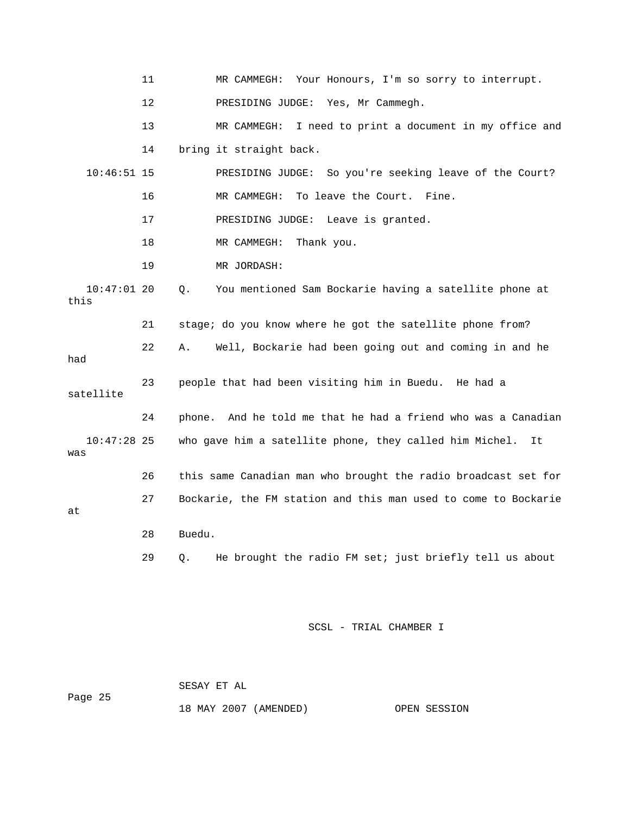11 MR CAMMEGH: Your Honours, I'm so sorry to interrupt. 12 PRESIDING JUDGE: Yes, Mr Cammegh. 13 MR CAMMEGH: I need to print a document in my office and 14 bring it straight back. 10:46:51 15 PRESIDING JUDGE: So you're seeking leave of the Court? 17 PRESIDING JUDGE: Leave is granted. 10:47:01 20 Q. You mentioned Sam Bockarie having a satellite phone at 21 stage; do you know where he got the satellite phone from? 22 A. Well, Bockarie had been going out and coming in and he had 23 people that had been visiting him in Buedu. He had a 24 phone. And he told me that he had a friend who was a Canadian 10:47:28 25 who gave him a satellite phone, they called him Michel. It was 27 Bockarie, the FM station and this man used to come to Bockarie 28 Buedu. 29 Q. He brought the radio FM set; just briefly tell us about 16 MR CAMMEGH: To leave the Court. Fine. 18 MR CAMMEGH: Thank you. 19 MR JORDASH: this satellite 26 this same Canadian man who brought the radio broadcast set for at

SCSL - TRIAL CHAMBER I

Page 25 SESAY ET AL

18 MAY 2007 (AMENDED) OPEN SESSION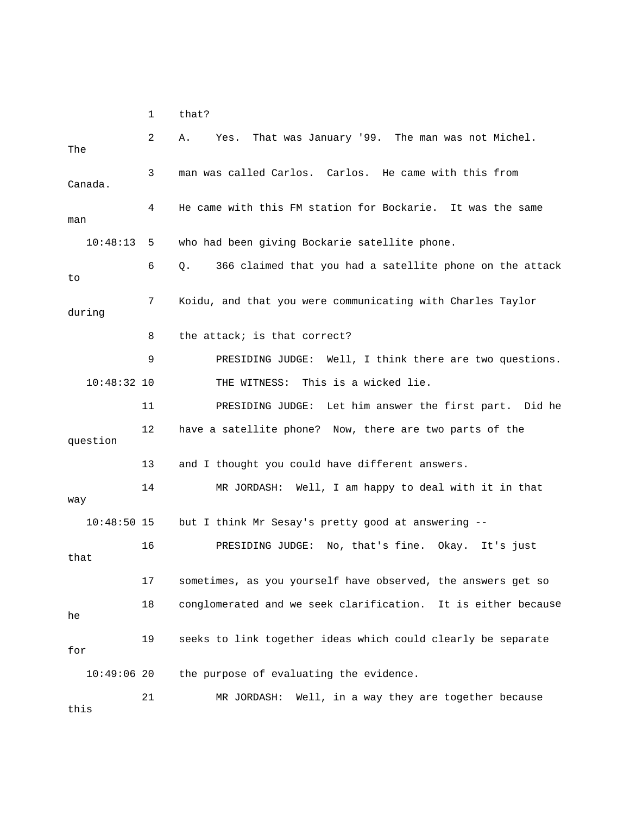1 that?

| The           | 2  | That was January '99. The man was not Michel.<br>Α.<br>Yes.    |
|---------------|----|----------------------------------------------------------------|
| Canada.       | 3  | man was called Carlos. Carlos. He came with this from          |
| man           | 4  | He came with this FM station for Bockarie. It was the same     |
| 10:48:13      | 5  | who had been giving Bockarie satellite phone.                  |
| to            | 6  | 366 claimed that you had a satellite phone on the attack<br>Q. |
| during        | 7  | Koidu, and that you were communicating with Charles Taylor     |
|               | 8  | the attack; is that correct?                                   |
|               | 9  | PRESIDING JUDGE: Well, I think there are two questions.        |
| $10:48:32$ 10 |    | This is a wicked lie.<br>THE WITNESS:                          |
|               | 11 | PRESIDING JUDGE: Let him answer the first part. Did he         |
| question      | 12 | have a satellite phone? Now, there are two parts of the        |
|               |    |                                                                |
|               | 13 | and I thought you could have different answers.                |
| way           | 14 | MR JORDASH: Well, I am happy to deal with it in that           |
| $10:48:50$ 15 |    | but I think Mr Sesay's pretty good at answering --             |
| that          | 16 | PRESIDING JUDGE: No, that's fine. Okay. It's just              |
|               | 17 | sometimes, as you yourself have observed, the answers get so   |
| he            | 18 | conglomerated and we seek clarification. It is either because  |
| for           | 19 | seeks to link together ideas which could clearly be separate   |
| $10:49:06$ 20 |    | the purpose of evaluating the evidence.                        |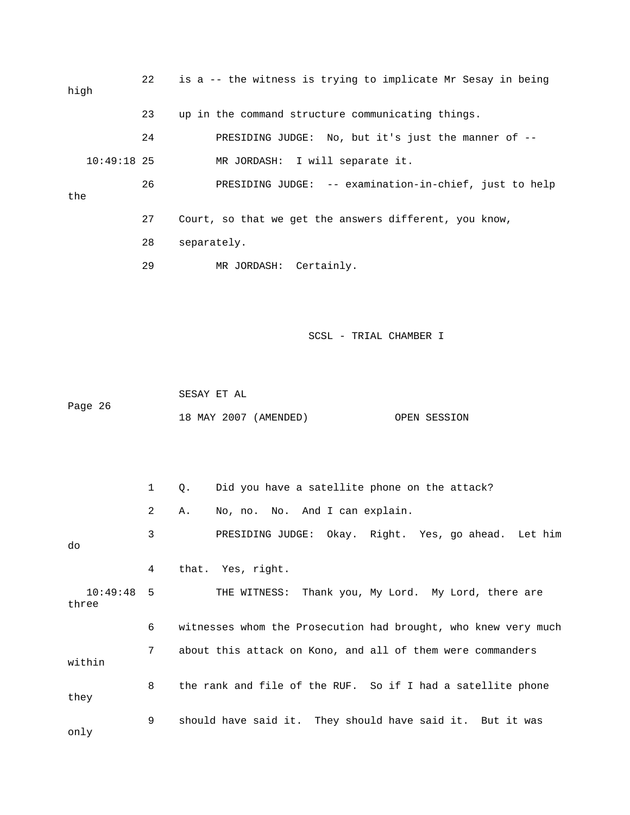| high          | $22 \,$ | is a -- the witness is trying to implicate Mr Sesay in being |
|---------------|---------|--------------------------------------------------------------|
|               | 23      | up in the command structure communicating things.            |
|               | 24      | PRESIDING JUDGE: No, but it's just the manner of --          |
| $10:49:18$ 25 |         | MR JORDASH: I will separate it.                              |
| the           | 26      | PRESIDING JUDGE: -- examination-in-chief, just to help       |
|               | 27      | Court, so that we get the answers different, you know,       |
|               | 28      | separately.                                                  |
|               | 29      | MR JORDASH: Certainly.                                       |
|               |         | SCSL - TRIAL CHAMBER I                                       |
| Page 26       |         | SESAY ET AL<br>18 MAY 2007 (AMENDED)<br>OPEN SESSION         |

 1 Q. Did you have a satellite phone on the attack? 2 A. No, no. No. And I can explain. Let him 3 PRESIDING JUDGE: Okay. Right. Yes, go ahead. 4 that. Yes, right. THE WITNESS: Thank you, My Lord. My Lord, there are three 6 witnesses whom the Prosecution had brought, who knew very much within 9 should have said it. They should have said it. But it was only do  $10:49:48$  5 7 about this attack on Kono, and all of them were commanders 8 the rank and file of the RUF. So if I had a satellite phone they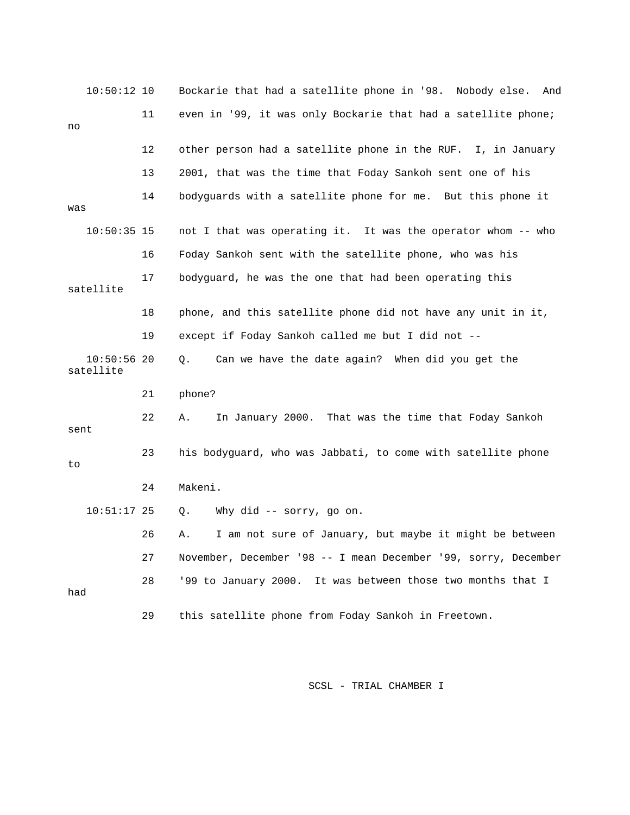| $10:50:12$ 10              |    | Bockarie that had a satellite phone in '98. Nobody else. And   |
|----------------------------|----|----------------------------------------------------------------|
|                            | 11 | even in '99, it was only Bockarie that had a satellite phone;  |
| no                         |    |                                                                |
|                            | 12 | other person had a satellite phone in the RUF. I, in January   |
|                            | 13 | 2001, that was the time that Foday Sankoh sent one of his      |
| was                        | 14 | bodyguards with a satellite phone for me. But this phone it    |
| $10:50:35$ 15              |    | not I that was operating it. It was the operator whom -- who   |
|                            | 16 | Foday Sankoh sent with the satellite phone, who was his        |
| satellite                  | 17 | bodyquard, he was the one that had been operating this         |
|                            | 18 | phone, and this satellite phone did not have any unit in it,   |
|                            | 19 | except if Foday Sankoh called me but I did not --              |
| $10:50:56$ 20<br>satellite |    | Can we have the date again? When did you get the<br>Q.         |
|                            | 21 | phone?                                                         |
| sent                       | 22 | In January 2000. That was the time that Foday Sankoh<br>Α.     |
| to                         | 23 | his bodyguard, who was Jabbati, to come with satellite phone   |
|                            | 24 | Makeni.                                                        |
| $10:51:17$ 25              |    | Q.<br>Why did -- sorry, go on.                                 |
|                            | 26 | I am not sure of January, but maybe it might be between<br>Α.  |
|                            | 27 | November, December '98 -- I mean December '99, sorry, December |
| had                        | 28 | '99 to January 2000. It was between those two months that I    |
|                            | 29 | this satellite phone from Foday Sankoh in Freetown.            |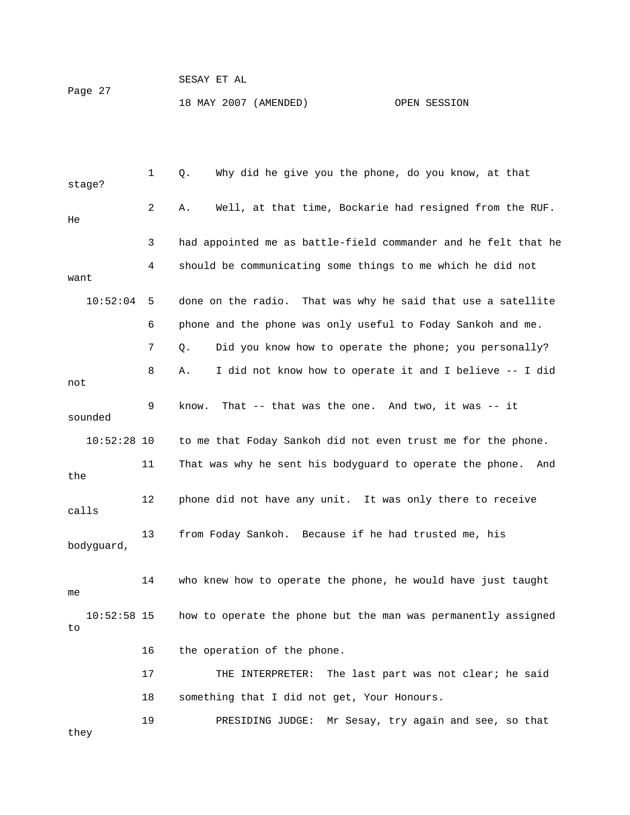|         | SESAY ET AL           |  |              |
|---------|-----------------------|--|--------------|
| Page 27 | 18 MAY 2007 (AMENDED) |  | OPEN SESSION |

| stage?              | $\mathbf{1}$ | Why did he give you the phone, do you know, at that<br>Q.       |
|---------------------|--------------|-----------------------------------------------------------------|
| He                  | 2            | Well, at that time, Bockarie had resigned from the RUF.<br>Α.   |
|                     | 3            | had appointed me as battle-field commander and he felt that he  |
| want                | 4            | should be communicating some things to me which he did not      |
| 10:52:04            | 5            | done on the radio. That was why he said that use a satellite    |
|                     | 6            | phone and the phone was only useful to Foday Sankoh and me.     |
|                     | 7            | Did you know how to operate the phone; you personally?<br>Q.    |
| not                 | 8            | I did not know how to operate it and I believe -- I did<br>Α.   |
| sounded             | 9            | That $--$ that was the one. And two, it was $--$ it<br>know.    |
| $10:52:28$ 10       |              | to me that Foday Sankoh did not even trust me for the phone.    |
| the                 | 11           | That was why he sent his bodyguard to operate the phone.<br>And |
| calls               | 12           | phone did not have any unit. It was only there to receive       |
| bodyguard,          | 13           | from Foday Sankoh. Because if he had trusted me, his            |
| me                  | 14           | who knew how to operate the phone, he would have just taught    |
| $10:52:58$ 15<br>to |              | how to operate the phone but the man was permanently assigned   |
|                     | 16           | the operation of the phone.                                     |
|                     | 17           | The last part was not clear; he said<br>THE INTERPRETER:        |
|                     | 18           | something that I did not get, Your Honours.                     |
| they                | 19           | Mr Sesay, try again and see, so that<br>PRESIDING JUDGE:        |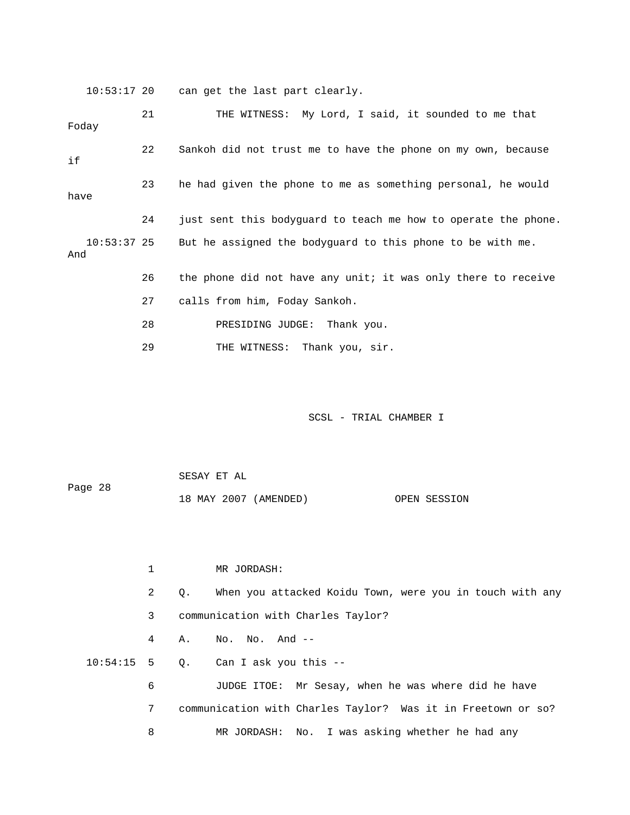10:53:17 20 can get the last part clearly.

 21 THE WITNESS: My Lord, I said, it sounded to me that Foday 22 Sankoh did not trust me to have the phone on my own, because 23 he had given the phone to me as something personal, he would 24 just sent this bodyguard to teach me how to operate the phone. 28 PRESIDING JUDGE: Thank you. 29 THE WITNESS: Thank you, sir. if have 10:53:37 25 But he assigned the bodyguard to this phone to be with me. And 26 the phone did not have any unit; it was only there to receive 27 calls from him, Foday Sankoh.

SCSL - TRIAL CHAMBER I

Page 28 18 MAY 2007 (AMENDED) OPEN SESSION SESAY ET AL

 1 MR JORDASH: 2 Q. When you attacked Koidu Town, were you in touch with any 3 communication with Charles Taylor? 4 A. No. No. And -- 10:54:15 5 Q. Can I ask you this -- 6 JUDGE ITOE: Mr Sesay, when he was where did he have 7 communication with Charles Taylor? Was it in Freetown or so? 8 MR JORDASH: No. I was asking whether he had any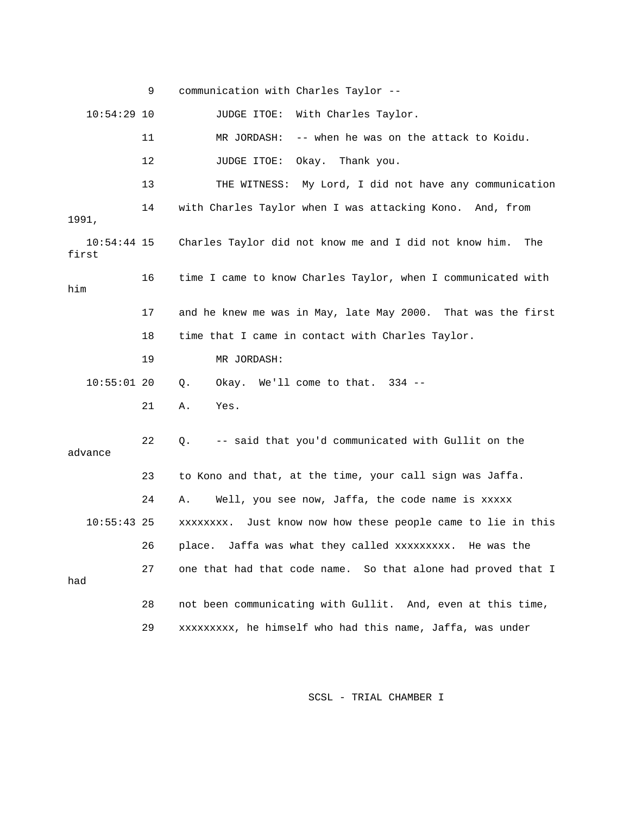|                        | 9  | communication with Charles Taylor --                          |
|------------------------|----|---------------------------------------------------------------|
| $10:54:29$ 10          |    | With Charles Taylor.<br>JUDGE ITOE:                           |
|                        | 11 | -- when he was on the attack to Koidu.<br>MR JORDASH:         |
|                        | 12 | JUDGE ITOE: Okay. Thank you.                                  |
|                        | 13 | THE WITNESS: My Lord, I did not have any communication        |
| 1991,                  | 14 | with Charles Taylor when I was attacking Kono. And, from      |
| $10:54:44$ 15<br>first |    | Charles Taylor did not know me and I did not know him.<br>The |
| him                    | 16 | time I came to know Charles Taylor, when I communicated with  |
|                        | 17 | and he knew me was in May, late May 2000. That was the first  |
|                        | 18 | time that I came in contact with Charles Taylor.              |
|                        | 19 | MR JORDASH:                                                   |
| $10:55:01$ 20          |    | Okay. We'll come to that. 334 --<br>Q.                        |
|                        | 21 | Yes.<br>Α.                                                    |
| advance                | 22 | -- said that you'd communicated with Gullit on the<br>Q.      |
|                        | 23 | to Kono and that, at the time, your call sign was Jaffa.      |
|                        | 24 | Well, you see now, Jaffa, the code name is xxxxx<br>Α.        |
| $10:55:43$ 25          |    | xxxxxxxx. Just know now how these people came to lie in this  |
|                        | 26 | place. Jaffa was what they called xxxxxxxxx. He was the       |
| had                    | 27 | one that had that code name. So that alone had proved that I  |
|                        | 28 | not been communicating with Gullit. And, even at this time,   |
|                        | 29 | xxxxxxxxx, he himself who had this name, Jaffa, was under     |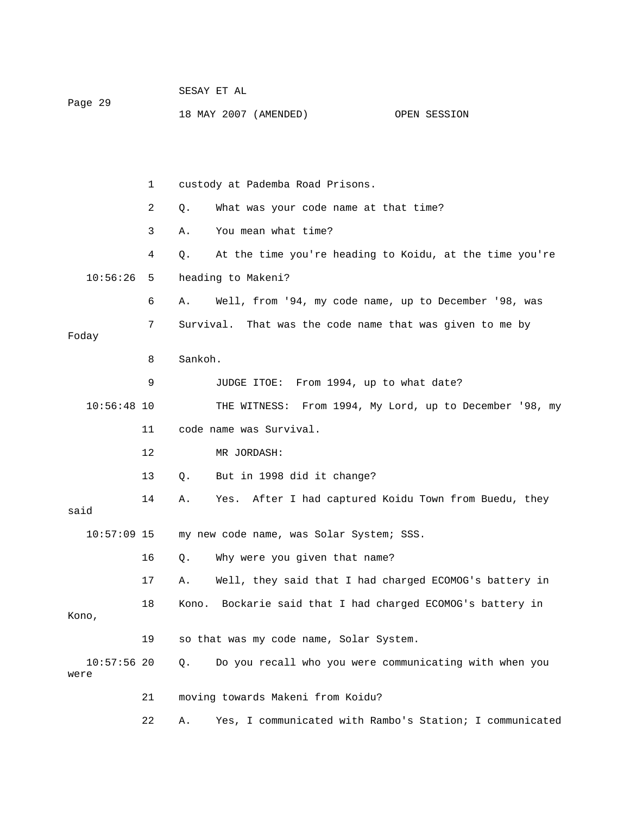| Page 29               |    | SESAY ET AL                                                     |  |  |  |  |
|-----------------------|----|-----------------------------------------------------------------|--|--|--|--|
|                       |    | 18 MAY 2007 (AMENDED)<br>OPEN SESSION                           |  |  |  |  |
|                       |    |                                                                 |  |  |  |  |
|                       |    |                                                                 |  |  |  |  |
|                       | 1  | custody at Pademba Road Prisons.                                |  |  |  |  |
|                       | 2  | What was your code name at that time?<br>Q.                     |  |  |  |  |
|                       | 3  | You mean what time?<br>Α.                                       |  |  |  |  |
|                       | 4  | At the time you're heading to Koidu, at the time you're<br>Q.   |  |  |  |  |
| 10:56:26              | 5  | heading to Makeni?                                              |  |  |  |  |
|                       | 6  | Well, from '94, my code name, up to December '98, was<br>Α.     |  |  |  |  |
| Foday                 | 7  | Survival. That was the code name that was given to me by        |  |  |  |  |
|                       | 8  | Sankoh.                                                         |  |  |  |  |
|                       | 9  | JUDGE ITOE: From 1994, up to what date?                         |  |  |  |  |
| $10:56:48$ 10         |    | THE WITNESS: From 1994, My Lord, up to December '98, my         |  |  |  |  |
|                       |    |                                                                 |  |  |  |  |
|                       | 11 | code name was Survival.                                         |  |  |  |  |
|                       | 12 | MR JORDASH:                                                     |  |  |  |  |
|                       | 13 | But in 1998 did it change?<br>Q.                                |  |  |  |  |
| said                  | 14 | Yes. After I had captured Koidu Town from Buedu, they<br>Α.     |  |  |  |  |
| $10:57:09$ 15         |    | my new code name, was Solar System; SSS.                        |  |  |  |  |
|                       | 16 | Why were you given that name?<br>Q.                             |  |  |  |  |
|                       | 17 | Well, they said that I had charged ECOMOG's battery in<br>Α.    |  |  |  |  |
| Kono,                 | 18 | Bockarie said that I had charged ECOMOG's battery in<br>Kono.   |  |  |  |  |
|                       | 19 | so that was my code name, Solar System.                         |  |  |  |  |
| $10:57:56$ 20<br>were |    | Do you recall who you were communicating with when you<br>$Q$ . |  |  |  |  |
|                       | 21 | moving towards Makeni from Koidu?                               |  |  |  |  |

22 A. Yes, I communicated with Rambo's Station; I communicated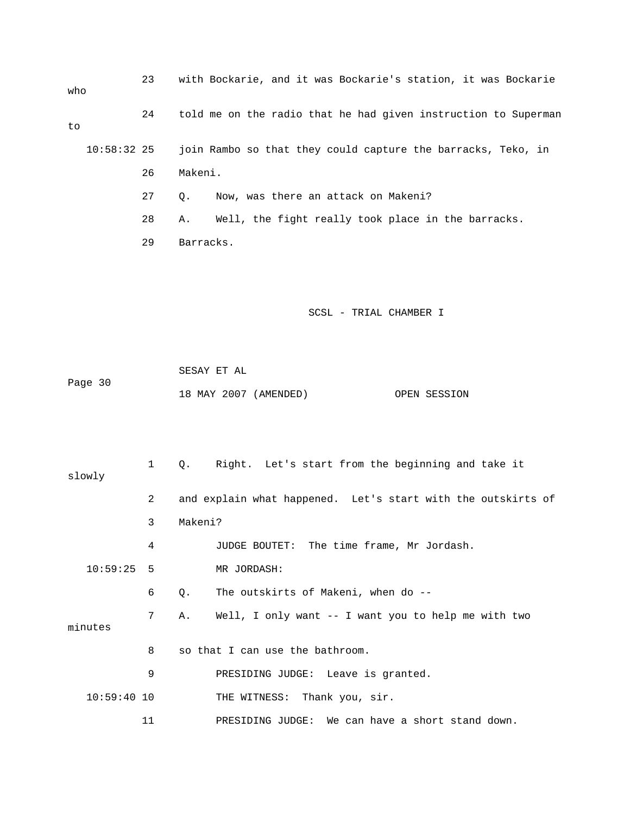| who           | 23 | with Bockarie, and it was Bockarie's station, it was Bockarie  |
|---------------|----|----------------------------------------------------------------|
| to            | 24 | told me on the radio that he had given instruction to Superman |
| $10:58:32$ 25 |    | join Rambo so that they could capture the barracks, Teko, in   |
|               | 26 | Makeni.                                                        |
|               | 27 | Now, was there an attack on Makeni?<br>Q.                      |
|               | 28 | Well, the fight really took place in the barracks.<br>Α.       |
|               | 29 | Barracks.                                                      |
|               |    |                                                                |
|               |    |                                                                |
|               |    | SCSL - TRIAL CHAMBER I                                         |
|               |    |                                                                |
|               |    | SESAY ET AL                                                    |
| Page 30       |    | 18 MAY 2007 (AMENDED)<br>OPEN SESSION                          |
|               |    |                                                                |
|               |    |                                                                |
| slowly        | 1  | Right. Let's start from the beginning and take it<br>Q.        |
|               | 2  | and explain what happened. Let's start with the outskirts of   |
|               | 3  | Makeni?                                                        |
|               | 4  | JUDGE BOUTET: The time frame, Mr Jordash.                      |
| 10:59:25      | 5  | MR JORDASH:                                                    |
|               | 6  | The outskirts of Makeni, when do --<br>Q.                      |
|               | 7  | Well, I only want -- I want you to help me with two<br>Α.      |
| minutes       |    |                                                                |
|               | 8  | so that I can use the bathroom.                                |
|               | 9  | PRESIDING JUDGE: Leave is granted.                             |

10:59:40 10 THE WITNESS: Thank you, sir.

11 PRESIDING JUDGE: We can have a short stand down.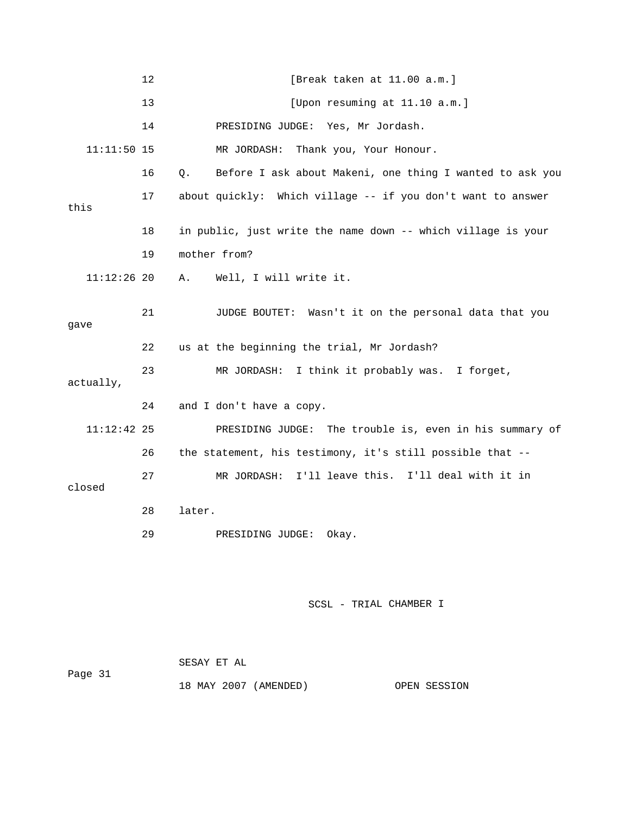|               | 12 | [Break taken at 11.00 a.m.]                                       |
|---------------|----|-------------------------------------------------------------------|
|               | 13 | [Upon resuming at $11.10$ a.m.]                                   |
|               | 14 | PRESIDING JUDGE: Yes, Mr Jordash.                                 |
| $11:11:50$ 15 |    | MR JORDASH:<br>Thank you, Your Honour.                            |
|               | 16 | Before I ask about Makeni, one thing I wanted to ask you<br>$Q$ . |
| this          | 17 | about quickly: Which village -- if you don't want to answer       |
|               | 18 | in public, just write the name down -- which village is your      |
|               | 19 | mother from?                                                      |
| $11:12:26$ 20 |    | Well, I will write it.<br>Α.                                      |
| gave          | 21 | JUDGE BOUTET: Wasn't it on the personal data that you             |
|               | 22 | us at the beginning the trial, Mr Jordash?                        |
| actually,     | 23 | MR JORDASH: I think it probably was. I forget,                    |
|               | 24 | and I don't have a copy.                                          |
| 11:12:42 25   |    | PRESIDING JUDGE: The trouble is, even in his summary of           |
|               | 26 | the statement, his testimony, it's still possible that --         |
| closed        | 27 | MR JORDASH: I'll leave this. I'll deal with it in                 |
|               | 28 | later.                                                            |
|               | 29 | PRESIDING JUDGE:<br>Okay.                                         |

|         | SESAY ET AL |                       |              |
|---------|-------------|-----------------------|--------------|
| Page 31 |             |                       |              |
|         |             | 18 MAY 2007 (AMENDED) | OPEN SESSION |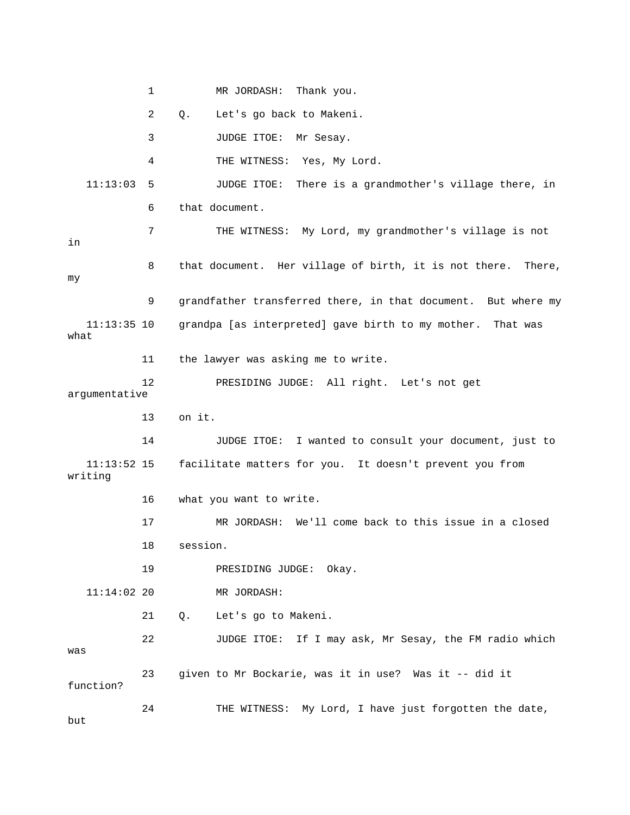1 MR JORDASH: Thank you. 2 Q. Let's go back to Makeni. 3 JUDGE ITOE: Mr Sesay. 4 THE WITNESS: Yes, My Lord. 11:13:03 5 JUDGE ITOE: There is a grandmother's village there, in 6 that document. 7 THE WITNESS: My Lord, my grandmother's village is not y 9 grandfather transferred there, in that document. But where m grandpa [as interpreted] gave birth to my mother. That was 11 the lawyer was asking me to write. argumentative 13 on it. 14 JUDGE ITOE: I wanted to consult your document, just to 11:13:52 15 facilitate matters for you. It doesn't prevent you from 16 what you want to write. 19 PRESIDING JUDGE: Okay. 11:14:02 20 MR JORDASH: 22 JUDGE ITOE: If I may ask, Mr Sesay, the FM radio which 23 given to Mr Bockarie, was it in use? Was it -- did it 24 THE WITNESS: My Lord, I have just forgotten the date, in 8 that document. Her village of birth, it is not there. There, my  $11:13:35$  10 what 12 PRESIDING JUDGE: All right. Let's not get writing 17 MR JORDASH: We'll come back to this issue in a closed 18 session. 21 Q. Let's go to Makeni. was function? but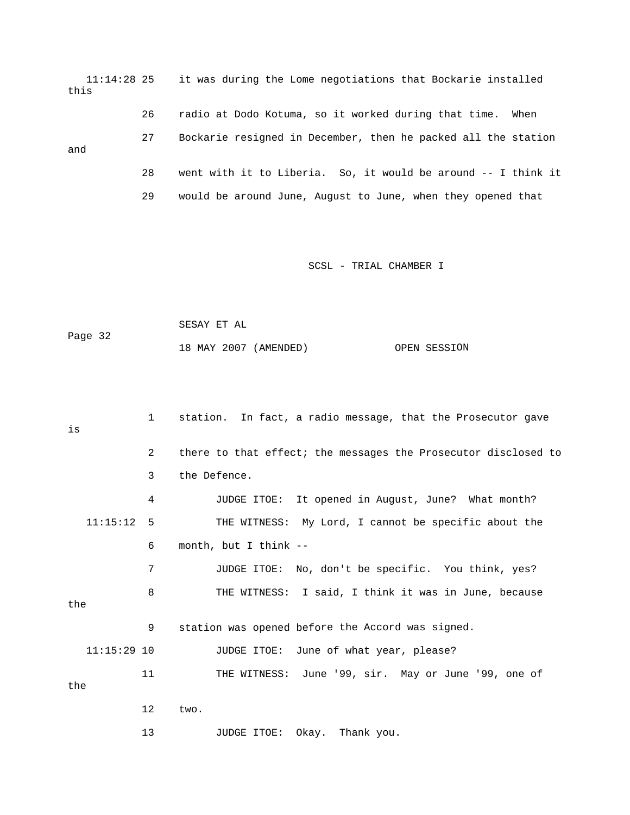11:14:28 25 it was during the Lome negotiations that Bockarie installed 26 radio at Dodo Kotuma, so it worked during that time. When 27 Bockarie resigned in December, then he packed all the station and 28 went with it to Liberia. So, it would be around -- I think it this 29 would be around June, August to June, when they opened that

```
 SESAY ET AL 
                                                  OPEN SESSION
Page 32 
                 18 MAY 2007 (AMENDED)
```

| is            | $1 \quad$ | station. In fact, a radio message, that the Prosecutor gave    |
|---------------|-----------|----------------------------------------------------------------|
|               | 2         | there to that effect; the messages the Prosecutor disclosed to |
|               | 3         | the Defence.                                                   |
|               | 4         | JUDGE ITOE: It opened in August, June? What month?             |
| $11:15:12$ 5  |           | THE WITNESS: My Lord, I cannot be specific about the           |
|               | 6         | month, but I think --                                          |
|               | 7         | JUDGE ITOE: No, don't be specific. You think, yes?             |
| the           | 8         | THE WITNESS: I said, I think it was in June, because           |
|               | 9         | station was opened before the Accord was signed.               |
| $11:15:29$ 10 |           | JUDGE ITOE: June of what year, please?                         |
| the           | 11        | THE WITNESS: June '99, sir. May or June '99, one of            |
|               | 12        | two.                                                           |
|               | 13        | Okay. Thank you.<br>JUDGE ITOE:                                |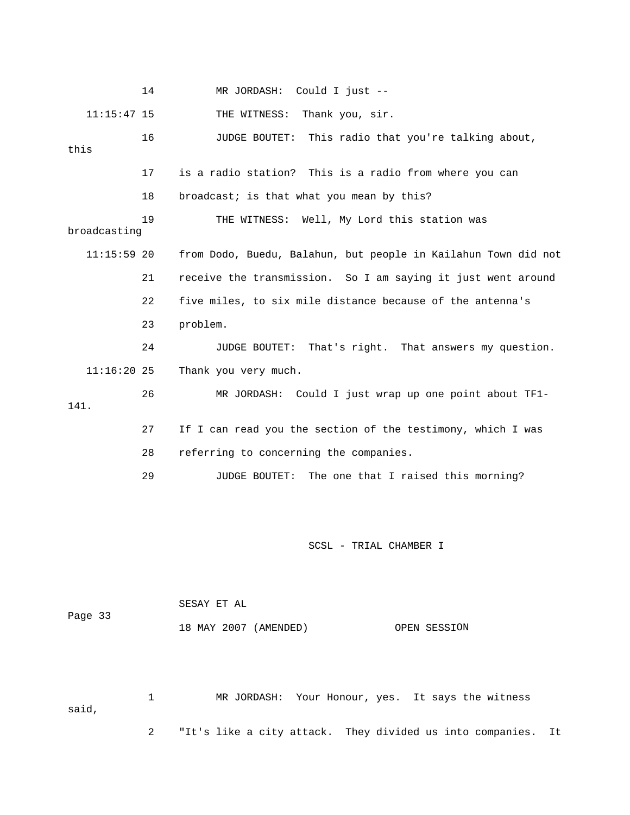|               | 14 | MR JORDASH: Could I just --                                     |
|---------------|----|-----------------------------------------------------------------|
| $11:15:47$ 15 |    | THE WITNESS:<br>Thank you, sir.                                 |
| this          | 16 | JUDGE BOUTET:<br>This radio that you're talking about,          |
|               | 17 | is a radio station? This is a radio from where you can          |
|               | 18 | broadcast; is that what you mean by this?                       |
| broadcasting  | 19 | THE WITNESS: Well, My Lord this station was                     |
| $11:15:59$ 20 |    | from Dodo, Buedu, Balahun, but people in Kailahun Town did not  |
|               | 21 | receive the transmission. So I am saying it just went around    |
|               | 22 | five miles, to six mile distance because of the antenna's       |
|               | 23 | problem.                                                        |
|               | 24 | <b>JUDGE BOUTET:</b><br>That's right. That answers my question. |
| $11:16:20$ 25 |    | Thank you very much.                                            |
| 141.          | 26 | MR JORDASH: Could I just wrap up one point about TF1-           |
|               | 27 | If I can read you the section of the testimony, which I was     |
|               | 28 | referring to concerning the companies.                          |
|               | 29 | The one that I raised this morning?<br>JUDGE BOUTET:            |
|               |    |                                                                 |
|               |    | SCSL - TRIAL CHAMBER I                                          |
| Page 33       |    | SESAY ET AL                                                     |
|               |    | 18 MAY 2007 (AMENDED)<br>OPEN SESSION                           |

1 MR JORDASH: Your Honour, yes. It says the witness 2 "It's like a city attack. They divided us into companies. It said,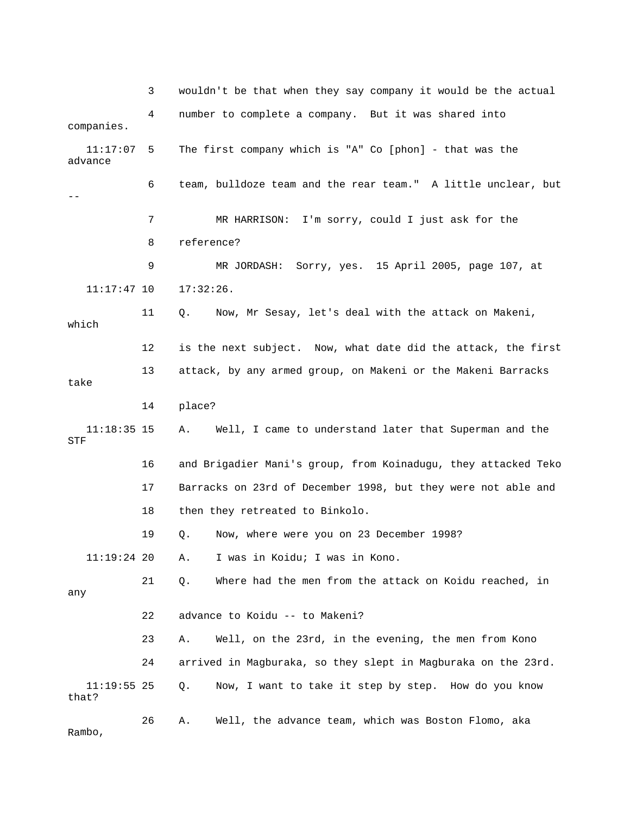3 wouldn't be that when they say company it would be the actual companies. 6 team, bulldoze team and the rear team." A little unclear, but 7 MR HARRISON: I'm sorry, could I just ask for the 8 reference? 11:17:47 10 17:32:26. 11 Q. Now, Mr Sesay, let's deal with the attack on Makeni, 12 is the next subject. Now, what date did the attack, the first 13 attack, by any armed group, on Makeni or the Makeni Barracks take 16 and Brigadier Mani's group, from Koinadugu, they attacked Teko 17 Barracks on 23rd of December 1998, but they were not able and 19 Q. Now, where were you on 23 December 1998? 11:19:24 20 A. I was in Koidu; I was in Kono. 23 A. Well, on the 23rd, in the evening, the men from Kono Q. Now, I want to take it step by step. How do you know mbo, Ra 4 number to complete a company. But it was shared into 11:17:07 5 The first company which is "A" Co [phon] - that was the advance -- 9 MR JORDASH: Sorry, yes. 15 April 2005, page 107, at which 14 place? 11:18:35 15 A. Well, I came to understand later that Superman and the STF 18 then they retreated to Binkolo. 21 Q. Where had the men from the attack on Koidu reached, in any 22 advance to Koidu -- to Makeni? 24 arrived in Magburaka, so they slept in Magburaka on the 23rd.  $11:19:55$  25 that? 26 A. Well, the advance team, which was Boston Flomo, aka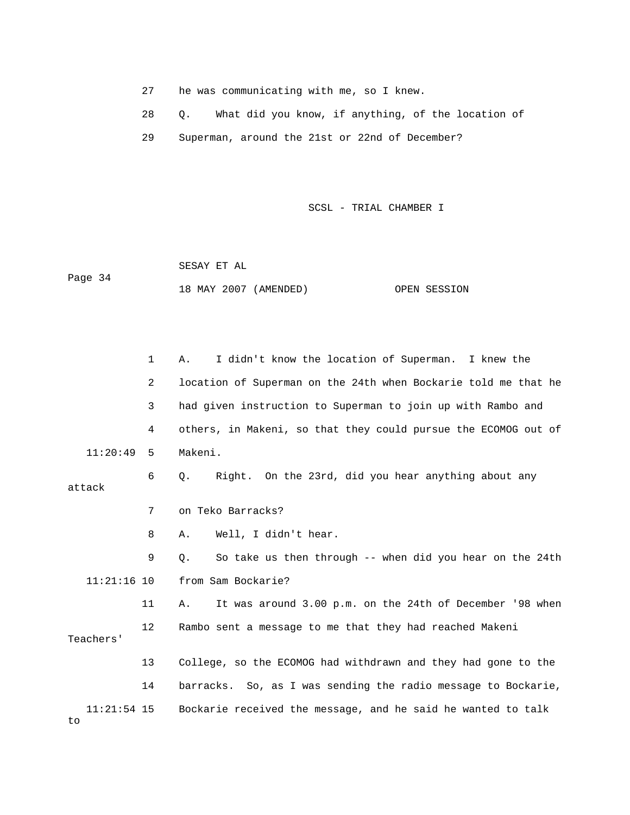- 27 he was communicating with me, so I knew.
- 28 Q. What did you know, if anything, of the location of
- 29 Superman, around the 21st or 22nd of December?

 SESAY ET AL Page 34 18 MAY 2007 (AMENDED) OPEN SESSION

 1 A. I didn't know the location of Superman. I knew the 2 location of Superman on the 24th when Bockarie told me that he 3 had given instruction to Superman to join up with Rambo and 4 others, in Makeni, so that they could pursue the ECOMOG out of 11:20:49 5 Makeni. Well, I didn't hear. 9 Q. So take us then through -- when did you hear on the 24th from Sam Bockarie? 11 A. It was around 3.00 p.m. on the 24th of December '98 when 12 Rambo sent a message to me that they had reached Makeni 13 College, so the ECOMOG had withdrawn and they had gone to the  $11:21:54$  15 Bockarie received the message, and he said he wanted to talk 6 Q. Right. On the 23rd, did you hear anything about any attack 7 on Teko Barracks? 8 A. Wel 11:2 Teachers' 14 barracks. So, as I was sending the radio message to Bockarie,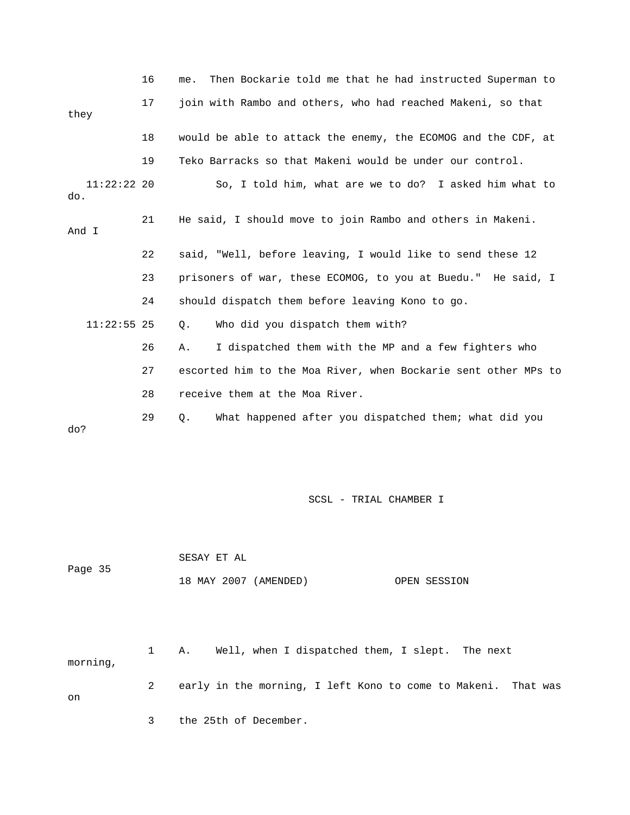|                      | 16 | Then Bockarie told me that he had instructed Superman to<br>me. |
|----------------------|----|-----------------------------------------------------------------|
| they                 | 17 | join with Rambo and others, who had reached Makeni, so that     |
|                      | 18 | would be able to attack the enemy, the ECOMOG and the CDF, at   |
|                      | 19 | Teko Barracks so that Makeni would be under our control.        |
| $11:22:22$ 20<br>do. |    | So, I told him, what are we to do? I asked him what to          |
| And I                | 21 | He said, I should move to join Rambo and others in Makeni.      |
|                      | 22 | said, "Well, before leaving, I would like to send these 12      |
|                      | 23 | prisoners of war, these ECOMOG, to you at Buedu." He said, I    |
|                      | 24 | should dispatch them before leaving Kono to go.                 |
| $11:22:55$ 25        |    | Who did you dispatch them with?<br>Q.                           |
|                      | 26 | I dispatched them with the MP and a few fighters who<br>Α.      |
|                      | 27 | escorted him to the Moa River, when Bockarie sent other MPs to  |
|                      | 28 | receive them at the Moa River.                                  |
| do?                  | 29 | What happened after you dispatched them; what did you<br>Q.     |
|                      |    |                                                                 |

|         | SESAY ET AL |                       |              |
|---------|-------------|-----------------------|--------------|
| Page 35 |             |                       |              |
|         |             | 18 MAY 2007 (AMENDED) | OPEN SESSION |

 2 early in the morning, I left Kono to come to Makeni. That was 3 the 25th of December. 1 A. Well, when I dispatched them, I slept. The next morning, on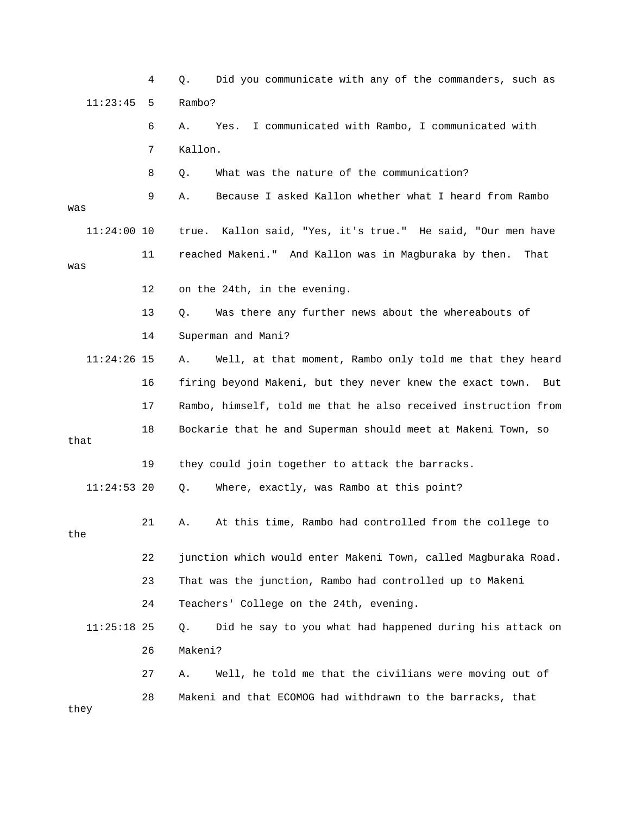|               | 4  | Did you communicate with any of the commanders, such as<br>Q.    |
|---------------|----|------------------------------------------------------------------|
| 11:23:45      | 5  | Rambo?                                                           |
|               | 6  | I communicated with Rambo, I communicated with<br>Α.<br>Yes.     |
|               | 7  | Kallon.                                                          |
|               | 8  | What was the nature of the communication?<br>Q.                  |
| was           | 9  | Because I asked Kallon whether what I heard from Rambo<br>Α.     |
| $11:24:00$ 10 |    | Kallon said, "Yes, it's true." He said, "Our men have<br>true.   |
| was           | 11 | reached Makeni." And Kallon was in Magburaka by then.<br>That    |
|               | 12 | on the 24th, in the evening.                                     |
|               | 13 | Was there any further news about the whereabouts of<br>Q.        |
|               | 14 | Superman and Mani?                                               |
| $11:24:26$ 15 |    | Well, at that moment, Rambo only told me that they heard<br>Α.   |
|               | 16 | firing beyond Makeni, but they never knew the exact town.<br>But |
|               | 17 | Rambo, himself, told me that he also received instruction from   |
| that          | 18 | Bockarie that he and Superman should meet at Makeni Town, so     |
|               | 19 | they could join together to attack the barracks.                 |
| $11:24:53$ 20 |    | Where, exactly, was Rambo at this point?<br>Q.                   |
| the           | 21 | At this time, Rambo had controlled from the college to<br>Α.     |
|               | 22 | junction which would enter Makeni Town, called Magburaka Road.   |
|               | 23 | That was the junction, Rambo had controlled up to Makeni         |
|               | 24 | Teachers' College on the 24th, evening.                          |
| $11:25:18$ 25 |    | Did he say to you what had happened during his attack on<br>Q.   |
|               | 26 | Makeni?                                                          |
|               | 27 | Well, he told me that the civilians were moving out of<br>Α.     |
| they          | 28 | Makeni and that ECOMOG had withdrawn to the barracks, that       |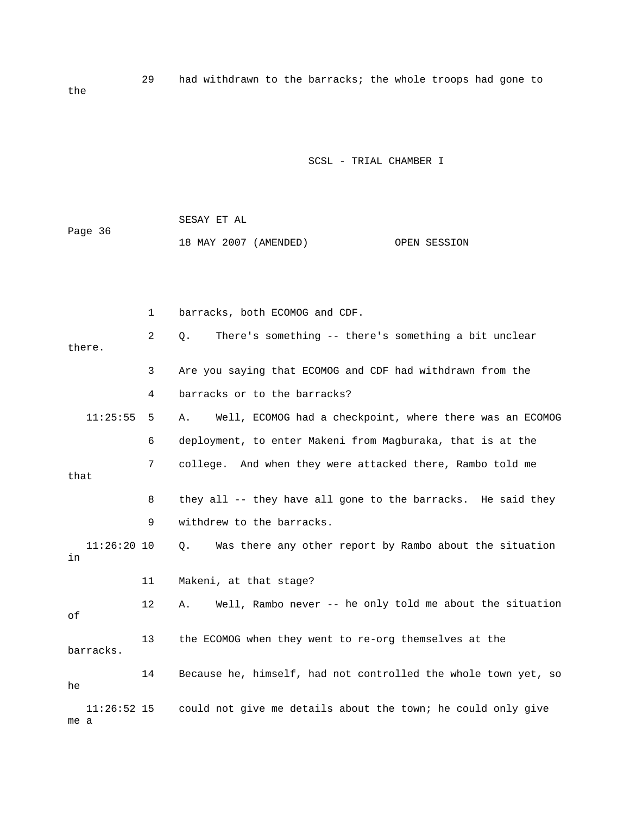29 had withdrawn to the barracks; the whole troops had gone to

SCSL - TRIAL CHAMBER I

|         | SESAY ET AL           |              |
|---------|-----------------------|--------------|
| Page 36 |                       |              |
|         | 18 MAY 2007 (AMENDED) | OPEN SESSION |

the

|      |               | $\mathbf{1}$   | barracks, both ECOMOG and CDF.                                 |
|------|---------------|----------------|----------------------------------------------------------------|
|      | there.        | $\overline{2}$ | There's something -- there's something a bit unclear<br>Q.     |
|      |               | 3              | Are you saying that ECOMOG and CDF had withdrawn from the      |
|      |               | 4              | barracks or to the barracks?                                   |
|      | 11:25:55      | 5              | Well, ECOMOG had a checkpoint, where there was an ECOMOG<br>Α. |
|      |               | 6              | deployment, to enter Makeni from Magburaka, that is at the     |
| that |               | 7              | college. And when they were attacked there, Rambo told me      |
|      |               | 8              | they all -- they have all gone to the barracks. He said they   |
|      |               | 9              | withdrew to the barracks.                                      |
| in   | $11:26:20$ 10 |                | 0.<br>Was there any other report by Rambo about the situation  |
|      |               | 11             | Makeni, at that stage?                                         |
| оf   |               | 12             | Well, Rambo never -- he only told me about the situation<br>Α. |
|      | barracks.     | 13             | the ECOMOG when they went to re-org themselves at the          |
| he   |               | 14             | Because he, himself, had not controlled the whole town yet, so |
| me a | $11:26:52$ 15 |                | could not give me details about the town; he could only give   |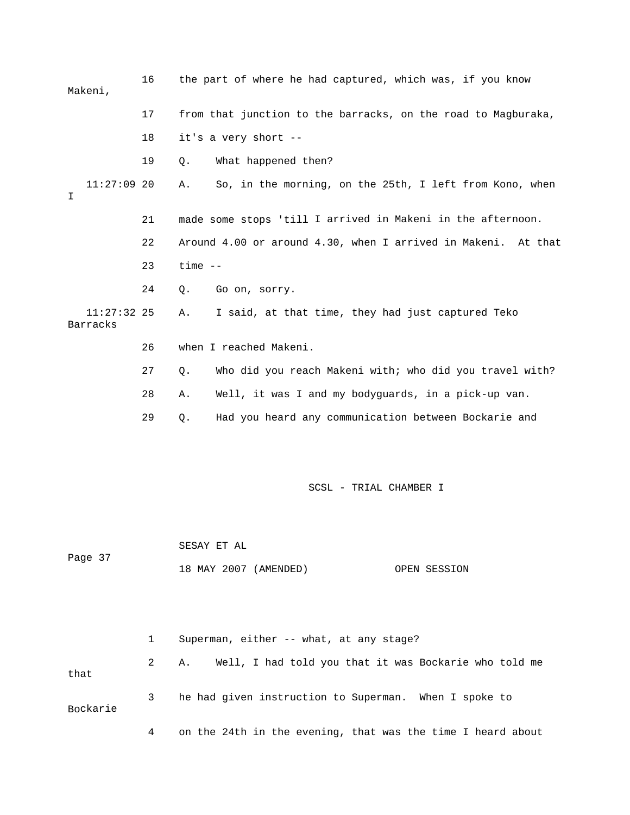16 the part of where he had captured, which was, if you know 17 from that junction to the barracks, on the road to Magburaka, 18 it's a very short -- 11:27:09 20 A. So, in the morning, on the 25th, I left from Kono, when 21 made some stops 'till I arrived in Makeni in the afternoon. 22 Around 4.00 or around 4.30, when I arrived in Makeni. At that 24 Q. Go on, sorry. 11:27:32 25 A. I said, at that time, they had just captured Teko 26 when I reached Makeni. 27 Q. Who did you reach Makeni with; who did you travel with? 29 Q. Had you heard any communication between Bockarie and SCSL - TRIAL CHAMBER I SESAY ET AL Makeni, 19 Q. What happened then?  $\mathsf{T}$  23 time -- Barracks 28 A. Well, it was I and my bodyguards, in a pick-up van.

18 MAY 2007 (AMENDED) OPEN SESSION

Page 37

 1 Superman, either -- what, at any stage? 2 A. Well, I had told you that it was Bockarie who told me that 3 he had given instruction to Superman. When I spoke to Bockarie 4 on the 24th in the evening, that was the time I heard about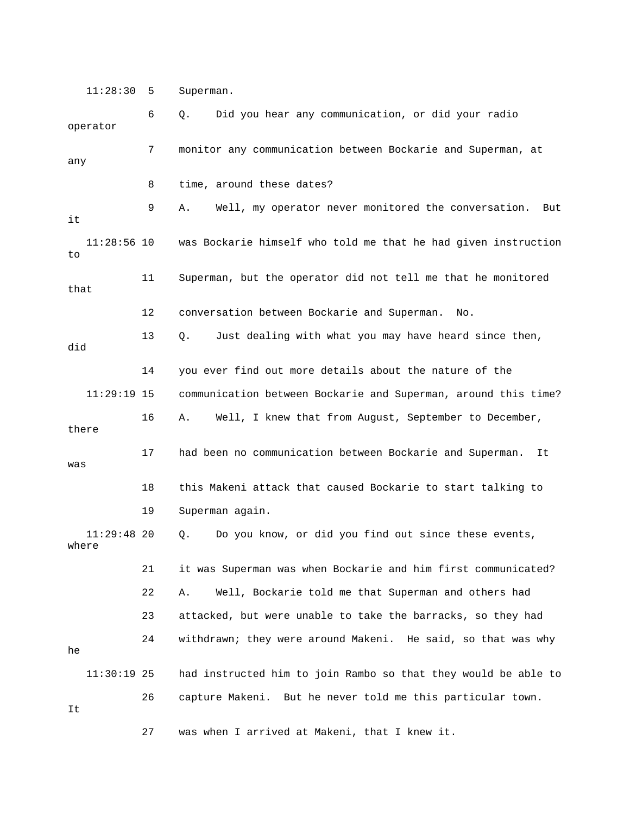11:28:30 5 Superman.

 8 time, around these dates? 9 A. Well, my operator never monitored the conversation. But was Bockarie himself who told me that he had given instruction 11 Superman, but the operator did not tell me that he monitored 12 conversation between Bockarie and Superman. No. 13 Q. Just dealing with what you may have heard since then, did 14 you ever find out more details about the nature of the 11:29:19 15 communication between Bockarie and Superman, around this time? 17 had been no communication between Bockarie and Superman. It was 18 this Makeni attack that caused Bockarie to start talking to 22 A. Well, Bockarie told me that Superman and others had 24 withdrawn; they were around Makeni. He said, so that was why  $11:30:19$  25 had instructed him to join Rambo so that they would be able to 6 Q. Did you hear any communication, or did your radio operator 7 monitor any communication between Bockarie and Superman, at any it  $11:28:56$  10 to that 16 A. Well, I knew that from August, September to December, there 19 Superman again. 11:29:48 20 Q. Do you know, or did you find out since these events, where 21 it was Superman was when Bockarie and him first communicated? 23 attacked, but were unable to take the barracks, so they had he 26 capture Makeni. But he never told me this particular town. It

27 was when I arrived at Makeni, that I knew it.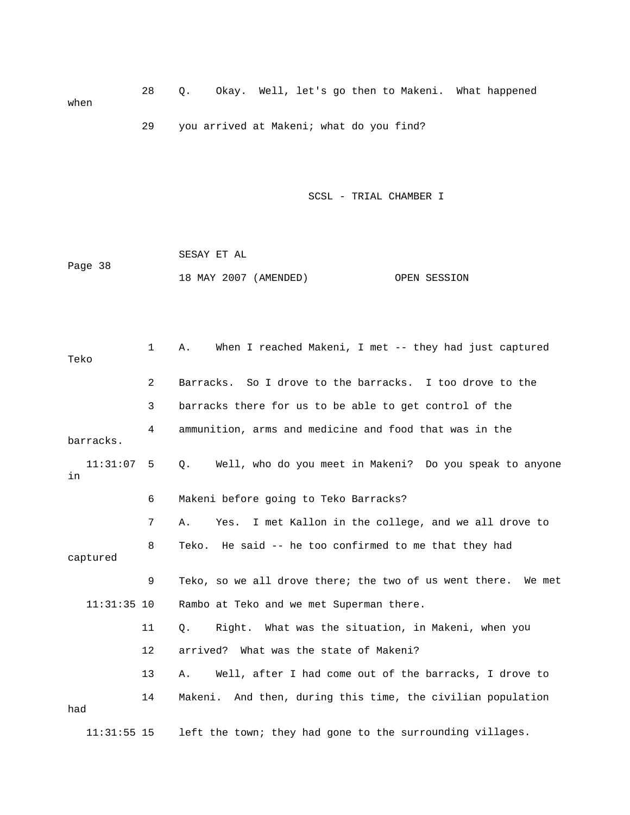28 Q. Okay. Well, let's go then to Makeni. What happened when 29 you arrived at Makeni; what do you find?

|         | SESAY ET AL |                       |              |
|---------|-------------|-----------------------|--------------|
| Page 38 |             |                       |              |
|         |             | 18 MAY 2007 (AMENDED) | OPEN SESSION |

| Teko               | 1              | When I reached Makeni, I met -- they had just captured<br>Α.         |
|--------------------|----------------|----------------------------------------------------------------------|
|                    | $\overline{2}$ | Barracks. So I drove to the barracks. I too drove to the             |
|                    | 3              | barracks there for us to be able to get control of the               |
| barracks.          | 4              | ammunition, arms and medicine and food that was in the               |
| $11:31:07$ 5<br>in |                | Well, who do you meet in Makeni? Do you speak to anyone<br>$\circ$ . |
|                    | 6              | Makeni before going to Teko Barracks?                                |
|                    | 7              | Yes. I met Kallon in the college, and we all drove to<br>Α.          |
| captured           | 8              | Teko. He said -- he too confirmed to me that they had                |
|                    | 9              | Teko, so we all drove there; the two of us went there. We met        |
| $11:31:35$ 10      |                | Rambo at Teko and we met Superman there.                             |
|                    | 11             | Right. What was the situation, in Makeni, when you<br>Q.             |
|                    | 12             | arrived? What was the state of Makeni?                               |
|                    | 13             | Well, after I had come out of the barracks, I drove to<br>Α.         |
| had                | 14             | Makeni. And then, during this time, the civilian population          |
| $11:31:55$ 15      |                | left the town; they had gone to the surrounding villages.            |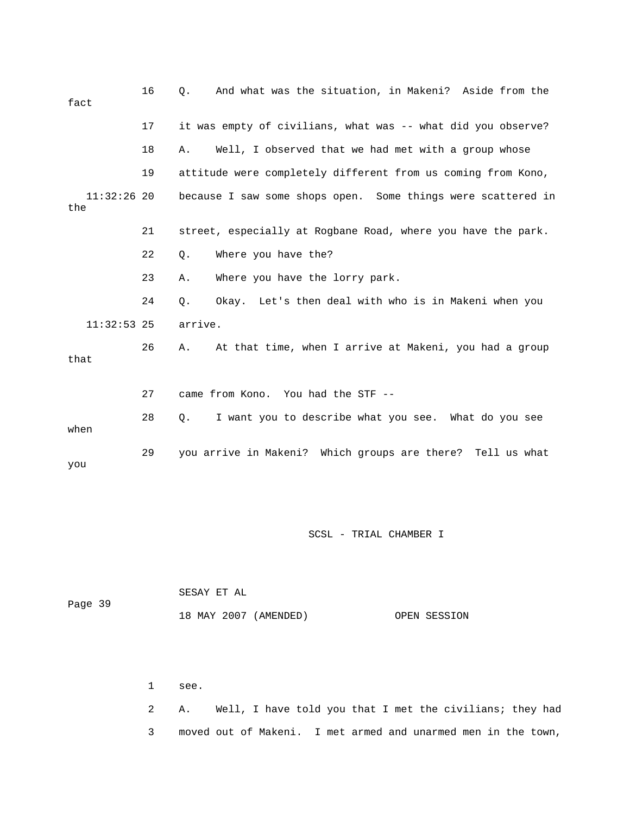| fact                 | 16 | And what was the situation, in Makeni? Aside from the<br>О.  |
|----------------------|----|--------------------------------------------------------------|
|                      | 17 | it was empty of civilians, what was -- what did you observe? |
|                      | 18 | Well, I observed that we had met with a group whose<br>Α.    |
|                      | 19 | attitude were completely different from us coming from Kono, |
| $11:32:26$ 20<br>the |    | because I saw some shops open. Some things were scattered in |
|                      | 21 | street, especially at Rogbane Road, where you have the park. |
|                      | 22 | Where you have the?<br>$Q$ .                                 |
|                      | 23 | Where you have the lorry park.<br>Α.                         |
|                      | 24 | Okay. Let's then deal with who is in Makeni when you<br>Ο.   |
| $11:32:53$ 25        |    | arrive.                                                      |
| that                 | 26 | At that time, when I arrive at Makeni, you had a group<br>Α. |
|                      | 27 | came from Kono. You had the STF --                           |
| when                 | 28 | I want you to describe what you see. What do you see<br>Q.   |
| you                  | 29 | you arrive in Makeni? Which groups are there? Tell us what   |

|         | SESAY ET AL           |              |
|---------|-----------------------|--------------|
| Page 39 |                       |              |
|         | 18 MAY 2007 (AMENDED) | OPEN SESSION |

1 see.

 2 A. Well, I have told you that I met the civilians; they had 3 moved out of Makeni. I met armed and unarmed men in the town,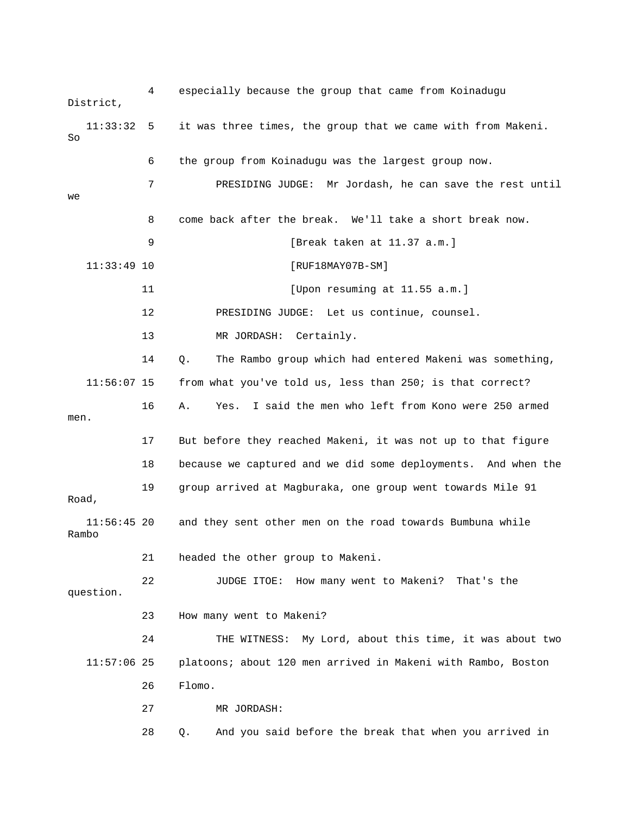4 espec ially because the group that came from Koinadugu District, t until 7 PRESIDING JUDGE: Mr Jordash, he can save the res 9 [Break taken at 11.37 a.m.] 11 [Upon resuming at 11.55 a.m.] 14 Q. The Rambo group which had entered Makeni was something,  $11:56:07$  15 from what you've told us, less than 250; is that correct? 16 A. Yes. I said the men who left from Kono were 250 armed 17 But before they reached Makeni, it was not up to that figure Road, and they sent other men on the road towards Bumbuna while Rambo 21 headed the other group to Makeni. 23 How many went to Makeni? 24 THE WITNESS: My Lord, about this time, it was about two 11:57:06 25 platoons; about 120 men arrived in Makeni with Rambo, Boston 27 MR JORDASH: 28 Q. And you said before the break that when you arrived in 11:33:32 5 it was three times, the group that we came with from Makeni. So 6 the group from Koinadugu was the largest group now. we 8 come back after the break. We'll take a short break now. 11:33:49 10 [RUF18MAY07B-SM] 12 PRESIDING JUDGE: Let us continue, counsel. 13 MR JORDASH: Certainly. men. 18 because we captured and we did some deployments. And when the 19 group arrived at Magburaka, one group went towards Mile 91  $11:56:45$  20 22 JUDGE ITOE: How many went to Makeni? That's the question. 26 Flomo.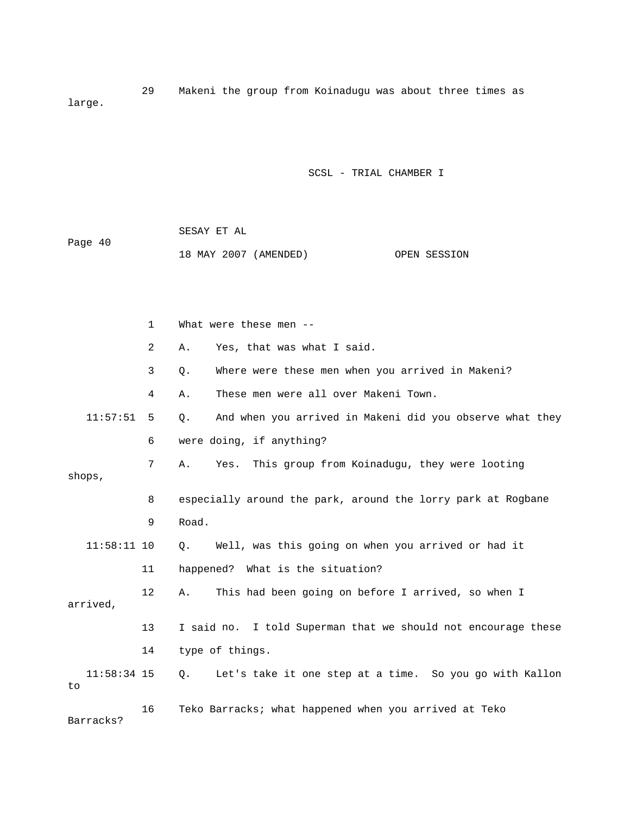29 Makeni the group from Koinadugu was about three times as large.

SCSL - TRIAL CHAMBER I

| Page 40 | SESAY ET AL |                       |              |
|---------|-------------|-----------------------|--------------|
|         |             | 18 MAY 2007 (AMENDED) | OPEN SESSION |

|    |               | $\mathbf{1}$   | What were these men --                                                |
|----|---------------|----------------|-----------------------------------------------------------------------|
|    |               | $\overline{2}$ | Yes, that was what I said.<br>Α.                                      |
|    |               | 3              | Where were these men when you arrived in Makeni?<br>Q.                |
|    |               | 4              | These men were all over Makeni Town.<br>Α.                            |
|    | 11:57:51      | 5              | And when you arrived in Makeni did you observe what they<br>$\circ$ . |
|    |               | 6              | were doing, if anything?                                              |
|    | shops,        | 7              | This group from Koinadugu, they were looting<br>Α.<br>Yes.            |
|    |               | 8              | especially around the park, around the lorry park at Rogbane          |
|    |               | 9              | Road.                                                                 |
|    | $11:58:11$ 10 |                | Well, was this going on when you arrived or had it<br>0.              |
|    |               | 11             | happened? What is the situation?                                      |
|    | arrived,      | 12             | This had been going on before I arrived, so when I<br>Α.              |
|    |               | 13             | I said no. I told Superman that we should not encourage these         |
|    |               | 14             | type of things.                                                       |
| to | $11:58:34$ 15 |                | Let's take it one step at a time. So you go with Kallon<br>Q.         |
|    |               | 16             | Teko Barracks; what happened when you arrived at Teko                 |

Barracks?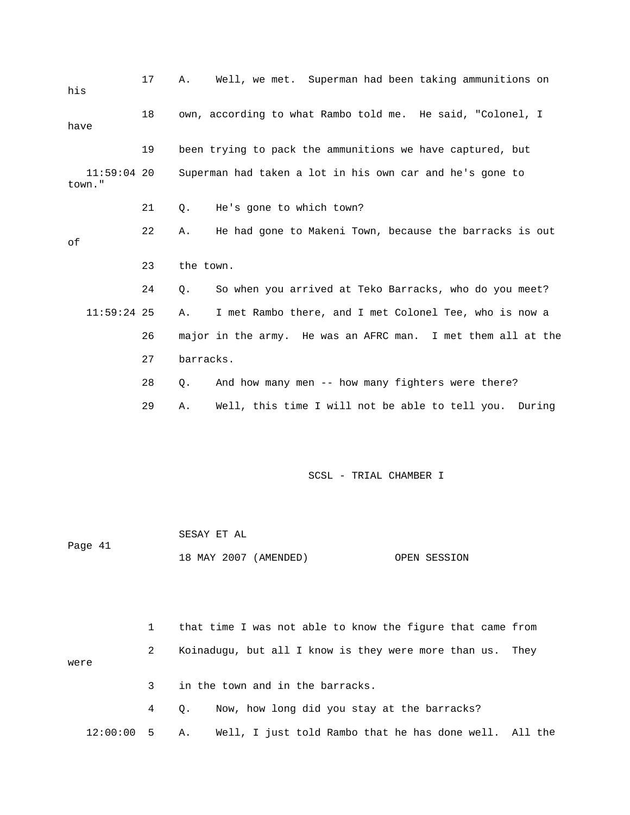| his     | 17            | Well, we met. Superman had been taking ammunitions on<br>Α.     |
|---------|---------------|-----------------------------------------------------------------|
| have    | 18            | own, according to what Rambo told me. He said, "Colonel, I      |
|         | 19            | been trying to pack the ammunitions we have captured, but       |
| town."  | $11:59:04$ 20 | Superman had taken a lot in his own car and he's gone to        |
|         | 21            | He's gone to which town?<br>Q.                                  |
| оf      | 22            | He had gone to Makeni Town, because the barracks is out<br>Α.   |
|         | 23            | the town.                                                       |
|         | 24            | So when you arrived at Teko Barracks, who do you meet?<br>Q.    |
|         | $11:59:24$ 25 | I met Rambo there, and I met Colonel Tee, who is now a<br>Α.    |
|         | 26            | major in the army. He was an AFRC man. I met them all at the    |
|         | 27            | barracks.                                                       |
|         | 28            | And how many men -- how many fighters were there?<br>Q.         |
|         | 29            | Well, this time I will not be able to tell you.<br>During<br>Α. |
|         |               | SCSL - TRIAL CHAMBER I                                          |
|         |               |                                                                 |
|         |               | SESAY ET AL                                                     |
| Page 41 |               | 18 MAY 2007 (AMENDED)<br>OPEN SESSION                           |
|         |               |                                                                 |
|         | $\mathbf{1}$  | that time I was not able to know the figure that came from      |
| were    | 2             | Koinadugu, but all I know is they were more than us.<br>They    |
|         | 3             | in the town and in the barracks.                                |
|         | 4             | Now, how long did you stay at the barracks?<br>Q.               |

e 12:00:00 5 A. Well, I just told Rambo that he has done well. All th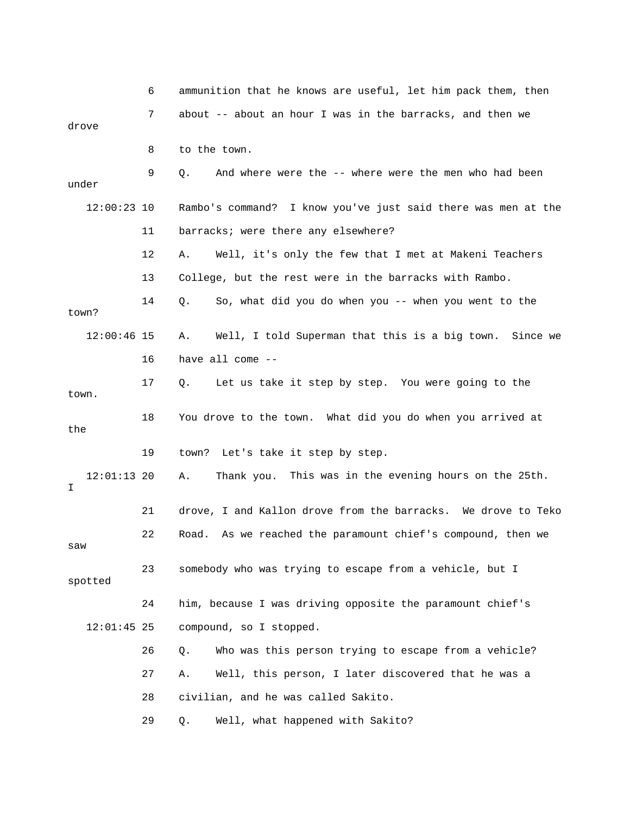|                     | 6  | ammunition that he knows are useful, let him pack them, then   |
|---------------------|----|----------------------------------------------------------------|
| drove               | 7  | about -- about an hour I was in the barracks, and then we      |
|                     | 8  | to the town.                                                   |
| under               | 9  | And where were the -- where were the men who had been<br>Q.    |
| $12:00:23$ 10       |    | Rambo's command? I know you've just said there was men at the  |
|                     | 11 | barracks; were there any elsewhere?                            |
|                     | 12 | Well, it's only the few that I met at Makeni Teachers<br>Α.    |
|                     | 13 | College, but the rest were in the barracks with Rambo.         |
| town?               | 14 | So, what did you do when you -- when you went to the<br>Q.     |
| $12:00:46$ 15       |    | Well, I told Superman that this is a big town. Since we<br>Α.  |
|                     | 16 | have all come $-$                                              |
| town.               | 17 | Let us take it step by step. You were going to the<br>Q.       |
| the                 | 18 | You drove to the town. What did you do when you arrived at     |
|                     | 19 | Let's take it step by step.<br>town?                           |
| $12:01:13$ 20<br>I. |    | This was in the evening hours on the 25th.<br>Α.<br>Thank you. |
|                     | 21 | drove, I and Kallon drove from the barracks. We drove to Teko  |
| saw                 | 22 | As we reached the paramount chief's compound, then we<br>Road. |
| spotted             | 23 | somebody who was trying to escape from a vehicle, but I        |
|                     | 24 | him, because I was driving opposite the paramount chief's      |
| $12:01:45$ 25       |    | compound, so I stopped.                                        |
|                     | 26 | Who was this person trying to escape from a vehicle?<br>Q.     |
|                     | 27 | Well, this person, I later discovered that he was a<br>Α.      |
|                     | 28 | civilian, and he was called Sakito.                            |
|                     | 29 | Well, what happened with Sakito?<br>Q.                         |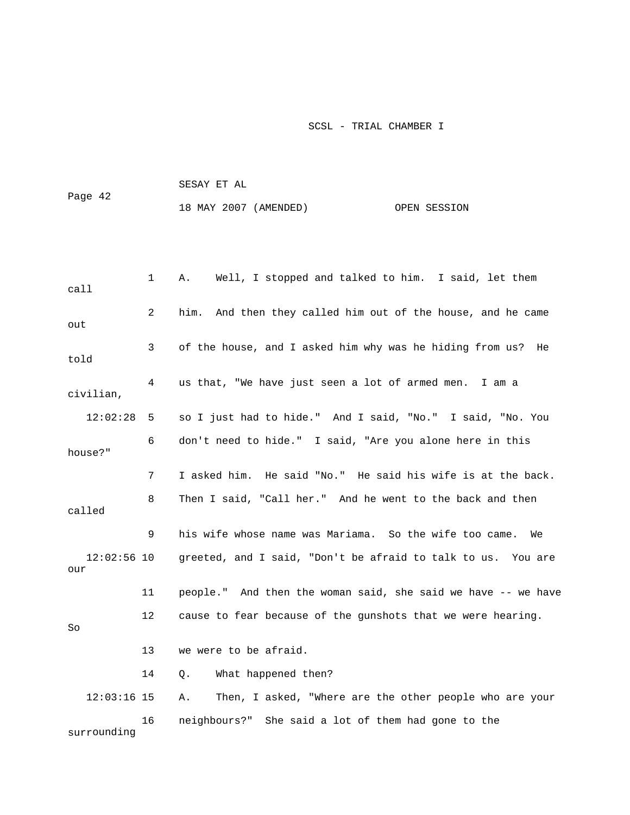|         | SESAY ET AL           |              |
|---------|-----------------------|--------------|
| Page 42 | 18 MAY 2007 (AMENDED) | OPEN SESSION |

| call                 | 1  | Well, I stopped and talked to him. I said, let them<br>Α.     |
|----------------------|----|---------------------------------------------------------------|
| out                  | 2  | him. And then they called him out of the house, and he came   |
| told                 | 3  | of the house, and I asked him why was he hiding from us? He   |
| civilian,            | 4  | us that, "We have just seen a lot of armed men. I am a        |
| 12:02:28             | 5  | so I just had to hide." And I said, "No." I said, "No. You    |
| house?"              | 6  | don't need to hide." I said, "Are you alone here in this      |
|                      | 7  | I asked him. He said "No." He said his wife is at the back.   |
| called               | 8  | Then I said, "Call her." And he went to the back and then     |
|                      | 9  | his wife whose name was Mariama. So the wife too came. We     |
| $12:02:56$ 10<br>our |    | greeted, and I said, "Don't be afraid to talk to us. You are  |
|                      | 11 | people." And then the woman said, she said we have -- we have |
| So                   | 12 | cause to fear because of the gunshots that we were hearing.   |
|                      | 13 | we were to be afraid.                                         |
|                      | 14 | What happened then?<br>Q.                                     |
| $12:03:16$ 15        |    | Then, I asked, "Where are the other people who are your<br>Α. |
| surrounding          | 16 | neighbours?" She said a lot of them had gone to the           |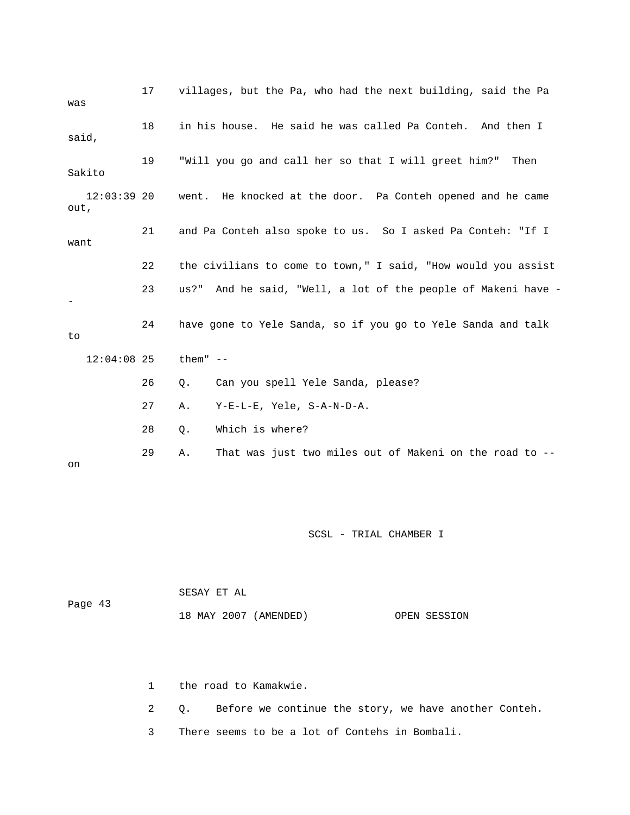| was                   | 17 | villages, but the Pa, who had the next building, said the Pa     |
|-----------------------|----|------------------------------------------------------------------|
| said,                 | 18 | in his house. He said he was called Pa Conteh. And then I        |
| Sakito                | 19 | "Will you go and call her so that I will greet him?"<br>Then     |
| $12:03:39$ 20<br>out, |    | went. He knocked at the door. Pa Conteh opened and he came       |
| want                  | 21 | and Pa Conteh also spoke to us. So I asked Pa Conteh: "If I      |
|                       | 22 | the civilians to come to town," I said, "How would you assist    |
|                       | 23 | And he said, "Well, a lot of the people of Makeni have -<br>us?" |
| to                    | 24 | have gone to Yele Sanda, so if you go to Yele Sanda and talk     |
| $12:04:08$ 25         |    | them" $--$                                                       |
|                       | 26 | Can you spell Yele Sanda, please?<br>Q.                          |
|                       | 27 | Y-E-L-E, Yele, S-A-N-D-A.<br>Α.                                  |
|                       | 28 | Which is where?<br>Q.                                            |
| on                    | 29 | That was just two miles out of Makeni on the road to --<br>Α.    |

|         | SESAY ET AL           |              |
|---------|-----------------------|--------------|
| Page 43 |                       |              |
|         | 18 MAY 2007 (AMENDED) | OPEN SESSION |

1 the road to Kamakwie.

2 Q. Before we continue the story, we have another Conteh.

3 There seems to be a lot of Contehs in Bombali.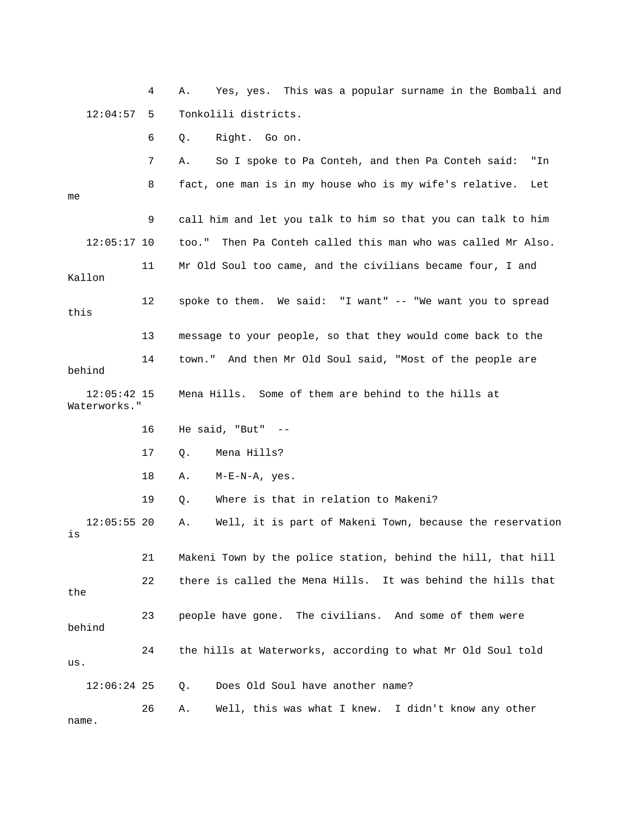4 A. Yes, yes. This was a popular surname in the Bombali and 12:04:57 5 Tonkolili districts.

6 Q. Right. Go on.

7 A. So I spoke to Pa Conteh, and then Pa Conteh said: "In 8 fact, one man is in my house who is my wife's relative. Let 9 call him and let you talk to him so that you can talk to him 12:05:17 10 too." Then Pa Conteh called this man who was called Mr Also. Kallon 12 spoke to them. We said: "I want" -- "We want you to spread this 14 town." And then Mr Old Soul said, "Most of the people are 12:05:42 15 Mena Hills. Some of them are behind to the hills at 16 He said, "But" -- 17 Q. Mena Hills? 12:05:55 20 A. Well, it is part of Makeni Town, because the reservation 21 Makeni Town by the police station, behind the hill, that hill 22 there is called the Mena Hills. It was behind the hills that the 23 people have gone. The civilians. And some of them were 24 the hills at Waterworks, according to what Mr Old Soul told 26 A. Well, this was what I knew. I didn't know any other me 11 Mr Old Soul too came, and the civilians became four, I and 13 message to your people, so that they would come back to the behind Waterworks." 18 A. M-E-N-A, yes. 19 Q. Where is that in relation to Makeni? is behind us. 12:06:24 25 Q. Does Old Soul have another name? name.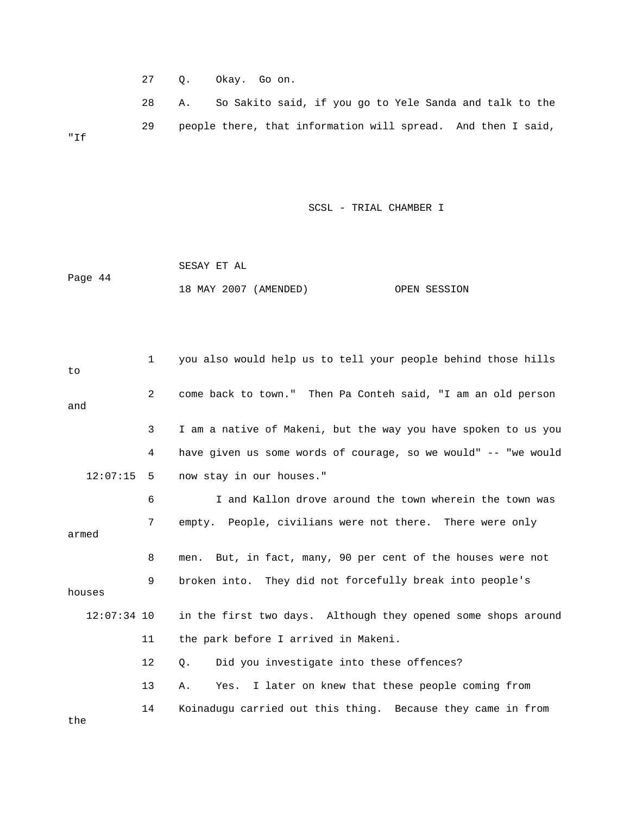27 Q. Okay. Go on.

 28 A. So Sakito said, if you go to Yele Sanda and talk to the 29 people there, that information will spread. And then I said, "If

SCSL - TRIAL CHAMBER I

 SESAY ET AL Page 44 18 MAY 2007 (AMENDED) OPEN SESSION

 1 you also would help us to tell your people behind those hills 2 come back to town." Then Pa Conteh said, "I am an old person 3 I am a native of Makeni, but the way you have spoken to us you 4 have given us some words of courage, so we would" -- "we would 7 empty. People, civilians were not there. There were only 9 broken into. They did not forcefully break into people's houses 11 the park before I arrived in Makeni. 14 Koinadugu carried out this thing. Because they came in from to and 12:07:15 5 now stay in our houses." 6 I and Kallon drove around the town wherein the town was armed 8 men. But, in fact, many, 90 per cent of the houses were not 12:07:34 10 in the first two days. Although they opened some shops around 12 Q. Did you investigate into these offences? 13 A. Yes. I later on knew that these people coming from the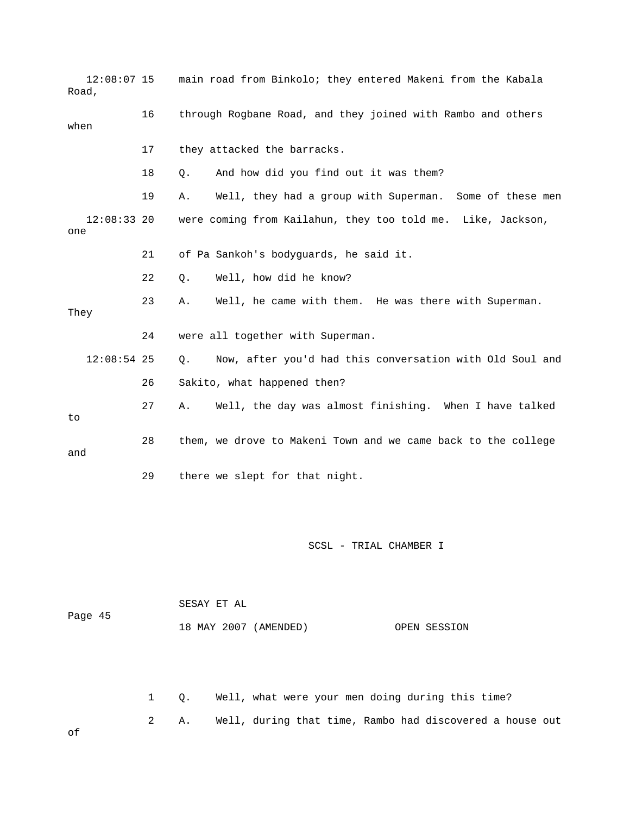| $12:08:07$ 15<br>Road, |    | main road from Binkolo; they entered Makeni from the Kabala    |
|------------------------|----|----------------------------------------------------------------|
| when                   | 16 | through Rogbane Road, and they joined with Rambo and others    |
|                        | 17 | they attacked the barracks.                                    |
|                        | 18 | And how did you find out it was them?<br>Q.                    |
|                        | 19 | Well, they had a group with Superman. Some of these men<br>Α.  |
| $12:08:33$ 20<br>one   |    | were coming from Kailahun, they too told me. Like, Jackson,    |
|                        | 21 | of Pa Sankoh's bodyguards, he said it.                         |
|                        | 22 | Well, how did he know?<br>Q.                                   |
| They                   | 23 | Well, he came with them. He was there with Superman.<br>Α.     |
|                        | 24 | were all together with Superman.                               |
| $12:08:54$ 25          |    | Now, after you'd had this conversation with Old Soul and<br>Q. |
|                        | 26 | Sakito, what happened then?                                    |
| to                     | 27 | Well, the day was almost finishing. When I have talked<br>Α.   |
| and                    | 28 | them, we drove to Makeni Town and we came back to the college  |
|                        | 29 | there we slept for that night.                                 |
|                        |    |                                                                |
|                        |    | SCSL - TRIAL CHAMBER I                                         |
| Page 45                |    | SESAY ET AL<br>18 MAY 2007 (AMENDED)<br>OPEN SESSION           |

2 A. Well, during that time, Rambo had discovered a house out 1 Q. Well, what were your men doing during this time?

of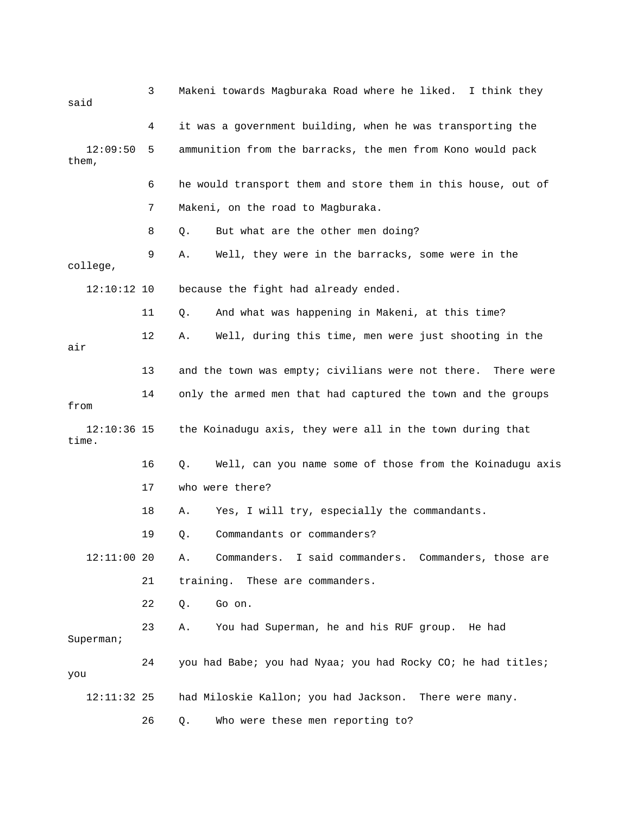| said                   | 3  | Makeni towards Magburaka Road where he liked. I think they       |
|------------------------|----|------------------------------------------------------------------|
|                        | 4  | it was a government building, when he was transporting the       |
| 12:09:50<br>them,      | 5  | ammunition from the barracks, the men from Kono would pack       |
|                        | 6  | he would transport them and store them in this house, out of     |
|                        | 7  | Makeni, on the road to Magburaka.                                |
|                        | 8  | But what are the other men doing?<br>Q.                          |
| college,               | 9  | Well, they were in the barracks, some were in the<br>Α.          |
| $12:10:12$ 10          |    | because the fight had already ended.                             |
|                        | 11 | And what was happening in Makeni, at this time?<br>Q.            |
| air                    | 12 | Well, during this time, men were just shooting in the<br>Α.      |
|                        | 13 | and the town was empty; civilians were not there. There were     |
| from                   | 14 | only the armed men that had captured the town and the groups     |
| $12:10:36$ 15<br>time. |    | the Koinadugu axis, they were all in the town during that        |
|                        | 16 | Well, can you name some of those from the Koinadugu axis<br>Q.   |
|                        | 17 | who were there?                                                  |
|                        | 18 | Yes, I will try, especially the commandants.<br>Α.               |
|                        | 19 | Commandants or commanders?<br>Q.                                 |
| 12:11:00 20            |    | Commanders.<br>I said commanders.<br>Commanders, those are<br>Α. |
|                        | 21 | training. These are commanders.                                  |
|                        | 22 | Go on.<br>Q.                                                     |
| Superman;              | 23 | You had Superman, he and his RUF group. He had<br>Α.             |
| you                    | 24 | you had Babe; you had Nyaa; you had Rocky CO; he had titles;     |
| 12:11:32 25            |    | had Miloskie Kallon; you had Jackson. There were many.           |
|                        | 26 | Who were these men reporting to?<br>Q.                           |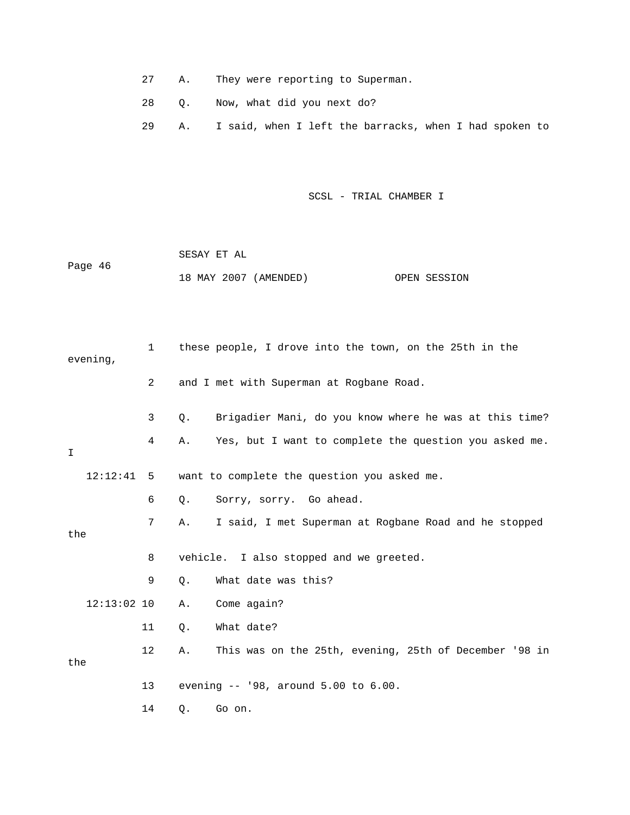- 27 A. They were reporting to Superman.
- 28 Q. Now, what did you next do?
- 29 A. I said, when I left the barracks, when I had spoken to

| Page 46 | SESAY ET AL           |              |
|---------|-----------------------|--------------|
|         | 18 MAY 2007 (AMENDED) | OPEN SESSION |

| evening,      | $\mathbf 1$    |       | these people, I drove into the town, on the 25th in the |
|---------------|----------------|-------|---------------------------------------------------------|
|               | $\overline{2}$ |       | and I met with Superman at Rogbane Road.                |
|               | 3              | $Q$ . | Brigadier Mani, do you know where he was at this time?  |
| I             | 4              | Α.    | Yes, but I want to complete the question you asked me.  |
| 12:12:41      | -5             |       | want to complete the question you asked me.             |
|               | 6              | Q.    | Sorry, sorry. Go ahead.                                 |
| the           | 7              | Α.    | I said, I met Superman at Rogbane Road and he stopped   |
|               | 8              |       | vehicle. I also stopped and we greeted.                 |
|               | 9              | О.    | What date was this?                                     |
| $12:13:02$ 10 |                | Α.    | Come again?                                             |
|               | 11             | Q.    | What date?                                              |
| the           | $12 \,$        | Α.    | This was on the 25th, evening, 25th of December '98 in  |
|               | 13             |       | evening -- '98, around 5.00 to 6.00.                    |
|               | 14             | Q.    | Go on.                                                  |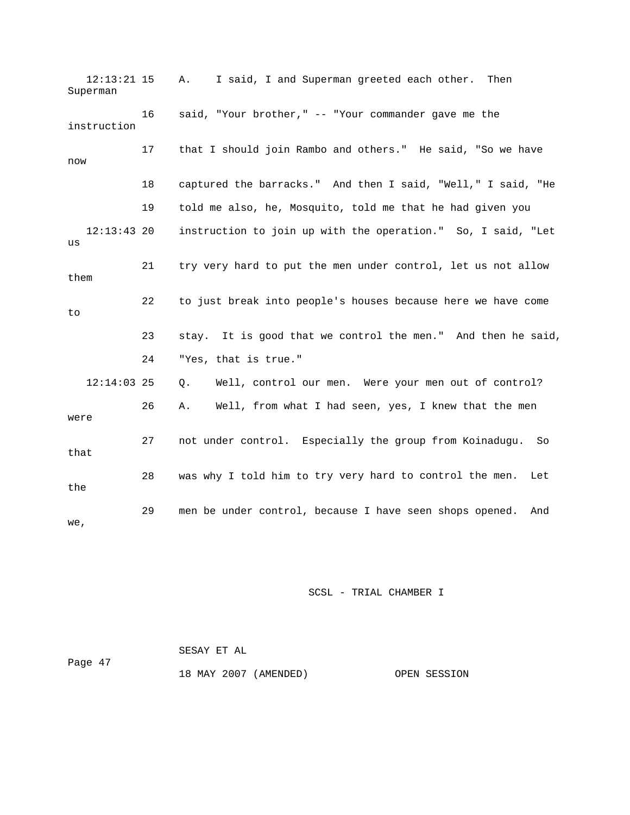12:13:21 15 A. I said, I and Superman greeted each other. Then 17 that I should join Rambo and others." He said, "So we have 18 captured the barracks." And then I said, "Well," I said, "He 19 told me also, he, Mosquito, told me that he had given you instruction to join up with the operation." So, I said, "Let 21 try very hard to put the men under control, let us not allow them 22 to just break into people's houses because here we have come 24 "Yes, that is true." Q. Well, control our men. Were your men out of control? that 28 was why I told him to try very hard to control the men. Let Superman 16 said, "Your brother," -- "Your commander gave me the instruction now 12:13:43 2  $11S$ to 23 stay. It is good that we control the men." And then he said,  $12:14:03$  25 26 A. Well, from what I had seen, yes, I knew that the men were 27 not under control. Especially the group from Koinadugu. So the 29 men be under control, because I have seen shops opened. And we,

SCSL - TRIAL CHAMBER I

 SESAY ET AL Page 47 18 MAY 2007 (AMENDED) OPEN SESSION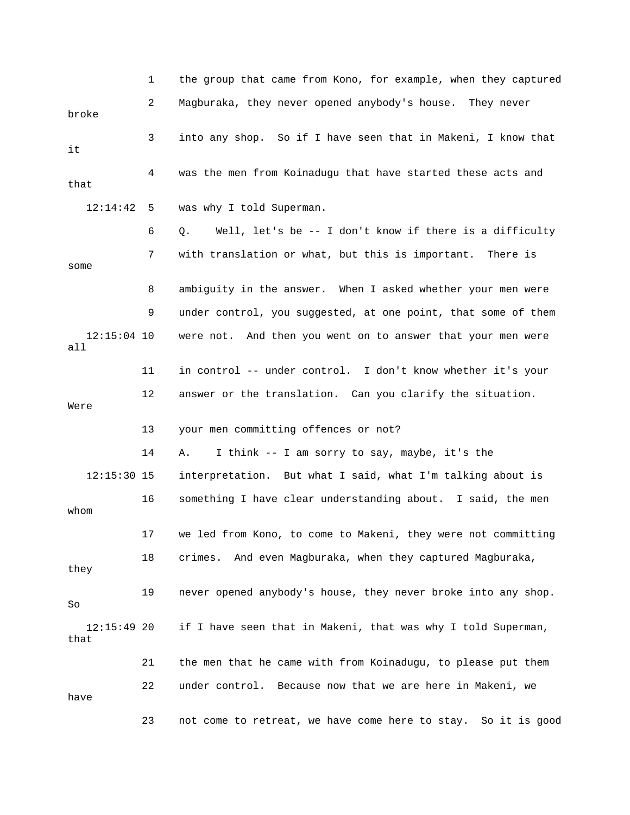|                       | 1  | the group that came from Kono, for example, when they captured   |
|-----------------------|----|------------------------------------------------------------------|
| broke                 | 2  | Magburaka, they never opened anybody's house. They never         |
| it                    | 3  | into any shop. So if I have seen that in Makeni, I know that     |
| that                  | 4  | was the men from Koinadugu that have started these acts and      |
| 12:14:42              | 5  | was why I told Superman.                                         |
|                       | 6  | Well, let's be $-$ - I don't know if there is a difficulty<br>Q. |
| some                  | 7  | with translation or what, but this is important. There is        |
|                       | 8  | ambiguity in the answer. When I asked whether your men were      |
|                       | 9  | under control, you suggested, at one point, that some of them    |
| $12:15:04$ 10<br>all  |    | were not. And then you went on to answer that your men were      |
|                       | 11 | in control -- under control. I don't know whether it's your      |
| Were                  | 12 | answer or the translation. Can you clarify the situation.        |
|                       | 13 | your men committing offences or not?                             |
|                       | 14 | I think -- I am sorry to say, maybe, it's the<br>Α.              |
| $12:15:30$ 15         |    | interpretation. But what I said, what I'm talking about is       |
| whom                  | 16 | something I have clear understanding about. I said, the men      |
|                       | 17 | we led from Kono, to come to Makeni, they were not committing    |
| they                  | 18 | crimes. And even Magburaka, when they captured Magburaka,        |
| So                    | 19 | never opened anybody's house, they never broke into any shop.    |
| $12:15:49$ 20<br>that |    | if I have seen that in Makeni, that was why I told Superman,     |
|                       | 21 | the men that he came with from Koinadugu, to please put them     |
| have                  | 22 | under control. Because now that we are here in Makeni, we        |
|                       | 23 | not come to retreat, we have come here to stay. So it is good    |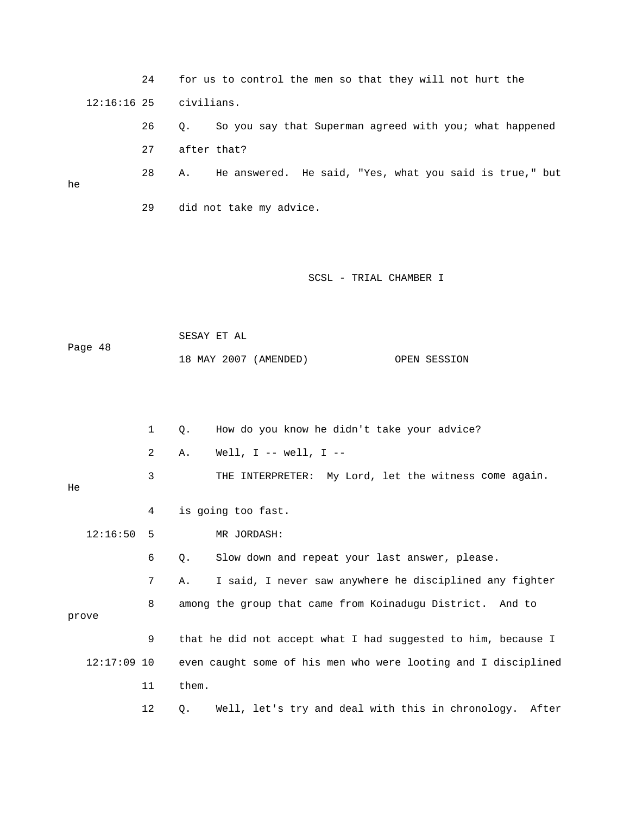|               | 24           | for us to control the men so that they will not hurt the       |
|---------------|--------------|----------------------------------------------------------------|
| $12:16:16$ 25 |              | civilians.                                                     |
|               | 26           | So you say that Superman agreed with you; what happened<br>Q.  |
|               | 27           | after that?                                                    |
| he            | 28           | He answered. He said, "Yes, what you said is true," but<br>Α.  |
|               | 29           | did not take my advice.                                        |
|               |              |                                                                |
|               |              | SCSL - TRIAL CHAMBER I                                         |
|               |              | SESAY ET AL                                                    |
| Page 48       |              | 18 MAY 2007 (AMENDED)<br>OPEN SESSION                          |
|               |              |                                                                |
|               | $\mathbf{1}$ | How do you know he didn't take your advice?<br>Q.              |
|               | 2            | Well, $I$ -- well, $I$ --<br>Α.                                |
| He            | 3            | THE INTERPRETER: My Lord, let the witness come again.          |
|               | 4            | is going too fast.                                             |
| 12:16:50      | $5^{\circ}$  | MR JORDASH:                                                    |
|               | 6            | Slow down and repeat your last answer, please.<br>Q.           |
|               | 7            | I said, I never saw anywhere he disciplined any fighter<br>Α.  |
| prove         | 8            | among the group that came from Koinadugu District. And to      |
|               | $\mathsf 9$  | that he did not accept what I had suggested to him, because I  |
| $12:17:09$ 10 |              | even caught some of his men who were looting and I disciplined |
|               | 11           | them.                                                          |
|               | 12           | Well, let's try and deal with this in chronology. After<br>Q.  |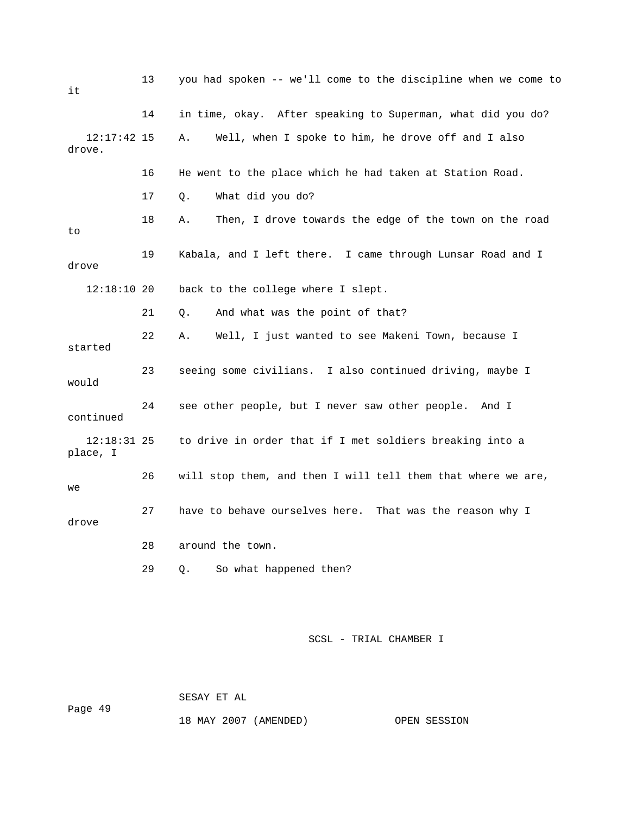| it                        | 13 | you had spoken -- we'll come to the discipline when we come to |
|---------------------------|----|----------------------------------------------------------------|
|                           | 14 | in time, okay. After speaking to Superman, what did you do?    |
| $12:17:42$ 15<br>drove.   |    | Well, when I spoke to him, he drove off and I also<br>Α.       |
|                           | 16 | He went to the place which he had taken at Station Road.       |
|                           | 17 | What did you do?<br>Q.                                         |
| to                        | 18 | Then, I drove towards the edge of the town on the road<br>Α.   |
| drove                     | 19 | Kabala, and I left there. I came through Lunsar Road and I     |
| $12:18:10$ 20             |    | back to the college where I slept.                             |
|                           | 21 | And what was the point of that?<br>Q.                          |
| started                   | 22 | Well, I just wanted to see Makeni Town, because I<br>Α.        |
| would                     | 23 | seeing some civilians. I also continued driving, maybe I       |
| continued                 | 24 | see other people, but I never saw other people.<br>And I       |
| $12:18:31$ 25<br>place, I |    | to drive in order that if I met soldiers breaking into a       |
| we                        | 26 | will stop them, and then I will tell them that where we are,   |
| drove                     | 27 | have to behave ourselves here. That was the reason why I       |
|                           | 28 | around the town.                                               |
|                           | 29 | So what happened then?<br>Q.                                   |

ge 49 Pa

SESAY ET AL

18 MAY 2007 (AMENDED) OPEN SESSION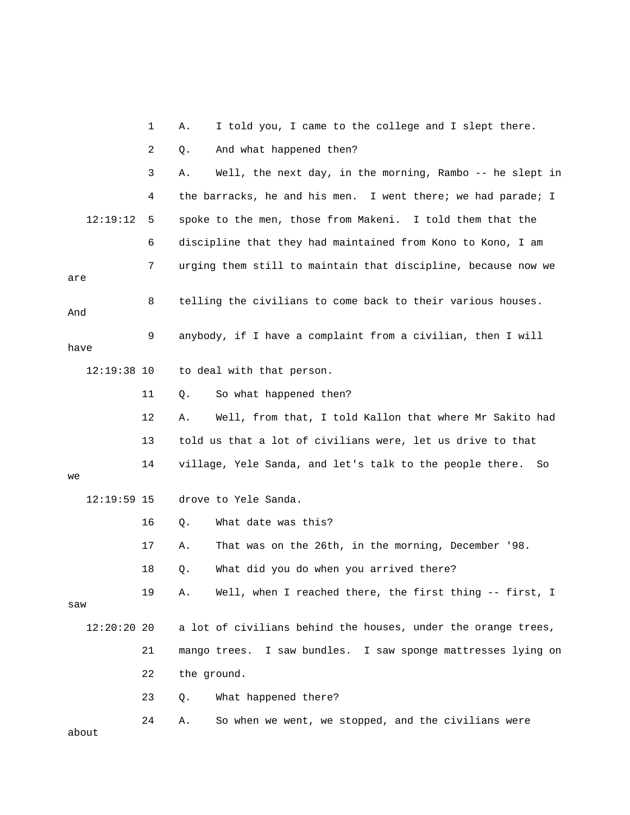|               | 1  | I told you, I came to the college and I slept there.<br>Α.      |
|---------------|----|-----------------------------------------------------------------|
|               | 2  | And what happened then?<br>Q.                                   |
|               | 3  | Well, the next day, in the morning, Rambo -- he slept in<br>Α.  |
|               | 4  | the barracks, he and his men. I went there; we had parade; I    |
| 12:19:12      | 5  | spoke to the men, those from Makeni. I told them that the       |
|               | 6  | discipline that they had maintained from Kono to Kono, I am     |
| are           | 7  | urging them still to maintain that discipline, because now we   |
| And           | 8  | telling the civilians to come back to their various houses.     |
| have          | 9  | anybody, if I have a complaint from a civilian, then I will     |
| $12:19:38$ 10 |    | to deal with that person.                                       |
|               | 11 | So what happened then?<br>Q.                                    |
|               | 12 | Well, from that, I told Kallon that where Mr Sakito had<br>Α.   |
|               | 13 | told us that a lot of civilians were, let us drive to that      |
| we            | 14 | village, Yele Sanda, and let's talk to the people there.<br>So  |
| $12:19:59$ 15 |    | drove to Yele Sanda.                                            |
|               | 16 | What date was this?<br>Q.                                       |
|               | 17 | That was on the 26th, in the morning, December '98.<br>Α.       |
|               | 18 | What did you do when you arrived there?<br>Q.                   |
| saw           | 19 | Well, when I reached there, the first thing -- first, I<br>Α.   |
| 12:20:20 20   |    | a lot of civilians behind the houses, under the orange trees,   |
|               | 21 | I saw bundles. I saw sponge mattresses lying on<br>mango trees. |
|               | 22 | the ground.                                                     |
|               | 23 | What happened there?<br>Q.                                      |
| about         | 24 | So when we went, we stopped, and the civilians were<br>Α.       |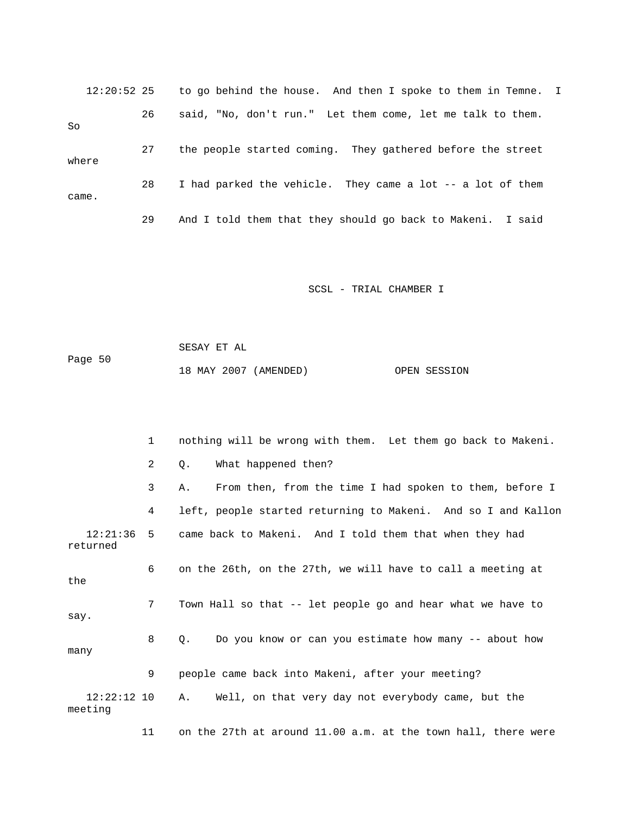12:20:52 25 to go behind the house. And then I spoke to them in Temne. I 26 said, "No, don't run." Let them come, let me talk to them. 27 the people started coming. They gathered before the street 28 I had parked the vehicle. They came a lot -- a lot of them So where came. 29 And I told them that they should go back to Makeni. I said

SCSL - TRIAL CHAMBER I

 SESAY ET AL Page 50 18 MAY 2007 (AMENDED) OPEN SESSION

 1 nothing will be wrong with them. Let them go back to Makeni. 3 A. From then, from the time I had spoken to them, before I 4 left, people started returning to Makeni. And so I and Kallon 12:21:36 5 came back to Makeni. And I told them that when they had returned 6 on the 26th, on the 27th, we will have to call a meeting at 8 Q. Do you know or can you estimate how many -- about how 9 people came back into Makeni, after your meeting? A. Well, on that very day not everybody came, but the meeting 2 Q. What happened then? the 7 Town Hall so that -- let people go and hear what we have to say. many  $12:22:12$  10

11 on the 27th at around 11.00 a.m. at the town hall, there were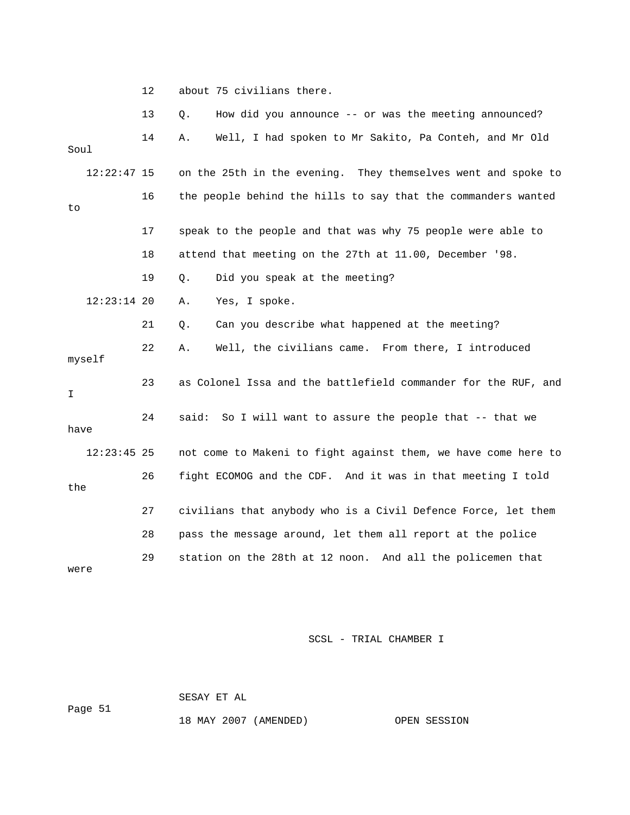12 about 75 civilians there.

|        |               | 13 | How did you announce -- or was the meeting announced?<br>Q.    |
|--------|---------------|----|----------------------------------------------------------------|
| Soul   |               | 14 | Well, I had spoken to Mr Sakito, Pa Conteh, and Mr Old<br>Α.   |
|        | $12:22:47$ 15 |    | on the 25th in the evening. They themselves went and spoke to  |
| to     |               | 16 | the people behind the hills to say that the commanders wanted  |
|        |               | 17 | speak to the people and that was why 75 people were able to    |
|        |               | 18 | attend that meeting on the 27th at 11.00, December '98.        |
|        |               | 19 | Did you speak at the meeting?<br>$Q$ .                         |
|        | $12:23:14$ 20 |    | Yes, I spoke.<br>Α.                                            |
|        |               | 21 | Can you describe what happened at the meeting?<br>Q.           |
| myself |               | 22 | Well, the civilians came. From there, I introduced<br>Α.       |
| I      |               | 23 | as Colonel Issa and the battlefield commander for the RUF, and |
| have   |               | 24 | So I will want to assure the people that -- that we<br>said:   |
|        | $12:23:45$ 25 |    | not come to Makeni to fight against them, we have come here to |
| the    |               | 26 | fight ECOMOG and the CDF. And it was in that meeting I told    |
|        |               | 27 | civilians that anybody who is a Civil Defence Force, let them  |
|        |               | 28 | pass the message around, let them all report at the police     |
| were   |               | 29 | station on the 28th at 12 noon. And all the policemen that     |

SCSL - TRIAL CHAMBER I

 SESAY ET AL ge 51 18 MAY 2007 (AMENDED) OPEN SESSION Pa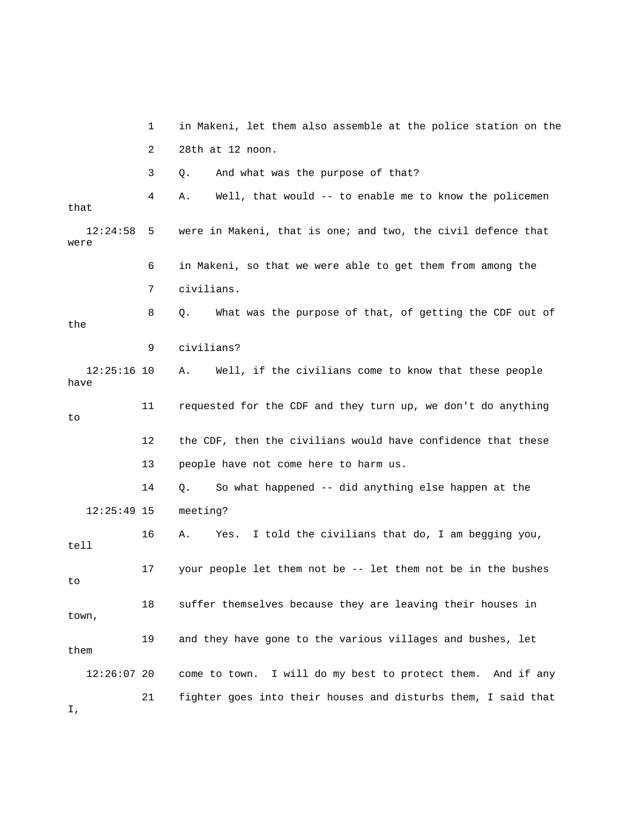|                       | 1  | in Makeni, let them also assemble at the police station on the |
|-----------------------|----|----------------------------------------------------------------|
|                       | 2  | 28th at 12 noon.                                               |
|                       | 3  | And what was the purpose of that?<br>Q.                        |
| that                  | 4  | Well, that would -- to enable me to know the policemen<br>Α.   |
| 12:24:58<br>were      | 5  | were in Makeni, that is one; and two, the civil defence that   |
|                       | 6  | in Makeni, so that we were able to get them from among the     |
|                       | 7  | civilians.                                                     |
| the                   | 8  | What was the purpose of that, of getting the CDF out of<br>Q.  |
|                       | 9  | civilians?                                                     |
| $12:25:16$ 10<br>have |    | Well, if the civilians come to know that these people<br>Α.    |
| to                    | 11 | requested for the CDF and they turn up, we don't do anything   |
|                       | 12 | the CDF, then the civilians would have confidence that these   |
|                       | 13 | people have not come here to harm us.                          |
|                       | 14 | So what happened -- did anything else happen at the<br>Q.      |
| $12:25:49$ 15         |    | meeting?                                                       |
| tell                  | 16 | I told the civilians that do, I am begging you,<br>Α.<br>Yes.  |
| to                    | 17 | your people let them not be -- let them not be in the bushes   |
| town,                 | 18 | suffer themselves because they are leaving their houses in     |
| them                  | 19 | and they have gone to the various villages and bushes, let     |
| $12:26:07$ 20         |    | come to town. I will do my best to protect them. And if any    |
|                       | 21 | fighter goes into their houses and disturbs them, I said that  |

I,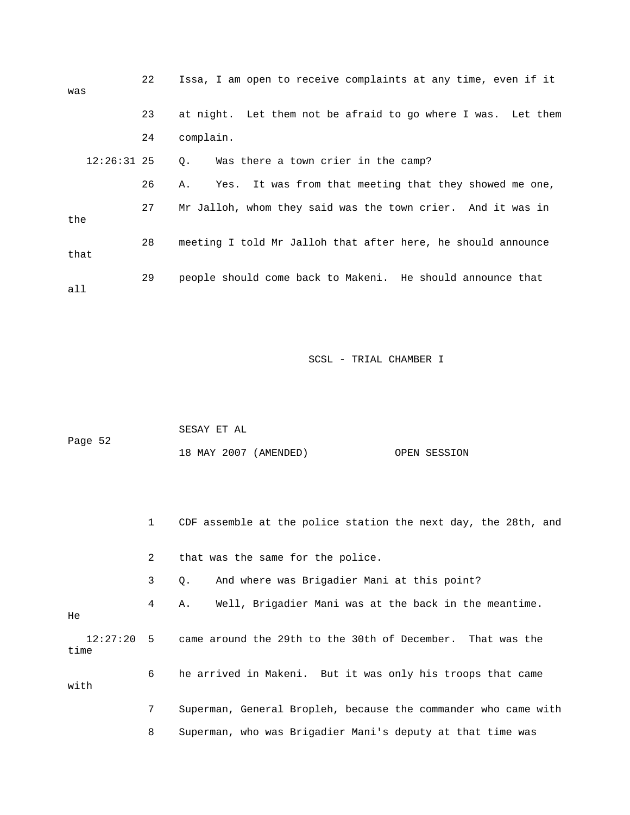| was           | 22 | Issa, I am open to receive complaints at any time, even if it |
|---------------|----|---------------------------------------------------------------|
|               | 23 | at night. Let them not be afraid to go where I was. Let them  |
|               | 24 | complain.                                                     |
| $12:26:31$ 25 |    | Was there a town crier in the camp?<br>0.                     |
|               | 26 | Yes. It was from that meeting that they showed me one,<br>Α.  |
| the           | 27 | Mr Jalloh, whom they said was the town crier. And it was in   |
| that          | 28 | meeting I told Mr Jalloh that after here, he should announce  |
| all           | 29 | people should come back to Makeni. He should announce that    |

|         | SESAY ET AL           |              |
|---------|-----------------------|--------------|
| Page 52 |                       |              |
|         | 18 MAY 2007 (AMENDED) | OPEN SESSION |

1 CDF assemble at the police station the next day, the 28th, and

2 that was the same for the police.

3 Q. And where was Brigadier Mani at this point?

4 A. Well, Brigadier Mani was at the back in the meantime.

He

 12:27:20 5 came around the 29th to the 30th of December. That was the time 6 he arrived in Makeni. But it was only his troops that came with 7 Superman, General Bropleh, because the commander who came with

8 Superman, who was Brigadier Mani's deputy at that time was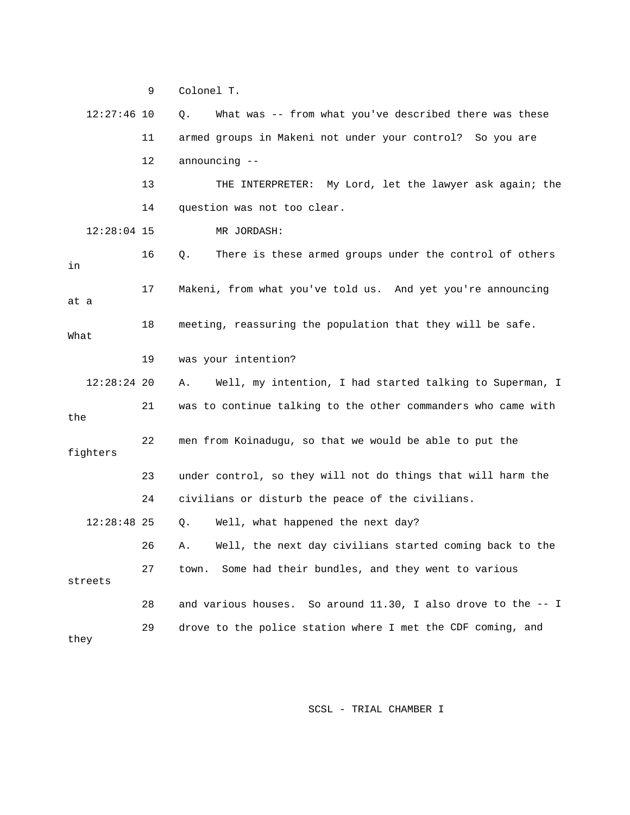9 Colonel T. 11 armed groups in Makeni not under your control? So you are 13 THE INTERPRETER: My Lord, let the lawyer ask again; the 14 question was not too clear. 16 Q. There is these armed groups under the control of others 18 meeting, reassuring the population that they will be safe. 12:28:24 20 A. Well, my intention, I had started talking to Superman, I the fighters 23 under control, so they will not do things that will harm the 24 civilians or disturb the peace of the civilians. Q. Well, what happened the next day? 26 A. Well, the next day civilians started coming back to the 27 town. Some had their bundles, and they went to various 28 and various houses. So around 11.30, I also drove to the -- I 29 drove to the police station where I met the CDF coming, and they 12:27:46 10 Q. What was -- from what you've described there was these 12 announcing -- 12:28:04 15 MR JORDASH: in 17 Makeni, from what you've told us. And yet you're announcing at a What 19 was your intention? 21 was to continue talking to the other commanders who came with 22 men from Koinadugu, so that we would be able to put the  $12:28:48$  25 streets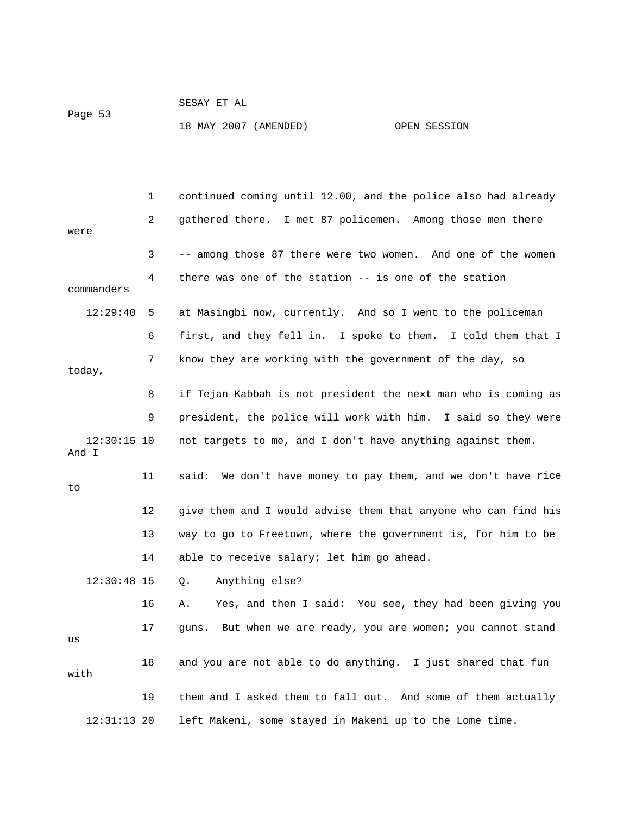| Page 53 | SESAY ET AL           |              |
|---------|-----------------------|--------------|
|         | 18 MAY 2007 (AMENDED) | OPEN SESSION |

 1 continued coming until 12.00, and the police also had already 3 -- among those 87 there were two women. And one of the women 4 there was one of the station -- is one of the station commanders 6 first, and they fell in. I spoke to them. I told them that I 7 know they are working with the government of the day, so 8 if Tejan Kabbah is not president the next man who is coming as 9 president, the police will work with him. I said so they were 11 said: We don't have money to pay them, and we don't have rice Q. Anything else? 16 A. Yes, and then I said: You see, they had been giving you 18 and you are not able to do anything. I just shared that fun 19 them and I asked them to fall out. And some of them actually 2 gathered there. I met 87 policemen. Among those men there were 12:29:40 5 at Masingbi now, currently. And so I went to the policeman today, 12:30:15 10 not targets to me, and I don't have anything against them. And I to 12 give them and I would advise them that anyone who can find his 13 way to go to Freetown, where the government is, for him to be 14 able to receive salary; let him go ahead. 12:30:48 15 17 guns. But when we are ready, you are women; you cannot stand us with 12:31:13 20 left Makeni, some stayed in Makeni up to the Lome time.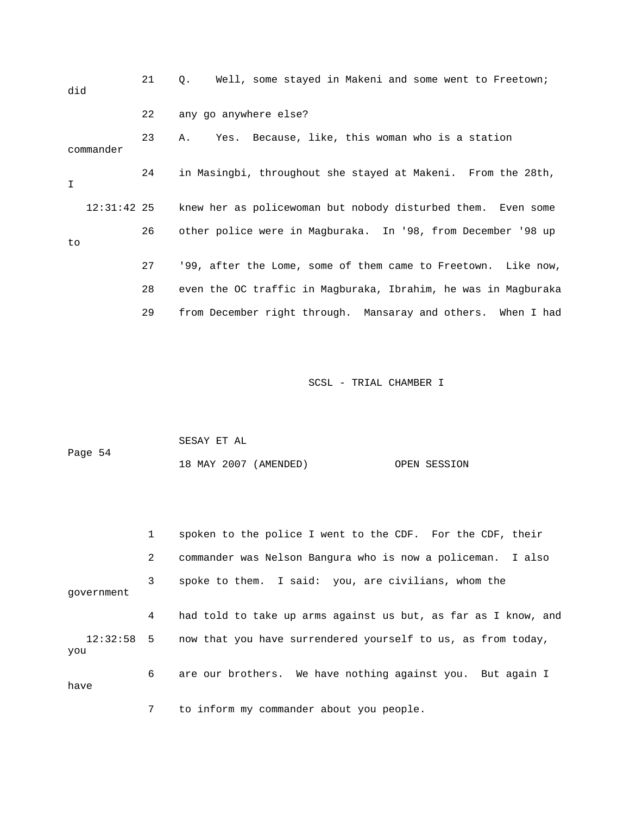| did           | 21 | Well, some stayed in Makeni and some went to Freetown;<br>$\circ$ . |
|---------------|----|---------------------------------------------------------------------|
|               | 22 | any go anywhere else?                                               |
| commander     | 23 | Yes. Because, like, this woman who is a station<br>Α.               |
| I.            | 24 | in Masingbi, throughout she stayed at Makeni. From the 28th,        |
| $12:31:42$ 25 |    | knew her as policewoman but nobody disturbed them. Even some        |
| to            | 26 | other police were in Magburaka. In '98, from December '98 up        |
|               | 27 | '99, after the Lome, some of them came to Freetown. Like now,       |
|               | 28 | even the OC traffic in Magburaka, Ibrahim, he was in Magburaka      |
|               | 29 | from December right through. Mansaray and others. When I had        |

|         | SESAY ET AL |                       |              |
|---------|-------------|-----------------------|--------------|
| Page 54 |             |                       |              |
|         |             | 18 MAY 2007 (AMENDED) | OPEN SESSION |

|            | 1           | spoken to the police I went to the CDF. For the CDF, their              |
|------------|-------------|-------------------------------------------------------------------------|
|            | $2^{\circ}$ | commander was Nelson Bangura who is now a policeman. I also             |
| qovernment | 3           | spoke to them. I said: you, are civilians, whom the                     |
|            | 4           | had told to take up arms against us but, as far as I know, and          |
| you        |             | 12:32:58 5 now that you have surrendered yourself to us, as from today, |
| have       | 6           | are our brothers. We have nothing against you. But again I              |
|            | 7           | to inform my commander about you people.                                |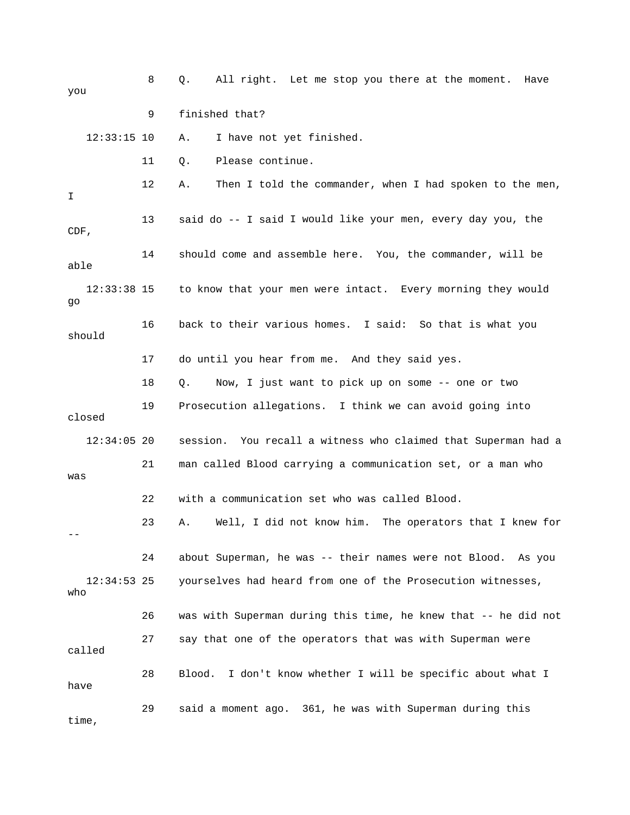| you                  | 8  | All right. Let me stop you there at the moment.<br>Q.<br>Have  |
|----------------------|----|----------------------------------------------------------------|
|                      | 9  | finished that?                                                 |
| $12:33:15$ 10        |    | I have not yet finished.<br>Α.                                 |
|                      | 11 | Please continue.<br>Q.                                         |
| I                    | 12 | Then I told the commander, when I had spoken to the men,<br>Α. |
| CDF,                 | 13 | said do -- I said I would like your men, every day you, the    |
| able                 | 14 | should come and assemble here. You, the commander, will be     |
| $12:33:38$ 15<br>go  |    | to know that your men were intact. Every morning they would    |
| should               | 16 | back to their various homes. I said: So that is what you       |
|                      | 17 | do until you hear from me. And they said yes.                  |
|                      | 18 | Now, I just want to pick up on some -- one or two<br>Q.        |
| closed               | 19 | Prosecution allegations. I think we can avoid going into       |
| $12:34:05$ 20        |    | session. You recall a witness who claimed that Superman had a  |
| was                  | 21 | man called Blood carrying a communication set, or a man who    |
|                      | 22 | with a communication set who was called Blood.                 |
|                      | 23 | Well, I did not know him. The operators that I knew for<br>Α.  |
|                      | 24 | about Superman, he was -- their names were not Blood. As you   |
| $12:34:53$ 25<br>who |    | yourselves had heard from one of the Prosecution witnesses,    |
|                      | 26 | was with Superman during this time, he knew that -- he did not |
| called               | 27 | say that one of the operators that was with Superman were      |
| have                 | 28 | I don't know whether I will be specific about what I<br>Blood. |
| time,                | 29 | said a moment ago. 361, he was with Superman during this       |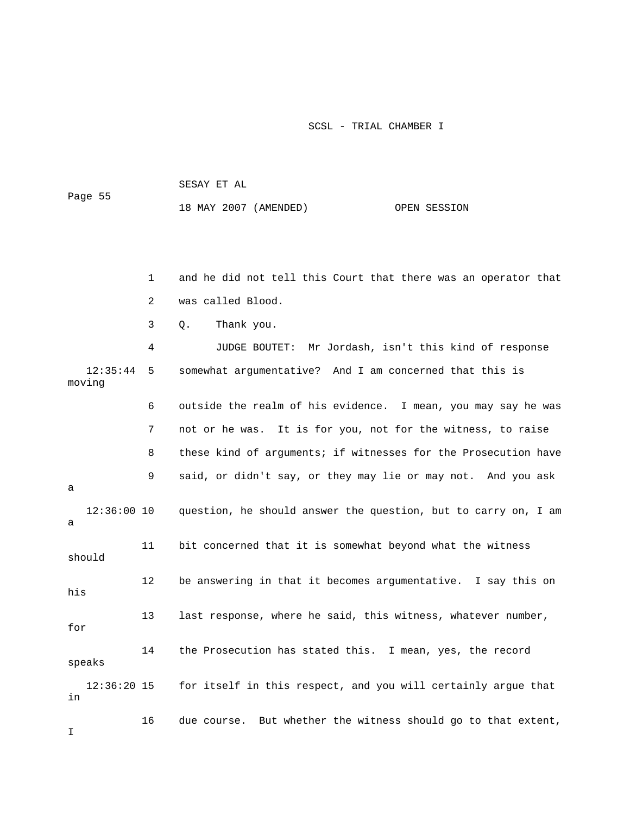SESAY ET AL Page 55 18 MAY 2007 (AMENDED) OPEN SESSION

 1 and he did not tell this Court that there was an operator that 3 Q. Thank you. 4 JUDGE BOUTET: Mr Jordash, isn't this kind of response 12:35:44 5 somewhat argumentative? And I am concerned that this is moving 7 not or he was. It is for you, not for the witness, to raise 8 these kind of arguments; if witnesses for the Prosecution have question, he should answer the question, but to carry on, I am should 13 last response, where he said, this witness, whatever number, 14 the Prosecution has stated this. I mean, yes, the record for itself in this respect, and you will certainly argue that 2 was called Blood. 6 outside the realm of his evidence. I mean, you may say he was 9 said, or didn't say, or they may lie or may not. And you ask a 12:36:00 10 a 11 bit concerned that it is somewhat beyond what the witness 12 be answering in that it becomes argumentative. I say this on his for speaks  $12:36:20$  15 in

16 due course. But whether the witness should go to that extent,

I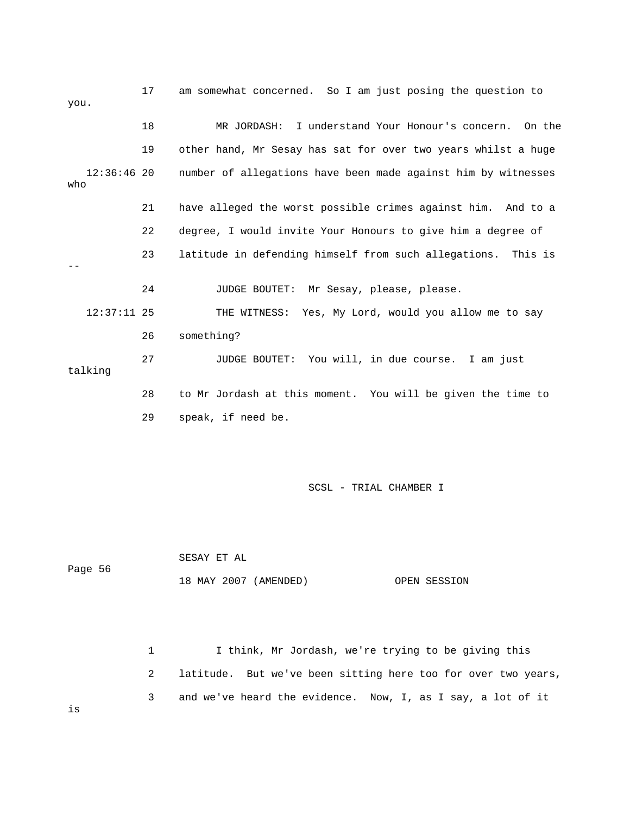| you.                 | 17 | am somewhat concerned. So I am just posing the question to    |
|----------------------|----|---------------------------------------------------------------|
|                      | 18 | MR JORDASH: I understand Your Honour's concern. On the        |
|                      | 19 | other hand, Mr Sesay has sat for over two years whilst a huge |
| $12:36:46$ 20<br>who |    | number of allegations have been made against him by witnesses |
|                      | 21 | have alleged the worst possible crimes against him. And to a  |
|                      | 22 | degree, I would invite Your Honours to give him a degree of   |
|                      | 23 | latitude in defending himself from such allegations. This is  |
|                      | 24 | JUDGE BOUTET: Mr Sesay, please, please.                       |
| $12:37:11$ 25        |    | THE WITNESS: Yes, My Lord, would you allow me to say          |
|                      | 26 | something?                                                    |
| talking              | 27 | You will, in due course. I am just<br>JUDGE BOUTET:           |
|                      | 28 | to Mr Jordash at this moment. You will be given the time to   |
|                      | 29 | speak, if need be.                                            |

 SESAY ET AL Page 56 18 MAY 2007 (AMENDED) OPEN SESSION

 1 I think, Mr Jordash, we're trying to be giving this 2 latitude. But we've been sitting here too for over two years, 3 and we've heard the evidence. Now, I, as I say, a lot of it

is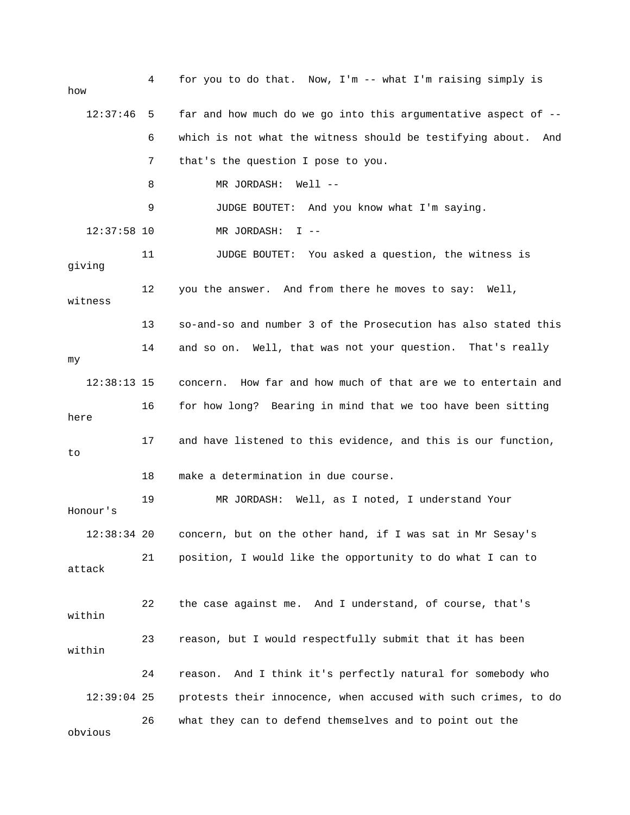| how           | 4  | for you to do that. Now, $I'm$ -- what I'm raising simply is     |
|---------------|----|------------------------------------------------------------------|
| 12:37:46      | 5  | far and how much do we go into this argumentative aspect of $-$  |
|               | 6  | which is not what the witness should be testifying about.<br>And |
|               | 7  | that's the question I pose to you.                               |
|               | 8  | MR JORDASH: Well --                                              |
|               | 9  | JUDGE BOUTET: And you know what I'm saying.                      |
| $12:37:58$ 10 |    | MR JORDASH:<br>$I - -$                                           |
| giving        | 11 | JUDGE BOUTET: You asked a question, the witness is               |
| witness       | 12 | you the answer. And from there he moves to say: Well,            |
|               | 13 | so-and-so and number 3 of the Prosecution has also stated this   |
| my            | 14 | and so on. Well, that was not your question. That's really       |
| $12:38:13$ 15 |    | How far and how much of that are we to entertain and<br>concern. |
| here          | 16 | for how long? Bearing in mind that we too have been sitting      |
| to            | 17 | and have listened to this evidence, and this is our function,    |
|               | 18 | make a determination in due course.                              |
| Honour's      | 19 | MR JORDASH: Well, as I noted, I understand Your                  |
| $12:38:34$ 20 |    | concern, but on the other hand, if I was sat in Mr Sesay's       |
| attack        | 21 | position, I would like the opportunity to do what I can to       |
| within        | 22 | the case against me. And I understand, of course, that's         |
| within        | 23 | reason, but I would respectfully submit that it has been         |
|               | 24 | And I think it's perfectly natural for somebody who<br>reason.   |
| $12:39:04$ 25 |    | protests their innocence, when accused with such crimes, to do   |
| obvious       | 26 | what they can to defend themselves and to point out the          |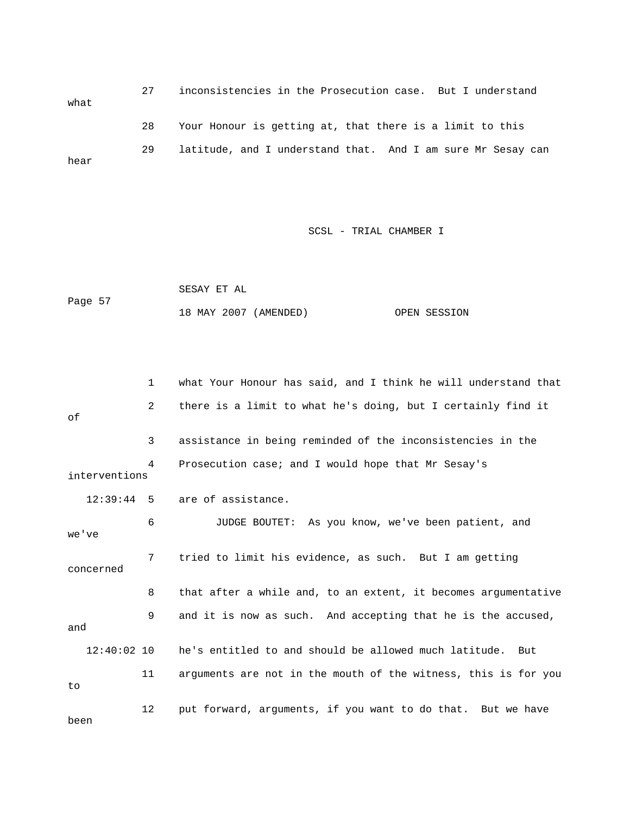27 inconsistencies in the Prosecution case. But I understand what 28 Your Honour is getting at, that there is a limit to this 29 latitude, and I understand that. And I am sure Mr Sesay can hear

|         | SESAY ET AL |                       |              |
|---------|-------------|-----------------------|--------------|
| Page 57 |             |                       |              |
|         |             | 18 MAY 2007 (AMENDED) | OPEN SESSION |

|               | 1  | what Your Honour has said, and I think he will understand that |
|---------------|----|----------------------------------------------------------------|
| оf            | 2  | there is a limit to what he's doing, but I certainly find it   |
|               | 3  | assistance in being reminded of the inconsistencies in the     |
| interventions | 4  | Prosecution case; and I would hope that Mr Sesay's             |
| $12:39:44$ 5  |    | are of assistance.                                             |
| we've         | 6  | JUDGE BOUTET: As you know, we've been patient, and             |
| concerned     | 7  | tried to limit his evidence, as such. But I am getting         |
|               | 8  | that after a while and, to an extent, it becomes argumentative |
| and           | 9  | and it is now as such. And accepting that he is the accused,   |
| $12:40:02$ 10 |    | he's entitled to and should be allowed much latitude. But      |
| to            | 11 | arguments are not in the mouth of the witness, this is for you |
| been          | 12 | put forward, arguments, if you want to do that. But we have    |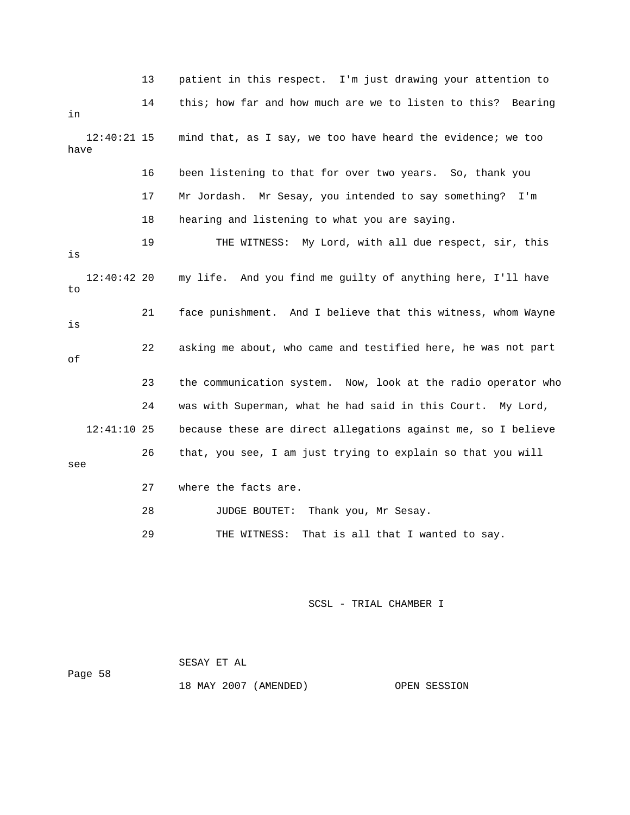|      |               | 13 | patient in this respect. I'm just drawing your attention to    |
|------|---------------|----|----------------------------------------------------------------|
| in   |               | 14 | this; how far and how much are we to listen to this? Bearing   |
| have | $12:40:21$ 15 |    | mind that, as I say, we too have heard the evidence; we too    |
|      |               | 16 | been listening to that for over two years. So, thank you       |
|      |               | 17 | Mr Jordash.<br>Mr Sesay, you intended to say something?<br>I'm |
|      |               | 18 | hearing and listening to what you are saying.                  |
| is   |               | 19 | THE WITNESS: My Lord, with all due respect, sir, this          |
| to   | $12:40:42$ 20 |    | my life. And you find me guilty of anything here, I'll have    |
| is   |               | 21 | face punishment. And I believe that this witness, whom Wayne   |
| οf   |               | 22 | asking me about, who came and testified here, he was not part  |
|      |               | 23 | the communication system. Now, look at the radio operator who  |
|      |               | 24 | was with Superman, what he had said in this Court.<br>My Lord, |
|      | $12:41:10$ 25 |    | because these are direct allegations against me, so I believe  |
| see  |               | 26 | that, you see, I am just trying to explain so that you will    |
|      |               | 27 | where the facts are.                                           |
|      |               | 28 | Thank you, Mr Sesay.<br>JUDGE BOUTET:                          |
|      |               | 29 | That is all that I wanted to say.<br>THE WITNESS:              |
|      |               |    |                                                                |

|         | SESAY ET AL |                       |              |
|---------|-------------|-----------------------|--------------|
| Page 58 |             |                       |              |
|         |             | 18 MAY 2007 (AMENDED) | OPEN SESSION |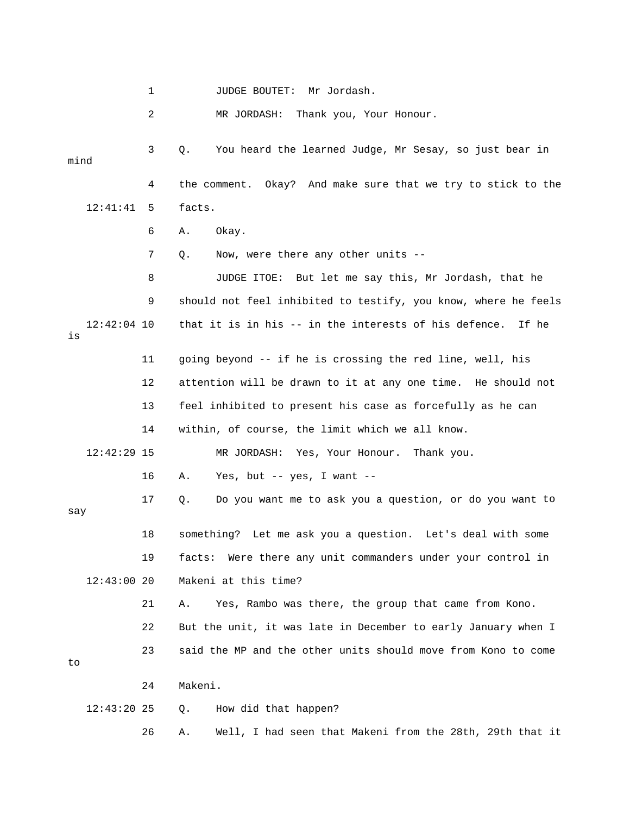1 JUDGE BOUTET: Mr Jordash.

2 MR JORDASH: Thank you, Your Honour.

 3 Q. You heard the learned Judge, Mr Sesay, so just bear in 4 the comment. Okay? And make sure that we try to stick to the 12:41:41 5 facts. 8 JUDGE ITOE: But let me say this, Mr Jordash, that he 9 should not feel inhibited to testify, you know, where he feels mind 6 A. Okay. 7 Q. Now, were there any other units --

 12:42:04 10 that it is in his -- in the interests of his defence. If he is

 11 going beyond -- if he is crossing the red line, well, his 12 attention will be drawn to it at any one time. He should not 13 feel inhibited to present his case as forcefully as he can

14 within, of course, the limit which we all know.

12:42:29 15 MR JORDASH: Yes, Your Honour. Thank you.

16 A. Yes, but -- yes, I want --

17 Q. Do you want me to ask you a question, or do you want to 18 something? Let me ask you a question. Let's deal with some 19 facts: Were there any unit commanders under your control in say 12:43:00 20 Makeni at this time?

 21 A. Yes, Rambo was there, the group that came from Kono. 22 But the unit, it was late in December to early January when I 23 said the MP and the other units should move from Kono to come

to

24 Makeni.

12:43:20 25 Q. How did that happen?

26 A. Well, I had seen that Makeni from the 28th, 29th that it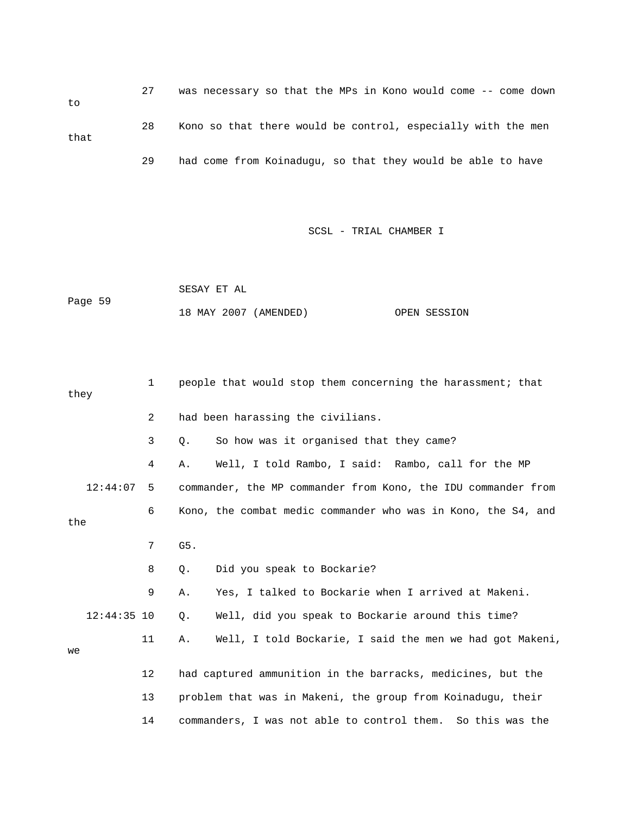27 was necessary so that the MPs in Kono would come -- come down to 28 Kono so that there would be control, especially with the men that 29 had come from Koinadugu, so that they would be able to have

|         | SESAY ET AL |                       |              |
|---------|-------------|-----------------------|--------------|
| Page 59 |             |                       |              |
|         |             | 18 MAY 2007 (AMENDED) | OPEN SESSION |

| they |               | 1  | people that would stop them concerning the harassment; that    |
|------|---------------|----|----------------------------------------------------------------|
|      |               | 2  | had been harassing the civilians.                              |
|      |               | 3  | So how was it organised that they came?<br>Q.                  |
|      |               | 4  | Well, I told Rambo, I said: Rambo, call for the MP<br>Α.       |
|      | 12:44:07      | 5  | commander, the MP commander from Kono, the IDU commander from  |
| the  |               | 6  | Kono, the combat medic commander who was in Kono, the S4, and  |
|      |               | 7  | G5.                                                            |
|      |               | 8  | Did you speak to Bockarie?<br>$Q$ .                            |
|      |               | 9  | Yes, I talked to Bockarie when I arrived at Makeni.<br>Α.      |
|      | $12:44:35$ 10 |    | Well, did you speak to Bockarie around this time?<br>Q.        |
| we   |               | 11 | Well, I told Bockarie, I said the men we had got Makeni,<br>Α. |
|      |               | 12 | had captured ammunition in the barracks, medicines, but the    |
|      |               | 13 | problem that was in Makeni, the group from Koinadugu, their    |
|      |               | 14 | commanders, I was not able to control them. So this was the    |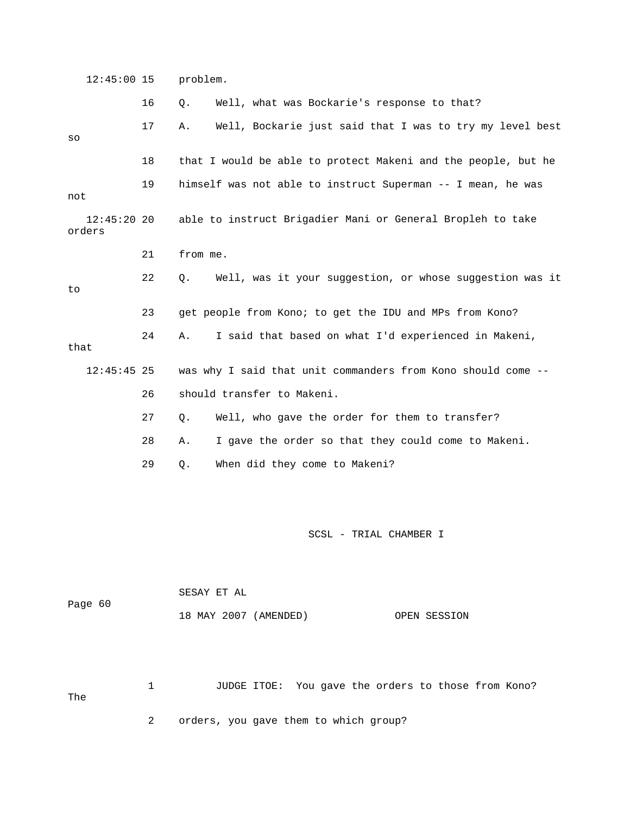12:45:00 15 problem. 16 Q. Well, what was Bockarie's response to that? 17 A. Well, Bockarie just said that I was to try my level best 18 that I would be able to protect Makeni and the people, but he 19 himself was not able to instruct Superman -- I mean, he was able to instruct Brigadier Mani or General Bropleh to take 21 from me. 22 Q. Well, was it your suggestion, or whose suggestion was it 23 get people from Kono; to get the IDU and MPs from Kono? 24 A. I said that based on what I'd experienced in Makeni, that 26 should transfer to Makeni. 27 Q. Well, who gave the order for them to transfer? SCSL - TRIAL CHAMBER I Page 60 so not  $12:45:20$  20 orders to 12:45:45 25 was why I said that unit commanders from Kono should come -- 28 A. I gave the order so that they could come to Makeni. 29 Q. When did they come to Makeni? SESAY ET AL

OPEN SESSION 18 MAY 2007 (AMENDED)

1 JUDGE ITOE: You gave the orders to those from Kono? The 2 orders, you gave them to which group?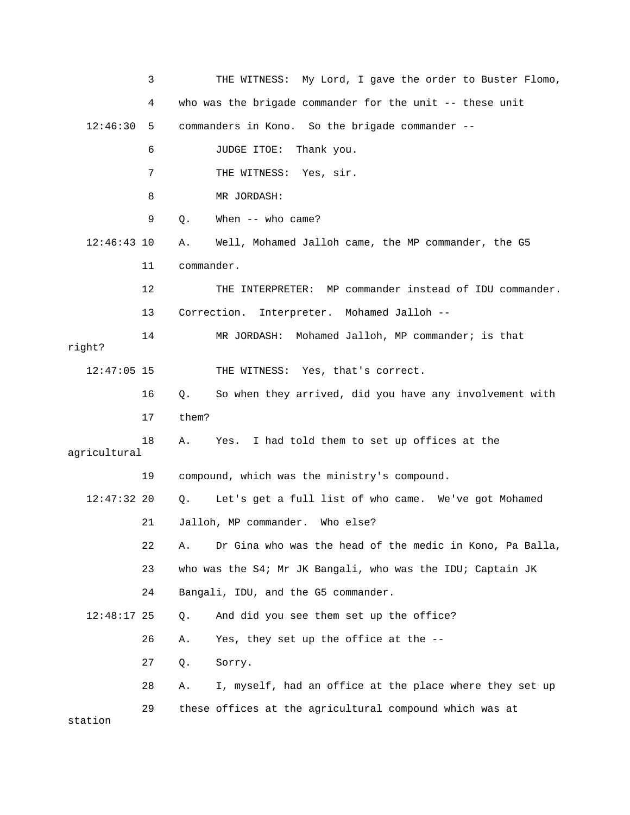|               | 3  | THE WITNESS: My Lord, I gave the order to Buster Flomo,        |
|---------------|----|----------------------------------------------------------------|
|               | 4  | who was the brigade commander for the unit -- these unit       |
| 12:46:30 5    |    | commanders in Kono. So the brigade commander --                |
|               | 6  | JUDGE ITOE:<br>Thank you.                                      |
|               | 7  | THE WITNESS: Yes, sir.                                         |
|               | 8  | MR JORDASH:                                                    |
|               | 9  | When $--$ who came?<br>Q.                                      |
| $12:46:43$ 10 |    | Well, Mohamed Jalloh came, the MP commander, the G5<br>Α.      |
|               | 11 | commander.                                                     |
|               | 12 | THE INTERPRETER: MP commander instead of IDU commander.        |
|               | 13 | Interpreter. Mohamed Jalloh --<br>Correction.                  |
| right?        | 14 | MR JORDASH: Mohamed Jalloh, MP commander; is that              |
| $12:47:05$ 15 |    | THE WITNESS: Yes, that's correct.                              |
|               | 16 | So when they arrived, did you have any involvement with<br>Q.  |
|               | 17 | them?                                                          |
| agricultural  | 18 | I had told them to set up offices at the<br>Α.<br>Yes.         |
|               | 19 | compound, which was the ministry's compound.                   |
| $12:47:32$ 20 |    | Let's get a full list of who came. We've got Mohamed<br>Q.     |
|               | 21 | Jalloh, MP commander.<br>Who else?                             |
|               | 22 | Dr Gina who was the head of the medic in Kono, Pa Balla,<br>Α. |
|               | 23 | who was the S4; Mr JK Bangali, who was the IDU; Captain JK     |
|               | 24 | Bangali, IDU, and the G5 commander.                            |
| $12:48:17$ 25 |    | And did you see them set up the office?<br>Q.                  |
|               | 26 | Yes, they set up the office at the --<br>Α.                    |
|               | 27 | Q.<br>Sorry.                                                   |
|               | 28 | I, myself, had an office at the place where they set up<br>Α.  |
| station       | 29 | these offices at the agricultural compound which was at        |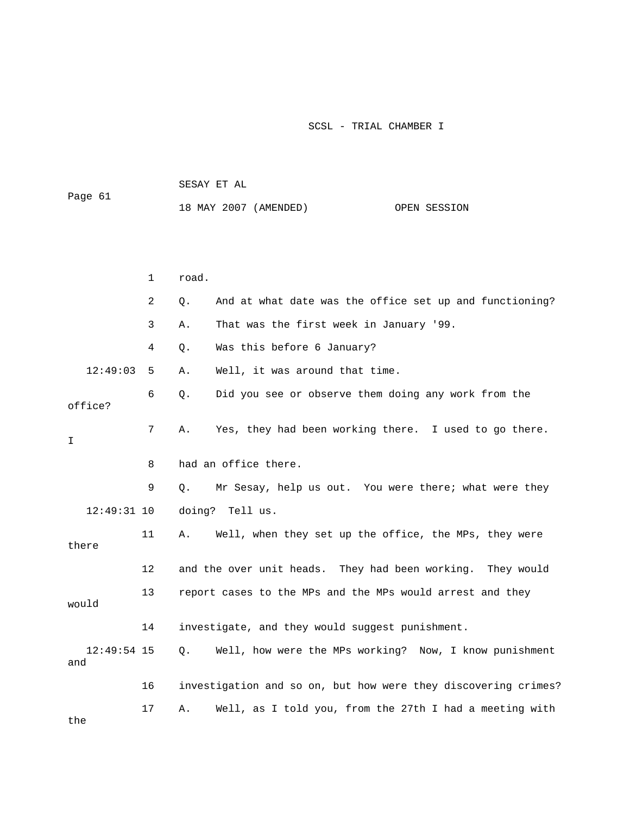|          |              | SESAY ET AL |                                                         |              |  |  |
|----------|--------------|-------------|---------------------------------------------------------|--------------|--|--|
| Page 61  |              |             | 18 MAY 2007 (AMENDED)                                   | OPEN SESSION |  |  |
|          |              |             |                                                         |              |  |  |
|          |              |             |                                                         |              |  |  |
|          | $\mathbf{1}$ | road.       |                                                         |              |  |  |
|          | 2            | Q.          | And at what date was the office set up and functioning? |              |  |  |
|          | 3            | Α.          | That was the first week in January '99.                 |              |  |  |
|          | 4            | Q.          | Was this before 6 January?                              |              |  |  |
| 12:49:03 | 5            | Α.          | Well, it was around that time.                          |              |  |  |
| office?  | 6            |             | Q. Did you see or observe them doing any work from the  |              |  |  |
| I        | 7            | Α.          | Yes, they had been working there. I used to go there.   |              |  |  |

9 Q. Mr Sesay, help us out. You were there; what were they

12:49:31 10 doing? Tell us.

8 had an office there.

 11 A. Well, when they set up the office, the MPs, they were 12 and the over unit heads. They had been working. They would 13 report cases to the MPs and the MPs would arrest and they there

would 14 investigate, and they would suggest punishment. 16 investigation and so on, but how were they discovering crimes? 17 A. Well, as I told you, from the 27th I had a meeting with 12:49:54 15 Q. Well, how were the MPs working? Now, I know punishment and

the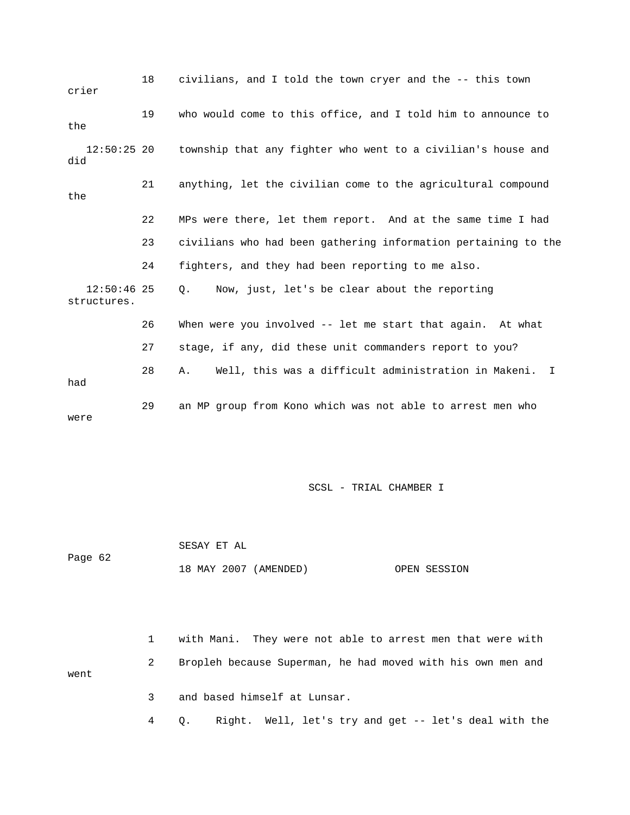| crier                        | 18 | civilians, and I told the town cryer and the -- this town      |
|------------------------------|----|----------------------------------------------------------------|
| the                          | 19 | who would come to this office, and I told him to announce to   |
| $12:50:25$ 20<br>did         |    | township that any fighter who went to a civilian's house and   |
| the                          | 21 | anything, let the civilian come to the agricultural compound   |
|                              | 22 | MPs were there, let them report. And at the same time I had    |
|                              | 23 | civilians who had been gathering information pertaining to the |
|                              | 24 | fighters, and they had been reporting to me also.              |
| $12:50:46$ 25<br>structures. |    | Now, just, let's be clear about the reporting<br>Q.            |
|                              | 26 | When were you involved -- let me start that again. At what     |
|                              | 27 | stage, if any, did these unit commanders report to you?        |
| had                          | 28 | Well, this was a difficult administration in Makeni. I<br>Α.   |
| were                         | 29 | an MP group from Kono which was not able to arrest men who     |

 SESAY ET AL 18 MAY 2007 (AMENDED) OPEN SESSION Page 62

1 with Mani. They were not able to arrest men that were with 2 Bropleh because Superman, he had moved with his own men and went 3 and based himself at Lunsar.

4 Q. Right. Well, let's try and get -- let's deal with the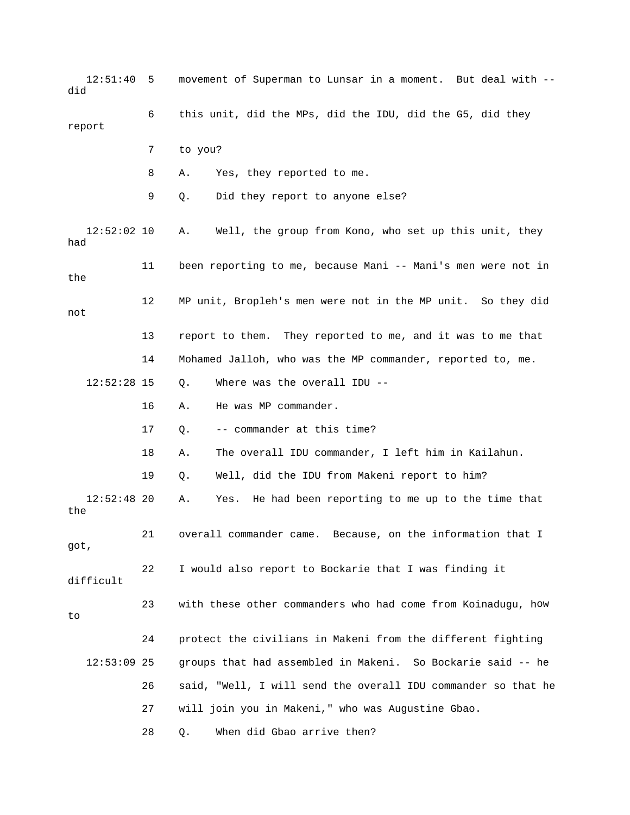12:51:40 5 movement of Superman to Lunsar in a moment. But deal with - did 6 this unit, did the MPs, did the IDU, did the G5, did they 8 A. Yes, they reported to me. 11 been reporting to me, because Mani -- Mani's men were not in 12 MP unit, Bropleh's men were not in the MP unit. So they did not 13 report to them. They reported to me, and it was to me that 14 Mohamed Jalloh, who was the MP commander, reported to, me. 16 A. He was MP commander. 17 Q. -- commander at this time? 19 Q. Well, did the IDU from Makeni report to him? 12:52:48 20 A. Yes. He had been reporting to me up to the time that 21 overall commander came. Because, on the information that I 22 I would also report to Bockarie that I was finding it 23 with these other commanders who had come from Koinadugu, how 24 protect the civilians in Makeni from the different fighting :53:09 25 groups that had assembled in Makeni. So Bockarie said -- he 27 will join you in Makeni," who was Augustine Gbao. 28 Q. When did Gbao arrive then? report 7 to you? 9 Q. Did they report to anyone else? 12:52:02 10 A. Well, the group from Kono, who set up this unit, they had the 12:52:28 15 Q. Where was the overall IDU -- 18 A. The overall IDU commander, I left him in Kailahun. the got, difficult to  $12:53:09$  25 26 said, "Well, I will send the overall IDU commander so that he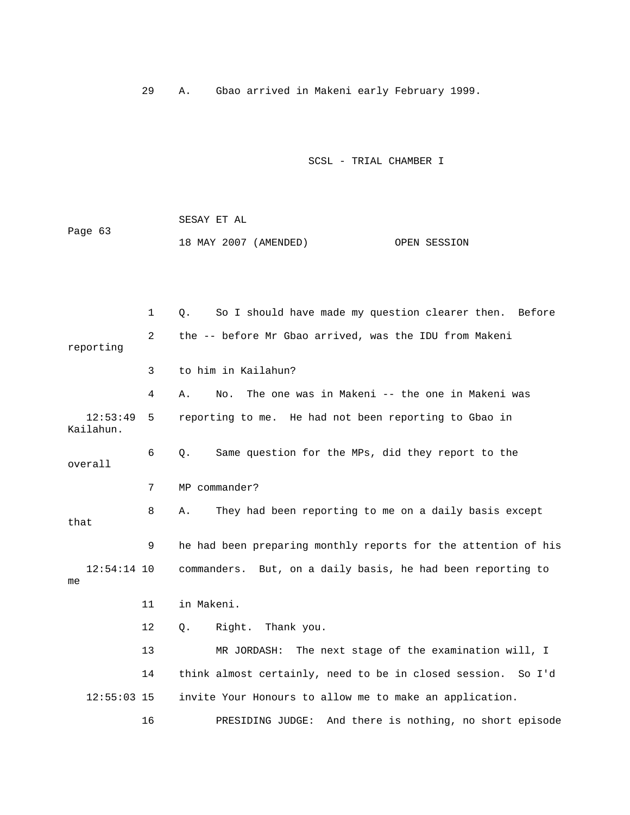29 A. Gbao arrived in Makeni early February 1999.

|         | SESAY ET AL           |  |              |
|---------|-----------------------|--|--------------|
| Page 63 |                       |  |              |
|         | 18 MAY 2007 (AMENDED) |  | OPEN SESSION |

|                       | $\mathbf 1$    | So I should have made my question clearer then. Before<br>Q.    |
|-----------------------|----------------|-----------------------------------------------------------------|
| reporting             | $\overline{2}$ | the -- before Mr Gbao arrived, was the IDU from Makeni          |
|                       | 3              | to him in Kailahun?                                             |
|                       | 4              | The one was in Makeni -- the one in Makeni was<br>No.<br>Α.     |
| 12:53:49<br>Kailahun. | 5              | reporting to me. He had not been reporting to Gbao in           |
| overall               | 6              | Same question for the MPs, did they report to the<br>Q.         |
|                       | 7              | MP commander?                                                   |
| that                  | 8              | They had been reporting to me on a daily basis except<br>Α.     |
|                       | 9              | he had been preparing monthly reports for the attention of his  |
| $12:54:14$ 10<br>me   |                | commanders. But, on a daily basis, he had been reporting to     |
|                       | 11             | in Makeni.                                                      |
|                       | 12             | Right.<br>Thank you.<br>Q.                                      |
|                       | 13             | MR JORDASH:<br>The next stage of the examination will, I        |
|                       | 14             | think almost certainly, need to be in closed session.<br>So I'd |
| $12:55:03$ 15         |                | invite Your Honours to allow me to make an application.         |
|                       | 16             | And there is nothing, no short episode<br>PRESIDING JUDGE:      |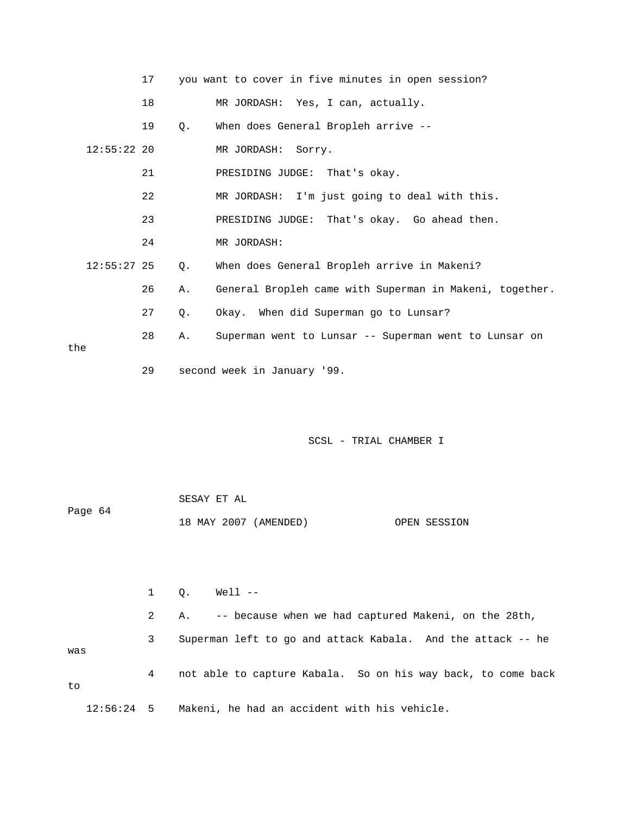|               | 17 |       | you want to cover in five minutes in open session?      |
|---------------|----|-------|---------------------------------------------------------|
|               | 18 |       | MR JORDASH: Yes, I can, actually.                       |
|               | 19 | Q.    | When does General Bropleh arrive --                     |
| $12:55:22$ 20 |    |       | MR JORDASH: Sorry.                                      |
|               | 21 |       | PRESIDING JUDGE: That's okay.                           |
|               | 22 |       | MR JORDASH: I'm just going to deal with this.           |
|               | 23 |       | PRESIDING JUDGE: That's okay. Go ahead then.            |
|               | 24 |       | MR JORDASH:                                             |
| $12:55:27$ 25 |    | Q.    | When does General Bropleh arrive in Makeni?             |
|               | 26 | Α.    | General Bropleh came with Superman in Makeni, together. |
|               | 27 | $Q$ . | Okay. When did Superman go to Lunsar?                   |
|               | 28 | Α.    | Superman went to Lunsar -- Superman went to Lunsar on   |
| the           |    |       |                                                         |
|               | 29 |       | second week in January '99.                             |

|         | SESAY ET AL |                       |              |
|---------|-------------|-----------------------|--------------|
| Page 64 |             |                       |              |
|         |             | 18 MAY 2007 (AMENDED) | OPEN SESSION |

 2 A. -- because when we had captured Makeni, on the 28th, 3 Superman left to go and attack Kabala. And the attack -- he 4 not able to capture Kabala. So on his way back, to come back 12:56:24 5 Makeni, he had an accident with his vehicle. 1 Q. Well - was to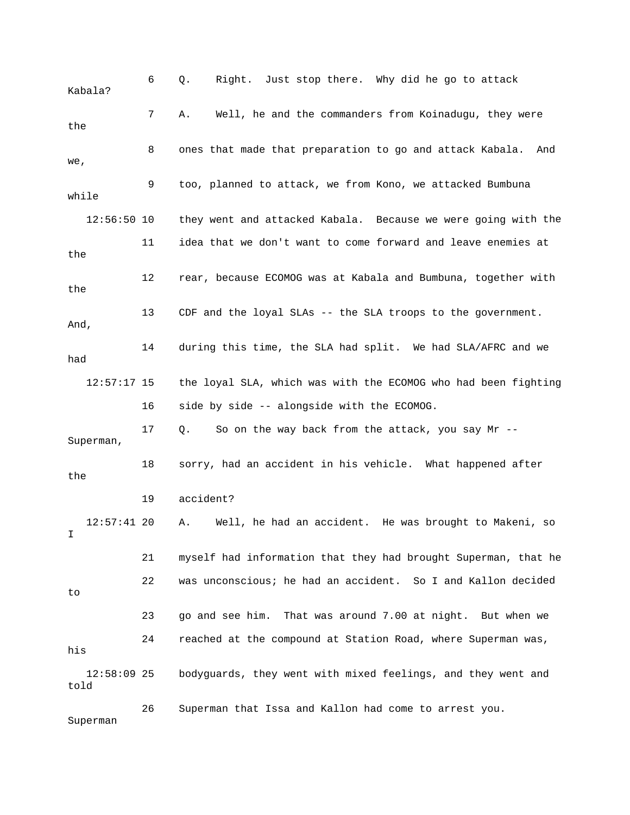6 Q. Right. Just stop there. Why did he go to attack 8 ones that made that preparation to go and attack Kabala. And 9 too, planned to attack, we from Kono, we attacked Bumbuna 12:56:50 10 they went and attacked Kabala. Because we were going with the 11 idea that we don't want to come forward and leave enemies at 12 rear, because ECOMOG was at Kabala and Bumbuna, together with 13 CDF and the loyal SLAs -- the SLA troops to the government. 14 during this time, the SLA had split. We had SLA/AFRC and we 16 side by side -- alongside with the ECOMOG. 17 Q. So on the way back from the attack, you say Mr -- Superman, 18 sorry, had an accident in his vehicle. What happened after 19 accident? 21 myself had information that they had brought Superman, that he 22 was unconscious; he had an accident. So I and Kallon decided 24 reached at the compound at Station Road, where Superman was, 12:58:09 25 bodyguards, they went with mixed feelings, and they went and told 26 Superman that Issa and Kallon had come to arrest you. Kabala? 7 A. Well, he and the commanders from Koinadugu, they were the we, while the the And, had 12:57:17 15 the loyal SLA, which was with the ECOMOG who had been fighting the 12:57:41 20 A. Well, he had an accident. He was brought to Makeni, so I to 23 go and see him. That was around 7.00 at night. But when we his

Superman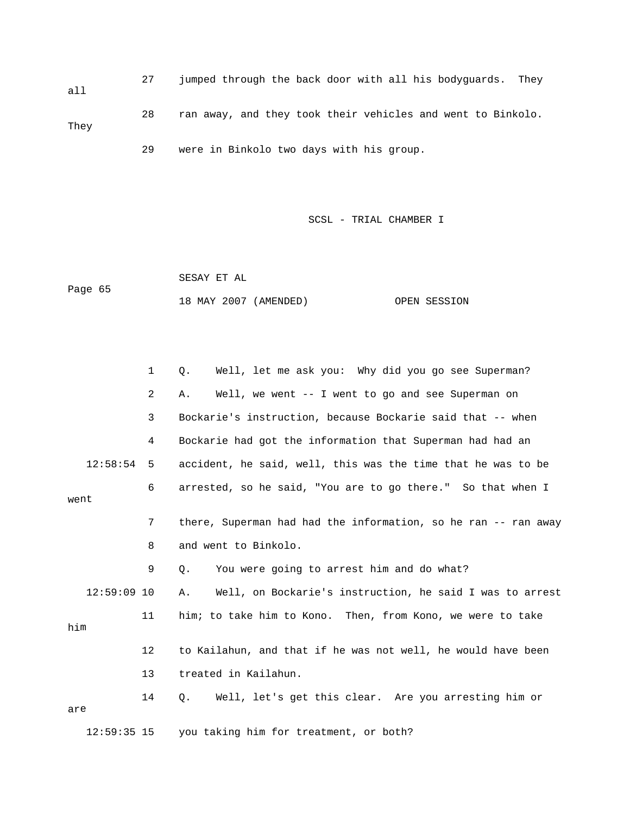27 jumped through the back door with all his bodyguards. They all 28 ran away, and they took their vehicles and went to Binkolo. They 29 were in Binkolo two days with his group.

SCSL - TRIAL CHAMBER I

 SESAY ET AL 18 MAY 2007 (AMENDED) OPEN SESSION Page 65

 1 Q. Well, let me ask you: Why did you go see Superman? 2 A. Well, we went -- I went to go and see Superman on 3 Bockarie's instruction, because Bockarie said that -- when 12:58:54 5 accident, he said, well, this was the time that he was to be 6 arrested, so he said, "You are to go there." So that when I went 7 there, Superman had had the information, so he ran -- ran away 12:59:09 10 A. Well, on Bockarie's instruction, he said I was to arrest him 14 Q. Well, let's get this clear. Are you arresting him or are 12:59:35 15 you taking him for treatment, or both? 4 Bockarie had got the information that Superman had had an 8 and went to Binkolo. 9 Q. You were going to arrest him and do what? 11 him; to take him to Kono. Then, from Kono, we were to take 12 to Kailahun, and that if he was not well, he would have been 13 treated in Kailahun.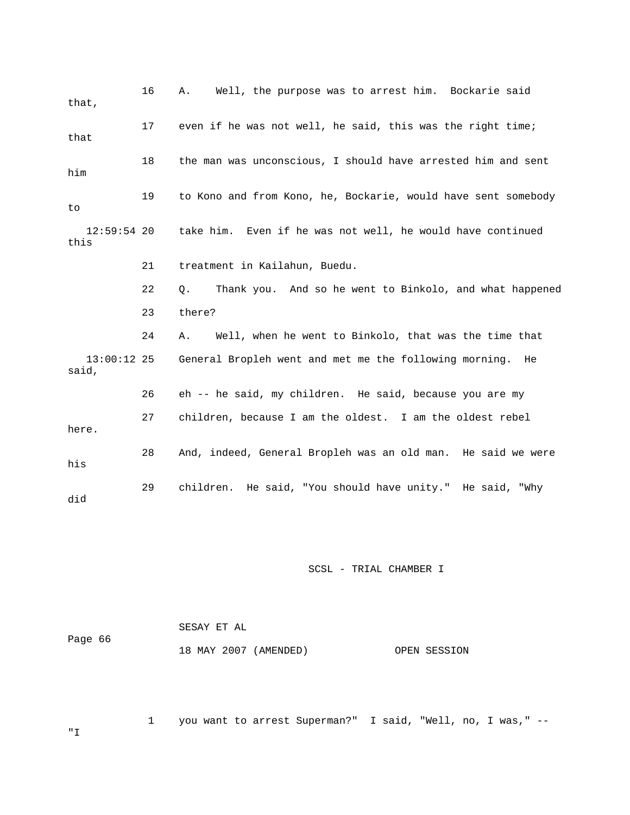| that,                  | 16 | Well, the purpose was to arrest him. Bockarie said<br>Α.      |
|------------------------|----|---------------------------------------------------------------|
| that                   | 17 | even if he was not well, he said, this was the right time;    |
| him                    | 18 | the man was unconscious, I should have arrested him and sent  |
| to                     | 19 | to Kono and from Kono, he, Bockarie, would have sent somebody |
| $12:59:54$ 20<br>this  |    | take him. Even if he was not well, he would have continued    |
|                        | 21 | treatment in Kailahun, Buedu.                                 |
|                        | 22 | Thank you. And so he went to Binkolo, and what happened<br>Q. |
|                        | 23 | there?                                                        |
|                        | 24 | Well, when he went to Binkolo, that was the time that<br>Α.   |
| $13:00:12$ 25<br>said, |    | General Bropleh went and met me the following morning. He     |
|                        | 26 | eh -- he said, my children. He said, because you are my       |
| here.                  | 27 | children, because I am the oldest. I am the oldest rebel      |
| his                    | 28 | And, indeed, General Bropleh was an old man. He said we were  |
| did                    | 29 | children. He said, "You should have unity." He said, "Why     |

|         | SESAY ET AL           |              |  |  |  |
|---------|-----------------------|--------------|--|--|--|
| Page 66 | 18 MAY 2007 (AMENDED) | OPEN SESSION |  |  |  |

1 you want to arrest Superman?" I said, "Well, no, I was," --

"I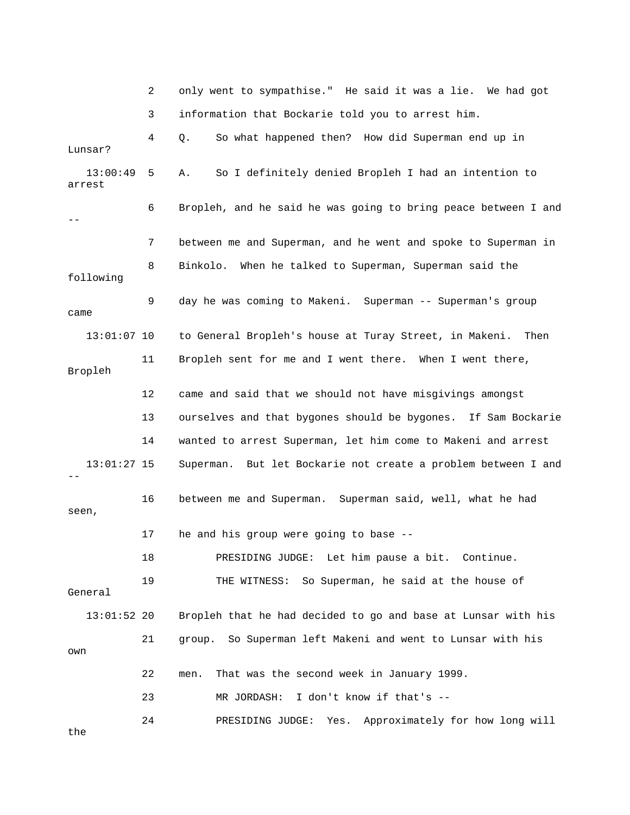|                    | 2  | only went to sympathise." He said it was a lie. We had got     |
|--------------------|----|----------------------------------------------------------------|
|                    | 3  | information that Bockarie told you to arrest him.              |
| Lunsar?            | 4  | So what happened then? How did Superman end up in<br>Q.        |
| 13:00:49<br>arrest | 5  | So I definitely denied Bropleh I had an intention to<br>Α.     |
|                    | 6  | Bropleh, and he said he was going to bring peace between I and |
|                    | 7  | between me and Superman, and he went and spoke to Superman in  |
| following          | 8  | When he talked to Superman, Superman said the<br>Binkolo.      |
| came               | 9  | day he was coming to Makeni. Superman -- Superman's group      |
| $13:01:07$ 10      |    | to General Bropleh's house at Turay Street, in Makeni.<br>Then |
| Bropleh            | 11 | Bropleh sent for me and I went there. When I went there,       |
|                    | 12 | came and said that we should not have misgivings amongst       |
|                    | 13 | ourselves and that bygones should be bygones. If Sam Bockarie  |
|                    | 14 | wanted to arrest Superman, let him come to Makeni and arrest   |
| $13:01:27$ 15      |    | Superman. But let Bockarie not create a problem between I and  |
| seen,              | 16 | between me and Superman. Superman said, well, what he had      |
|                    | 17 | he and his group were going to base --                         |
|                    | 18 | PRESIDING JUDGE: Let him pause a bit. Continue.                |
| General            | 19 | So Superman, he said at the house of<br>THE WITNESS:           |
| $13:01:52$ 20      |    | Bropleh that he had decided to go and base at Lunsar with his  |
| own                | 21 | So Superman left Makeni and went to Lunsar with his<br>group.  |
|                    | 22 | That was the second week in January 1999.<br>men.              |
|                    | 23 | I don't know if that's --<br>MR JORDASH:                       |
| the                | 24 | Approximately for how long will<br>PRESIDING JUDGE:<br>Yes.    |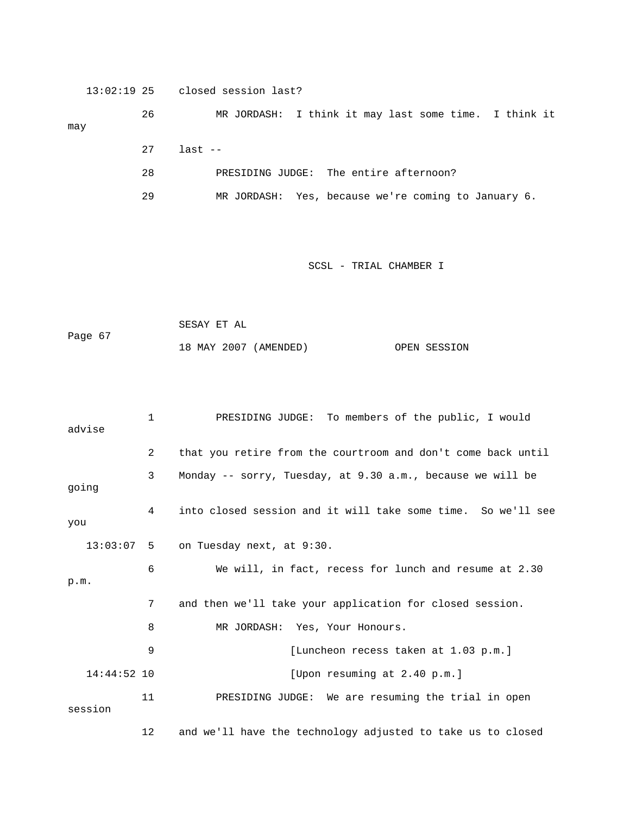13:02:19 25 closed session last?

 27 last -- 26 MR JORDASH: I think it may last some time. I think it may

- 28 PRESIDING JUDGE: The entire afternoon?
- o January 6. 29 MR JORDASH: Yes, because we're coming t

```
 SESAY ET AL 
               18 MAY 2007 (AMENDED) OPEN SESSION 
Page 67
```

| advise        | $\mathbf 1$ | PRESIDING JUDGE: To members of the public, I would           |
|---------------|-------------|--------------------------------------------------------------|
|               | 2           | that you retire from the courtroom and don't come back until |
| going         | 3           | Monday $-$ sorry, Tuesday, at 9.30 a.m., because we will be  |
| you           | 4           | into closed session and it will take some time. So we'll see |
| $13:03:07$ 5  |             | on Tuesday next, at 9:30.                                    |
| p.m.          | 6           | We will, in fact, recess for lunch and resume at 2.30        |
|               | 7           | and then we'll take your application for closed session.     |
|               | 8           | MR JORDASH: Yes, Your Honours.                               |
|               | 9           | [Luncheon recess taken at 1.03 p.m.]                         |
| $14:44:52$ 10 |             | [Upon resuming at 2.40 p.m.]                                 |
| session       | 11          | PRESIDING JUDGE: We are resuming the trial in open           |
|               | 12          | and we'll have the technology adjusted to take us to closed  |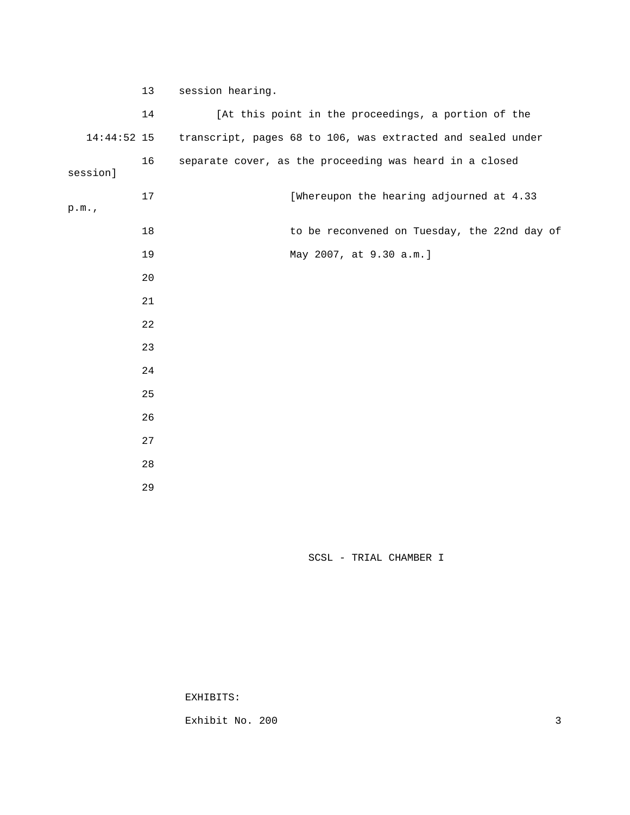| 13             | session hearing.                                            |
|----------------|-------------------------------------------------------------|
| 14             | [At this point in the proceedings, a portion of the         |
| 14:44:52 15    | transcript, pages 68 to 106, was extracted and sealed under |
| 16<br>session] | separate cover, as the proceeding was heard in a closed     |
| 17<br>p.m.     | [Whereupon the hearing adjourned at 4.33                    |
| 18             | to be reconvened on Tuesday, the 22nd day of                |
| 19             | May 2007, at 9.30 a.m.]                                     |
| 20             |                                                             |
| 21             |                                                             |
| 22             |                                                             |
| 23             |                                                             |
| 24             |                                                             |
| 25             |                                                             |
| 26             |                                                             |
| 27             |                                                             |
| 28             |                                                             |
| 29             |                                                             |

EXHIBITS:

Exhibit No. 200 3